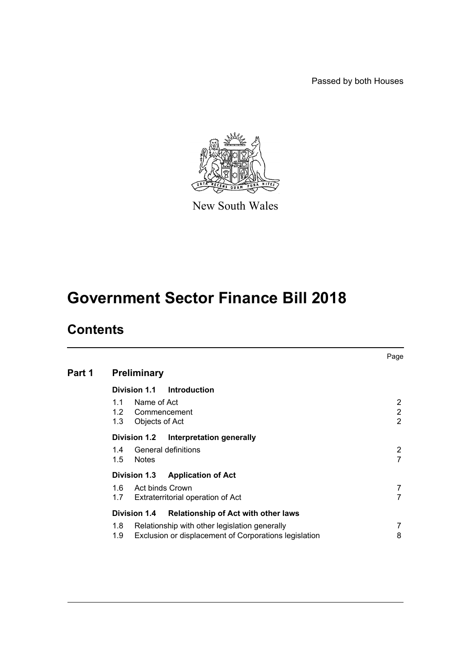Passed by both Houses



New South Wales

# **Government Sector Finance Bill 2018**

# **Contents**

|        |                         |                                                       |                                                                                                        | Page        |
|--------|-------------------------|-------------------------------------------------------|--------------------------------------------------------------------------------------------------------|-------------|
| Part 1 |                         | <b>Preliminary</b>                                    |                                                                                                        |             |
|        |                         | Division 1.1                                          | Introduction                                                                                           |             |
|        | 1.1                     | Name of Act<br>1.2 Commencement<br>1.3 Objects of Act |                                                                                                        | 2<br>2<br>2 |
|        |                         | Division 1.2                                          | Interpretation generally                                                                               |             |
|        | 1.4<br>1.5              | <b>Notes</b>                                          | General definitions                                                                                    | 2           |
|        |                         | Division 1.3                                          | <b>Application of Act</b>                                                                              |             |
|        | 1.6<br>1.7              | Act binds Crown                                       | Extraterritorial operation of Act                                                                      |             |
|        |                         | Division 1.4                                          | <b>Relationship of Act with other laws</b>                                                             |             |
|        | 1.8 <sup>1</sup><br>1.9 |                                                       | Relationship with other legislation generally<br>Exclusion or displacement of Corporations legislation | 8           |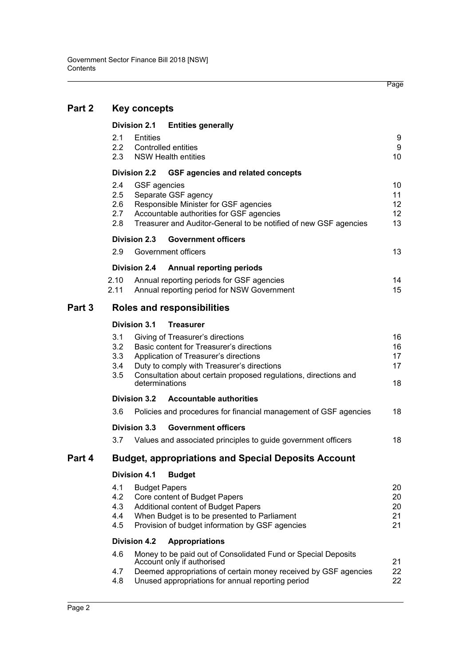| Part 2 | <b>Key concepts</b>                                                                                                                                                                                                                                                                         |                      |                                                                                                                                                                                                                     |                            |  |
|--------|---------------------------------------------------------------------------------------------------------------------------------------------------------------------------------------------------------------------------------------------------------------------------------------------|----------------------|---------------------------------------------------------------------------------------------------------------------------------------------------------------------------------------------------------------------|----------------------------|--|
|        | <b>Division 2.1</b>                                                                                                                                                                                                                                                                         |                      | <b>Entities generally</b>                                                                                                                                                                                           |                            |  |
|        | 2.1<br>$2.2\phantom{0}$<br>2.3                                                                                                                                                                                                                                                              | Entities             | Controlled entities<br><b>NSW Health entities</b>                                                                                                                                                                   | 9<br>9<br>10               |  |
|        | <b>Division 2.2</b>                                                                                                                                                                                                                                                                         |                      | <b>GSF agencies and related concepts</b>                                                                                                                                                                            |                            |  |
|        | $2.4\,$<br>2.5<br>$2.6\,$<br>2.7<br>2.8                                                                                                                                                                                                                                                     | <b>GSF</b> agencies  | Separate GSF agency<br>Responsible Minister for GSF agencies<br>Accountable authorities for GSF agencies<br>Treasurer and Auditor-General to be notified of new GSF agencies                                        | 10<br>11<br>12<br>12<br>13 |  |
|        | <b>Division 2.3</b>                                                                                                                                                                                                                                                                         |                      | <b>Government officers</b>                                                                                                                                                                                          |                            |  |
|        | 2.9                                                                                                                                                                                                                                                                                         |                      | Government officers                                                                                                                                                                                                 | 13                         |  |
|        | Division 2.4                                                                                                                                                                                                                                                                                |                      | <b>Annual reporting periods</b>                                                                                                                                                                                     |                            |  |
|        | 2.10<br>2.11                                                                                                                                                                                                                                                                                |                      | Annual reporting periods for GSF agencies<br>Annual reporting period for NSW Government                                                                                                                             | 14<br>15                   |  |
| Part 3 |                                                                                                                                                                                                                                                                                             |                      | <b>Roles and responsibilities</b>                                                                                                                                                                                   |                            |  |
|        | <b>Division 3.1</b><br><b>Treasurer</b>                                                                                                                                                                                                                                                     |                      |                                                                                                                                                                                                                     |                            |  |
|        | 3.1<br>Giving of Treasurer's directions<br>3.2<br>Basic content for Treasurer's directions<br>3.3<br>Application of Treasurer's directions<br>3.4<br>Duty to comply with Treasurer's directions<br>3.5<br>Consultation about certain proposed regulations, directions and<br>determinations |                      |                                                                                                                                                                                                                     |                            |  |
|        | <b>Division 3.2</b>                                                                                                                                                                                                                                                                         |                      | <b>Accountable authorities</b>                                                                                                                                                                                      |                            |  |
|        | 3.6                                                                                                                                                                                                                                                                                         |                      | Policies and procedures for financial management of GSF agencies                                                                                                                                                    | 18                         |  |
|        | Division 3.3                                                                                                                                                                                                                                                                                |                      | <b>Government officers</b>                                                                                                                                                                                          |                            |  |
|        | 3.7                                                                                                                                                                                                                                                                                         |                      | Values and associated principles to guide government officers                                                                                                                                                       | 18                         |  |
| Part 4 |                                                                                                                                                                                                                                                                                             |                      | <b>Budget, appropriations and Special Deposits Account</b>                                                                                                                                                          |                            |  |
|        | <b>Division 4.1</b><br><b>Budget</b>                                                                                                                                                                                                                                                        |                      |                                                                                                                                                                                                                     |                            |  |
|        | 4.1<br>4.2<br>4.3<br>4.4<br>4.5                                                                                                                                                                                                                                                             | <b>Budget Papers</b> | Core content of Budget Papers<br>Additional content of Budget Papers<br>When Budget is to be presented to Parliament<br>Provision of budget information by GSF agencies                                             | 20<br>20<br>20<br>21<br>21 |  |
|        | <b>Division 4.2</b><br><b>Appropriations</b>                                                                                                                                                                                                                                                |                      |                                                                                                                                                                                                                     |                            |  |
|        | 4.6<br>4.7<br>4.8                                                                                                                                                                                                                                                                           |                      | Money to be paid out of Consolidated Fund or Special Deposits<br>Account only if authorised<br>Deemed appropriations of certain money received by GSF agencies<br>Unused appropriations for annual reporting period | 21<br>22<br>22             |  |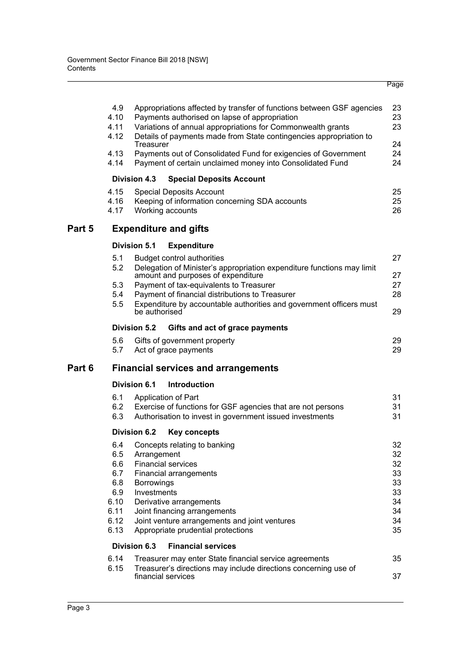|        | 4.9<br>4.10<br>4.11<br>4.12<br>4.13<br>4.14                            | Treasurer<br><b>Division 4.3</b>                | Appropriations affected by transfer of functions between GSF agencies<br>Payments authorised on lapse of appropriation<br>Variations of annual appropriations for Commonwealth grants<br>Details of payments made from State contingencies appropriation to<br>Payments out of Consolidated Fund for exigencies of Government<br>Payment of certain unclaimed money into Consolidated Fund<br><b>Special Deposits Account</b> | 23<br>23<br>23<br>24<br>24<br>24                         |
|--------|------------------------------------------------------------------------|-------------------------------------------------|-------------------------------------------------------------------------------------------------------------------------------------------------------------------------------------------------------------------------------------------------------------------------------------------------------------------------------------------------------------------------------------------------------------------------------|----------------------------------------------------------|
|        | 4.15<br>4.16<br>4.17                                                   |                                                 | <b>Special Deposits Account</b><br>Keeping of information concerning SDA accounts<br>Working accounts                                                                                                                                                                                                                                                                                                                         | 25<br>25<br>26                                           |
| Part 5 |                                                                        |                                                 | <b>Expenditure and gifts</b>                                                                                                                                                                                                                                                                                                                                                                                                  |                                                          |
|        |                                                                        | <b>Division 5.1</b>                             | <b>Expenditure</b>                                                                                                                                                                                                                                                                                                                                                                                                            |                                                          |
|        | 5.1<br>5.2<br>5.3<br>5.4<br>5.5                                        | be authorised                                   | <b>Budget control authorities</b><br>Delegation of Minister's appropriation expenditure functions may limit<br>amount and purposes of expenditure<br>Payment of tax-equivalents to Treasurer<br>Payment of financial distributions to Treasurer<br>Expenditure by accountable authorities and government officers must                                                                                                        | 27<br>27<br>27<br>28<br>29                               |
|        |                                                                        | <b>Division 5.2</b>                             | Gifts and act of grace payments                                                                                                                                                                                                                                                                                                                                                                                               |                                                          |
|        | 5.6<br>5.7                                                             |                                                 | Gifts of government property<br>Act of grace payments                                                                                                                                                                                                                                                                                                                                                                         | 29<br>29                                                 |
| Part 6 |                                                                        |                                                 | <b>Financial services and arrangements</b>                                                                                                                                                                                                                                                                                                                                                                                    |                                                          |
|        |                                                                        | Division 6.1                                    | <b>Introduction</b>                                                                                                                                                                                                                                                                                                                                                                                                           |                                                          |
|        | 6.1<br>6.2<br>6.3                                                      |                                                 | Application of Part<br>Exercise of functions for GSF agencies that are not persons<br>Authorisation to invest in government issued investments                                                                                                                                                                                                                                                                                | 31<br>31<br>31                                           |
|        |                                                                        | Division 6.2                                    | <b>Key concepts</b>                                                                                                                                                                                                                                                                                                                                                                                                           |                                                          |
|        | 6.4<br>6.5<br>6.6<br>6.7<br>6.8<br>6.9<br>6.10<br>6.11<br>6.12<br>6.13 | Arrangement<br><b>Borrowings</b><br>Investments | Concepts relating to banking<br><b>Financial services</b><br>Financial arrangements<br>Derivative arrangements<br>Joint financing arrangements<br>Joint venture arrangements and joint ventures<br>Appropriate prudential protections                                                                                                                                                                                         | 32<br>32<br>32<br>33<br>33<br>33<br>34<br>34<br>34<br>35 |
|        |                                                                        | Division 6.3                                    | <b>Financial services</b>                                                                                                                                                                                                                                                                                                                                                                                                     |                                                          |
|        | 6.14<br>6.15                                                           |                                                 | Treasurer may enter State financial service agreements<br>Treasurer's directions may include directions concerning use of<br>financial services                                                                                                                                                                                                                                                                               | 35<br>37                                                 |

Page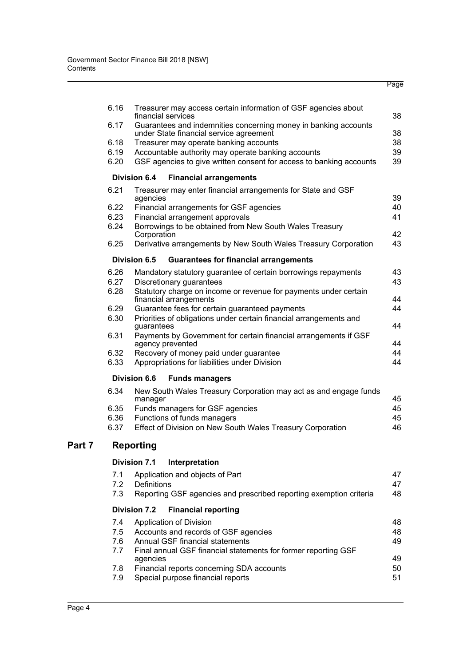|   | 6.16         | Treasurer may access certain information of GSF agencies about<br>financial services                       | 38       |
|---|--------------|------------------------------------------------------------------------------------------------------------|----------|
|   | 6.17         | Guarantees and indemnities concerning money in banking accounts<br>under State financial service agreement | 38       |
|   | 6.18         | Treasurer may operate banking accounts                                                                     | 38       |
|   | 6.19         | Accountable authority may operate banking accounts                                                         | 39       |
|   | 6.20         | GSF agencies to give written consent for access to banking accounts                                        | 39       |
|   |              | <b>Division 6.4</b><br><b>Financial arrangements</b>                                                       |          |
|   | 6.21         | Treasurer may enter financial arrangements for State and GSF<br>agencies                                   | 39       |
|   | 6.22         | Financial arrangements for GSF agencies                                                                    | 40       |
|   | 6.23         | Financial arrangement approvals                                                                            | 41       |
|   | 6.24         | Borrowings to be obtained from New South Wales Treasury<br>Corporation                                     | 42       |
|   | 6.25         | Derivative arrangements by New South Wales Treasury Corporation                                            | 43       |
|   |              | Division 6.5<br><b>Guarantees for financial arrangements</b>                                               |          |
|   | 6.26         | Mandatory statutory guarantee of certain borrowings repayments                                             | 43       |
|   | 6.27<br>6.28 | Discretionary guarantees<br>Statutory charge on income or revenue for payments under certain               | 43       |
|   | 6.29         | financial arrangements<br>Guarantee fees for certain guaranteed payments                                   | 44<br>44 |
|   | 6.30         | Priorities of obligations under certain financial arrangements and                                         |          |
|   | 6.31         | guarantees<br>Payments by Government for certain financial arrangements if GSF                             | 44       |
|   |              | agency prevented                                                                                           | 44       |
|   | 6.32<br>6.33 | Recovery of money paid under guarantee<br>Appropriations for liabilities under Division                    | 44<br>44 |
|   |              |                                                                                                            |          |
|   |              | <b>Division 6.6</b><br><b>Funds managers</b>                                                               |          |
|   | 6.34         | New South Wales Treasury Corporation may act as and engage funds<br>manager                                | 45       |
|   | 6.35         | Funds managers for GSF agencies                                                                            | 45       |
|   | 6.36         | Functions of funds managers                                                                                | 45       |
|   | 6.37         | Effect of Division on New South Wales Treasury Corporation                                                 | 46       |
| 7 |              | Reporting                                                                                                  |          |
|   |              | Division 7.1<br>Interpretation                                                                             |          |
|   | 7.1          | Application and objects of Part                                                                            | 47       |
|   | 7.2          | <b>Definitions</b>                                                                                         | 47       |
|   | 7.3          | Reporting GSF agencies and prescribed reporting exemption criteria                                         | 48       |
|   |              | <b>Division 7.2</b><br><b>Financial reporting</b>                                                          |          |
|   | 7.4          | Application of Division                                                                                    | 48       |
|   | 7.5          | Accounts and records of GSF agencies                                                                       | 48       |
|   | 7.6          | Annual GSF financial statements                                                                            | 49       |
|   | 7.7          | Final annual GSF financial statements for former reporting GSF<br>agencies                                 | 49       |
|   | 7.8          | Financial reports concerning SDA accounts                                                                  | 50       |
|   | 7.9          | Special purpose financial reports                                                                          | 51       |

Page

**Part**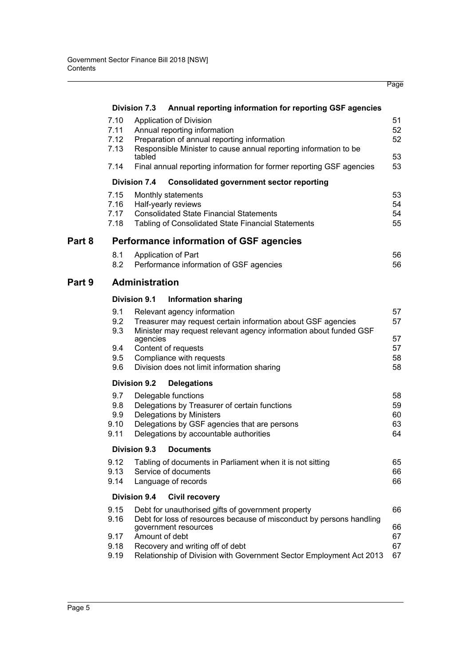|        |              |                                                                                                                            | Page |
|--------|--------------|----------------------------------------------------------------------------------------------------------------------------|------|
|        |              | <b>Division 7.3</b><br>Annual reporting information for reporting GSF agencies                                             |      |
|        | 7.10         | Application of Division                                                                                                    | 51   |
|        | 7.11         | Annual reporting information                                                                                               | 52   |
|        | 7.12         | Preparation of annual reporting information                                                                                | 52   |
|        | 7.13         | Responsible Minister to cause annual reporting information to be<br>tabled                                                 | 53   |
|        | 7.14         | Final annual reporting information for former reporting GSF agencies                                                       | 53   |
|        |              | <b>Division 7.4</b><br><b>Consolidated government sector reporting</b>                                                     |      |
|        | 7.15         | Monthly statements                                                                                                         | 53   |
|        | 7.16         | Half-yearly reviews                                                                                                        | 54   |
|        | 7.17         | <b>Consolidated State Financial Statements</b>                                                                             | 54   |
|        | 7.18         | Tabling of Consolidated State Financial Statements                                                                         | 55   |
| Part 8 |              | <b>Performance information of GSF agencies</b>                                                                             |      |
|        | 8.1          | Application of Part                                                                                                        | 56   |
|        | 8.2          | Performance information of GSF agencies                                                                                    | 56   |
| Part 9 |              | <b>Administration</b>                                                                                                      |      |
|        |              | <b>Division 9.1</b><br><b>Information sharing</b>                                                                          |      |
|        | 9.1          | Relevant agency information                                                                                                | 57   |
|        | 9.2          | Treasurer may request certain information about GSF agencies                                                               | 57   |
|        | 9.3          | Minister may request relevant agency information about funded GSF<br>agencies                                              | 57   |
|        | 9.4          | Content of requests                                                                                                        | 57   |
|        | 9.5          | Compliance with requests                                                                                                   | 58   |
|        | 9.6          | Division does not limit information sharing                                                                                | 58   |
|        |              | <b>Division 9.2</b><br><b>Delegations</b>                                                                                  |      |
|        | 9.7          | Delegable functions                                                                                                        | 58   |
|        | 9.8          | Delegations by Treasurer of certain functions                                                                              | 59   |
|        | 9.9          | Delegations by Ministers                                                                                                   | 60   |
|        | 9.10         | Delegations by GSF agencies that are persons                                                                               | 63   |
|        | 9.11         | Delegations by accountable authorities                                                                                     | 64   |
|        |              | Division 9.3<br><b>Documents</b>                                                                                           |      |
|        | 9.12         | Tabling of documents in Parliament when it is not sitting                                                                  | 65   |
|        | 9.13         | Service of documents                                                                                                       | 66   |
|        | 9.14         | Language of records                                                                                                        | 66   |
|        |              | <b>Division 9.4</b><br><b>Civil recovery</b>                                                                               |      |
|        | 9.15<br>9.16 | Debt for unauthorised gifts of government property<br>Debt for loss of resources because of misconduct by persons handling | 66   |
|        |              | government resources                                                                                                       | 66   |
|        | 9.17         | Amount of debt                                                                                                             | 67   |
|        | 9.18         | Recovery and writing off of debt                                                                                           | 67   |
|        | 9.19         | Relationship of Division with Government Sector Employment Act 2013                                                        | 67   |
|        |              |                                                                                                                            |      |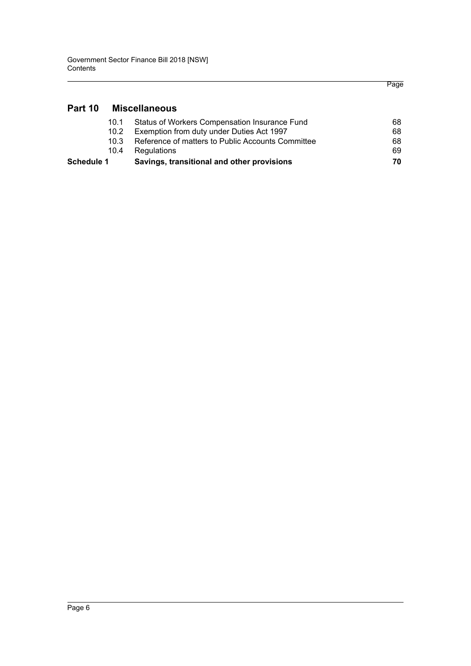# **[Part 10 Miscellaneous](#page-73-0)**

| Schedule 1 | Savings, transitional and other provisions        | 70. |
|------------|---------------------------------------------------|-----|
| 10.4       | Regulations                                       | 69. |
| 10 3       | Reference of matters to Public Accounts Committee | 68  |
| 10.2       | Exemption from duty under Duties Act 1997         | 68  |
| 10.1       | Status of Workers Compensation Insurance Fund     | 68. |
|            |                                                   |     |

Page

Page 6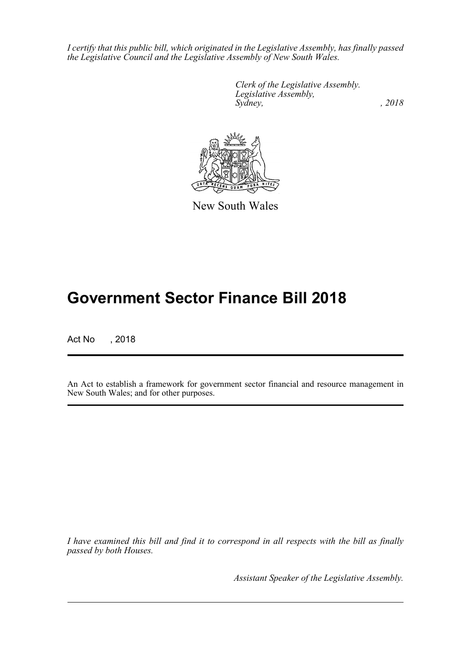*I certify that this public bill, which originated in the Legislative Assembly, has finally passed the Legislative Council and the Legislative Assembly of New South Wales.*

> *Clerk of the Legislative Assembly. Legislative Assembly, Sydney, , 2018*



New South Wales

# **Government Sector Finance Bill 2018**

Act No , 2018

An Act to establish a framework for government sector financial and resource management in New South Wales; and for other purposes.

*I have examined this bill and find it to correspond in all respects with the bill as finally passed by both Houses.*

*Assistant Speaker of the Legislative Assembly.*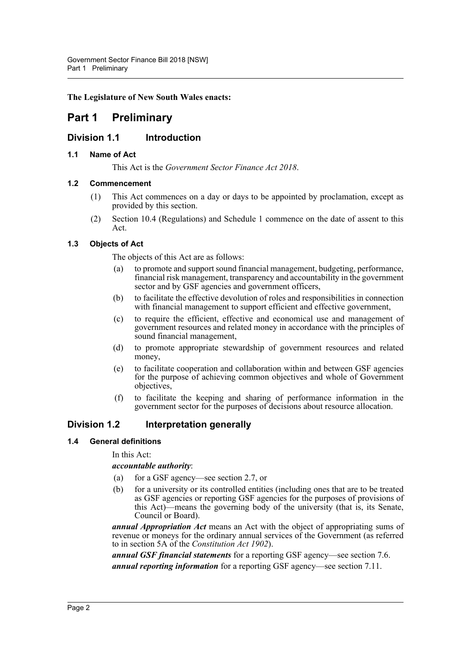# **The Legislature of New South Wales enacts:**

# <span id="page-7-0"></span>**Part 1 Preliminary**

# <span id="page-7-1"></span>**Division 1.1 Introduction**

# <span id="page-7-2"></span>**1.1 Name of Act**

This Act is the *Government Sector Finance Act 2018*.

# <span id="page-7-3"></span>**1.2 Commencement**

- (1) This Act commences on a day or days to be appointed by proclamation, except as provided by this section.
- (2) Section 10.4 (Regulations) and Schedule 1 commence on the date of assent to this Act.

### <span id="page-7-4"></span>**1.3 Objects of Act**

The objects of this Act are as follows:

- (a) to promote and support sound financial management, budgeting, performance, financial risk management, transparency and accountability in the government sector and by GSF agencies and government officers,
- (b) to facilitate the effective devolution of roles and responsibilities in connection with financial management to support efficient and effective government,
- (c) to require the efficient, effective and economical use and management of government resources and related money in accordance with the principles of sound financial management,
- (d) to promote appropriate stewardship of government resources and related money,
- (e) to facilitate cooperation and collaboration within and between GSF agencies for the purpose of achieving common objectives and whole of Government objectives,
- (f) to facilitate the keeping and sharing of performance information in the government sector for the purposes of decisions about resource allocation.

# <span id="page-7-5"></span>**Division 1.2 Interpretation generally**

### <span id="page-7-6"></span>**1.4 General definitions**

In this Act:

### *accountable authority*:

- (a) for a GSF agency—see section 2.7, or
- (b) for a university or its controlled entities (including ones that are to be treated as GSF agencies or reporting GSF agencies for the purposes of provisions of this Act)—means the governing body of the university (that is, its Senate, Council or Board).

*annual Appropriation Act* means an Act with the object of appropriating sums of revenue or moneys for the ordinary annual services of the Government (as referred to in section 5A of the *Constitution Act 1902*).

*annual GSF financial statements* for a reporting GSF agency—see section 7.6. *annual reporting information* for a reporting GSF agency—see section 7.11.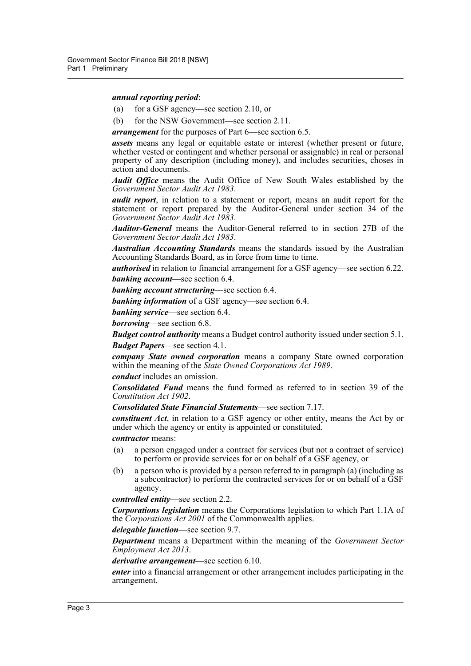#### *annual reporting period*:

- (a) for a GSF agency—see section 2.10, or
- (b) for the NSW Government—see section 2.11.

*arrangement* for the purposes of Part 6—see section 6.5.

*assets* means any legal or equitable estate or interest (whether present or future, whether vested or contingent and whether personal or assignable) in real or personal property of any description (including money), and includes securities, choses in action and documents.

*Audit Office* means the Audit Office of New South Wales established by the *Government Sector Audit Act 1983*.

*audit report*, in relation to a statement or report, means an audit report for the statement or report prepared by the Auditor-General under section 34 of the *Government Sector Audit Act 1983*.

*Auditor-General* means the Auditor-General referred to in section 27B of the *Government Sector Audit Act 1983*.

*Australian Accounting Standards* means the standards issued by the Australian Accounting Standards Board, as in force from time to time.

*authorised* in relation to financial arrangement for a GSF agency—see section 6.22. *banking account*—see section 6.4.

*banking account structuring*—see section 6.4.

*banking information* of a GSF agency—see section 6.4.

*banking service*—see section 6.4.

*borrowing*—see section 6.8.

*Budget control authority* means a Budget control authority issued under section 5.1. *Budget Papers*—see section 4.1.

*company State owned corporation* means a company State owned corporation within the meaning of the *State Owned Corporations Act 1989*.

#### *conduct* includes an omission.

*Consolidated Fund* means the fund formed as referred to in section 39 of the *Constitution Act 1902*.

*Consolidated State Financial Statements*—see section 7.17.

*constituent Act*, in relation to a GSF agency or other entity, means the Act by or under which the agency or entity is appointed or constituted.

*contractor* means:

- (a) a person engaged under a contract for services (but not a contract of service) to perform or provide services for or on behalf of a GSF agency, or
- (b) a person who is provided by a person referred to in paragraph (a) (including as a subcontractor) to perform the contracted services for or on behalf of a GSF agency.

*controlled entity*—see section 2.2.

*Corporations legislation* means the Corporations legislation to which Part 1.1A of the *Corporations Act 2001* of the Commonwealth applies.

*delegable function*—see section 9.7.

*Department* means a Department within the meaning of the *Government Sector Employment Act 2013*.

*derivative arrangement*—see section 6.10.

*enter* into a financial arrangement or other arrangement includes participating in the arrangement.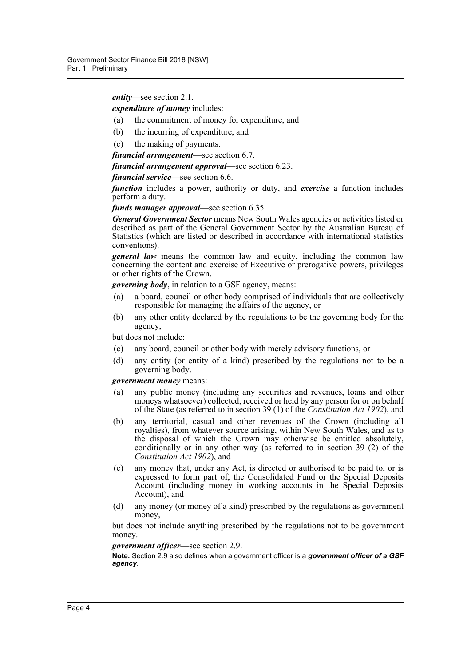### *entity*—see section 2.1.

#### *expenditure of money* includes:

- (a) the commitment of money for expenditure, and
- (b) the incurring of expenditure, and
- (c) the making of payments.

#### *financial arrangement*—see section 6.7.

*financial arrangement approval*—see section 6.23.

*financial service*—see section 6.6.

*function* includes a power, authority or duty, and *exercise* a function includes perform a duty.

*funds manager approval*—see section 6.35.

*General Government Sector* means New South Wales agencies or activities listed or described as part of the General Government Sector by the Australian Bureau of Statistics (which are listed or described in accordance with international statistics conventions).

*general law* means the common law and equity, including the common law concerning the content and exercise of Executive or prerogative powers, privileges or other rights of the Crown.

*governing body*, in relation to a GSF agency, means:

- (a) a board, council or other body comprised of individuals that are collectively responsible for managing the affairs of the agency, or
- (b) any other entity declared by the regulations to be the governing body for the agency,

but does not include:

- (c) any board, council or other body with merely advisory functions, or
- (d) any entity (or entity of a kind) prescribed by the regulations not to be a governing body.

### *government money* means:

- (a) any public money (including any securities and revenues, loans and other moneys whatsoever) collected, received or held by any person for or on behalf of the State (as referred to in section 39 (1) of the *Constitution Act 1902*), and
- (b) any territorial, casual and other revenues of the Crown (including all royalties), from whatever source arising, within New South Wales, and as to the disposal of which the Crown may otherwise be entitled absolutely, conditionally or in any other way (as referred to in section 39 (2) of the *Constitution Act 1902*), and
- (c) any money that, under any Act, is directed or authorised to be paid to, or is expressed to form part of, the Consolidated Fund or the Special Deposits Account (including money in working accounts in the Special Deposits Account), and
- (d) any money (or money of a kind) prescribed by the regulations as government money,

but does not include anything prescribed by the regulations not to be government money.

#### *government officer*—see section 2.9.

**Note.** Section 2.9 also defines when a government officer is a *government officer of a GSF agency*.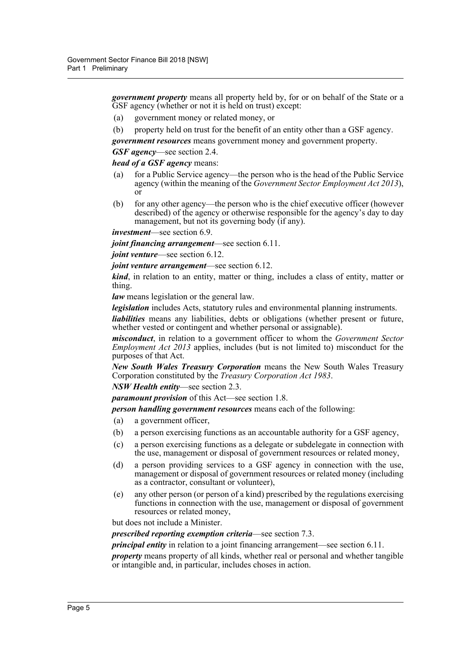*government property* means all property held by, for or on behalf of the State or a GSF agency (whether or not it is held on trust) except:

- (a) government money or related money, or
- (b) property held on trust for the benefit of an entity other than a GSF agency.

*government resources* means government money and government property.

*GSF agency*—see section 2.4.

### *head of a GSF agency* means:

- (a) for a Public Service agency—the person who is the head of the Public Service agency (within the meaning of the *Government Sector Employment Act 2013*), or
- (b) for any other agency—the person who is the chief executive officer (however described) of the agency or otherwise responsible for the agency's day to day management, but not its governing body (if any).

*investment*—see section 6.9.

*joint financing arrangement*—see section 6.11.

*joint venture—see section 6.12.* 

*joint venture arrangement*—see section 6.12.

*kind*, in relation to an entity, matter or thing, includes a class of entity, matter or thing.

*law* means legislation or the general law.

*legislation* includes Acts, statutory rules and environmental planning instruments.

*liabilities* means any liabilities, debts or obligations (whether present or future, whether vested or contingent and whether personal or assignable).

*misconduct*, in relation to a government officer to whom the *Government Sector Employment Act 2013* applies, includes (but is not limited to) misconduct for the purposes of that Act.

*New South Wales Treasury Corporation* means the New South Wales Treasury Corporation constituted by the *Treasury Corporation Act 1983*.

*NSW Health entity*—see section 2.3.

*paramount provision* of this Act—see section 1.8.

*person handling government resources* means each of the following:

- (a) a government officer,
- (b) a person exercising functions as an accountable authority for a GSF agency,
- (c) a person exercising functions as a delegate or subdelegate in connection with the use, management or disposal of government resources or related money,
- (d) a person providing services to a GSF agency in connection with the use, management or disposal of government resources or related money (including as a contractor, consultant or volunteer),
- (e) any other person (or person of a kind) prescribed by the regulations exercising functions in connection with the use, management or disposal of government resources or related money,

but does not include a Minister.

*prescribed reporting exemption criteria*—see section 7.3.

*principal entity* in relation to a joint financing arrangement—see section 6.11.

*property* means property of all kinds, whether real or personal and whether tangible or intangible and, in particular, includes choses in action.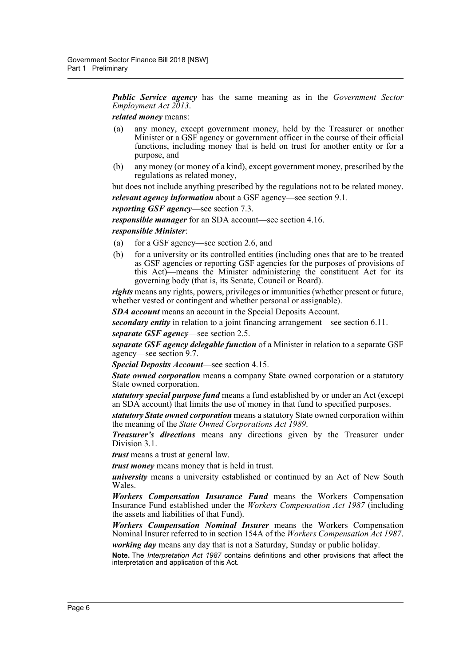*Public Service agency* has the same meaning as in the *Government Sector Employment Act 2013*.

*related money* means:

- (a) any money, except government money, held by the Treasurer or another Minister or a GSF agency or government officer in the course of their official functions, including money that is held on trust for another entity or for a purpose, and
- (b) any money (or money of a kind), except government money, prescribed by the regulations as related money,

but does not include anything prescribed by the regulations not to be related money.

*relevant agency information* about a GSF agency—see section 9.1.

*reporting GSF agency*—see section 7.3.

*responsible manager* for an SDA account—see section 4.16.

#### *responsible Minister*:

- (a) for a GSF agency—see section 2.6, and
- (b) for a university or its controlled entities (including ones that are to be treated as GSF agencies or reporting GSF agencies for the purposes of provisions of this Act)—means the Minister administering the constituent Act for its governing body (that is, its Senate, Council or Board).

*rights* means any rights, powers, privileges or immunities (whether present or future, whether vested or contingent and whether personal or assignable).

*SDA account* means an account in the Special Deposits Account.

*secondary entity* in relation to a joint financing arrangement—see section 6.11.

*separate GSF agency*—see section 2.5.

*separate GSF agency delegable function* of a Minister in relation to a separate GSF agency—see section 9.7.

*Special Deposits Account*—see section 4.15.

*State owned corporation* means a company State owned corporation or a statutory State owned corporation.

*statutory special purpose fund* means a fund established by or under an Act (except an SDA account) that limits the use of money in that fund to specified purposes.

*statutory State owned corporation* means a statutory State owned corporation within the meaning of the *State Owned Corporations Act 1989*.

*Treasurer's directions* means any directions given by the Treasurer under Division 3.1.

*trust* means a trust at general law.

*trust money* means money that is held in trust.

*university* means a university established or continued by an Act of New South Wales.

*Workers Compensation Insurance Fund* means the Workers Compensation Insurance Fund established under the *Workers Compensation Act 1987* (including the assets and liabilities of that Fund).

*Workers Compensation Nominal Insurer* means the Workers Compensation Nominal Insurer referred to in section 154A of the *Workers Compensation Act 1987*.

*working day* means any day that is not a Saturday, Sunday or public holiday. **Note.** The *Interpretation Act 1987* contains definitions and other provisions that affect the interpretation and application of this Act.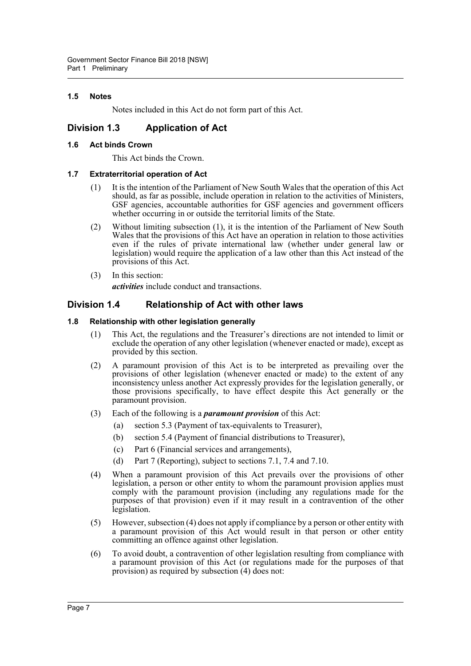# <span id="page-12-0"></span>**1.5 Notes**

Notes included in this Act do not form part of this Act.

# <span id="page-12-1"></span>**Division 1.3 Application of Act**

## <span id="page-12-2"></span>**1.6 Act binds Crown**

This Act binds the Crown.

### <span id="page-12-3"></span>**1.7 Extraterritorial operation of Act**

- (1) It is the intention of the Parliament of New South Wales that the operation of this Act should, as far as possible, include operation in relation to the activities of Ministers, GSF agencies, accountable authorities for GSF agencies and government officers whether occurring in or outside the territorial limits of the State.
- (2) Without limiting subsection (1), it is the intention of the Parliament of New South Wales that the provisions of this Act have an operation in relation to those activities even if the rules of private international law (whether under general law or legislation) would require the application of a law other than this Act instead of the provisions of this Act.
- (3) In this section: *activities* include conduct and transactions.

# <span id="page-12-4"></span>**Division 1.4 Relationship of Act with other laws**

### <span id="page-12-5"></span>**1.8 Relationship with other legislation generally**

- (1) This Act, the regulations and the Treasurer's directions are not intended to limit or exclude the operation of any other legislation (whenever enacted or made), except as provided by this section.
- (2) A paramount provision of this Act is to be interpreted as prevailing over the provisions of other legislation (whenever enacted or made) to the extent of any inconsistency unless another Act expressly provides for the legislation generally, or those provisions specifically, to have effect despite this Act generally or the paramount provision.
- (3) Each of the following is a *paramount provision* of this Act:
	- (a) section 5.3 (Payment of tax-equivalents to Treasurer),
	- (b) section 5.4 (Payment of financial distributions to Treasurer),
	- (c) Part 6 (Financial services and arrangements),
	- (d) Part 7 (Reporting), subject to sections 7.1, 7.4 and 7.10.
- (4) When a paramount provision of this Act prevails over the provisions of other legislation, a person or other entity to whom the paramount provision applies must comply with the paramount provision (including any regulations made for the purposes of that provision) even if it may result in a contravention of the other legislation.
- (5) However, subsection (4) does not apply if compliance by a person or other entity with a paramount provision of this Act would result in that person or other entity committing an offence against other legislation.
- (6) To avoid doubt, a contravention of other legislation resulting from compliance with a paramount provision of this Act (or regulations made for the purposes of that provision) as required by subsection (4) does not: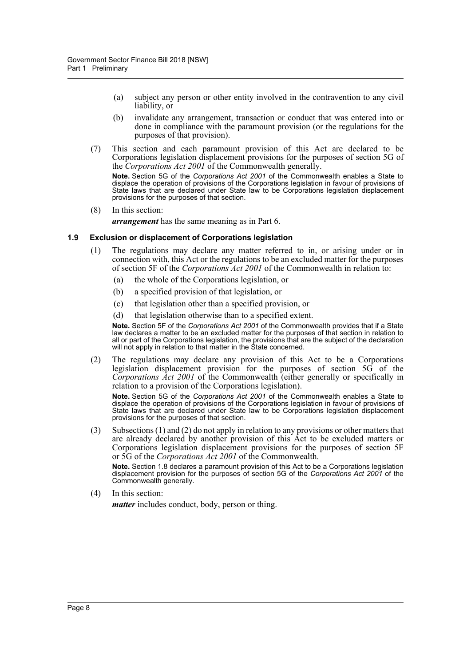- (a) subject any person or other entity involved in the contravention to any civil liability, or
- (b) invalidate any arrangement, transaction or conduct that was entered into or done in compliance with the paramount provision (or the regulations for the purposes of that provision).
- (7) This section and each paramount provision of this Act are declared to be Corporations legislation displacement provisions for the purposes of section 5G of the *Corporations Act 2001* of the Commonwealth generally.

**Note.** Section 5G of the *Corporations Act 2001* of the Commonwealth enables a State to displace the operation of provisions of the Corporations legislation in favour of provisions of State laws that are declared under State law to be Corporations legislation displacement provisions for the purposes of that section.

(8) In this section:

*arrangement* has the same meaning as in Part 6.

#### <span id="page-13-0"></span>**1.9 Exclusion or displacement of Corporations legislation**

- (1) The regulations may declare any matter referred to in, or arising under or in connection with, this Act or the regulations to be an excluded matter for the purposes of section 5F of the *Corporations Act 2001* of the Commonwealth in relation to:
	- (a) the whole of the Corporations legislation, or
	- (b) a specified provision of that legislation, or
	- (c) that legislation other than a specified provision, or
	- (d) that legislation otherwise than to a specified extent.

**Note.** Section 5F of the *Corporations Act 2001* of the Commonwealth provides that if a State law declares a matter to be an excluded matter for the purposes of that section in relation to all or part of the Corporations legislation, the provisions that are the subject of the declaration will not apply in relation to that matter in the State concerned.

(2) The regulations may declare any provision of this Act to be a Corporations legislation displacement provision for the purposes of section 5G of the *Corporations Act 2001* of the Commonwealth (either generally or specifically in relation to a provision of the Corporations legislation).

**Note.** Section 5G of the *Corporations Act 2001* of the Commonwealth enables a State to displace the operation of provisions of the Corporations legislation in favour of provisions of State laws that are declared under State law to be Corporations legislation displacement provisions for the purposes of that section.

(3) Subsections (1) and (2) do not apply in relation to any provisions or other matters that are already declared by another provision of this Act to be excluded matters or Corporations legislation displacement provisions for the purposes of section 5F or 5G of the *Corporations Act 2001* of the Commonwealth.

**Note.** Section 1.8 declares a paramount provision of this Act to be a Corporations legislation displacement provision for the purposes of section 5G of the *Corporations Act 2001* of the Commonwealth generally.

(4) In this section:

*matter* includes conduct, body, person or thing.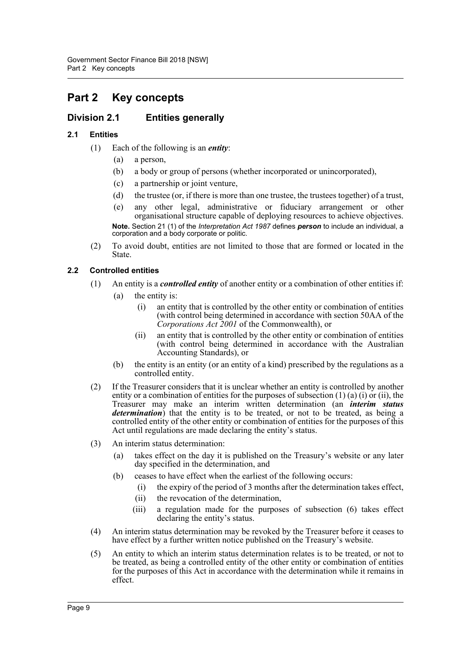# <span id="page-14-0"></span>**Part 2 Key concepts**

# <span id="page-14-1"></span>**Division 2.1 Entities generally**

# <span id="page-14-2"></span>**2.1 Entities**

- (1) Each of the following is an *entity*:
	- (a) a person,
	- (b) a body or group of persons (whether incorporated or unincorporated),
	- (c) a partnership or joint venture,
	- (d) the trustee (or, if there is more than one trustee, the trustees together) of a trust,
	- (e) any other legal, administrative or fiduciary arrangement or other organisational structure capable of deploying resources to achieve objectives. **Note.** Section 21 (1) of the *Interpretation Act 1987* defines *person* to include an individual, a corporation and a body corporate or politic.
- (2) To avoid doubt, entities are not limited to those that are formed or located in the State.

# <span id="page-14-3"></span>**2.2 Controlled entities**

- (1) An entity is a *controlled entity* of another entity or a combination of other entities if:
	- (a) the entity is:
		- (i) an entity that is controlled by the other entity or combination of entities (with control being determined in accordance with section 50AA of the *Corporations Act 2001* of the Commonwealth), or
		- (ii) an entity that is controlled by the other entity or combination of entities (with control being determined in accordance with the Australian Accounting Standards), or
	- (b) the entity is an entity (or an entity of a kind) prescribed by the regulations as a controlled entity.
- (2) If the Treasurer considers that it is unclear whether an entity is controlled by another entity or a combination of entities for the purposes of subsection  $(1)$   $(a)$   $(i)$  or  $(ii)$ , the Treasurer may make an interim written determination (an *interim status determination*) that the entity is to be treated, or not to be treated, as being a controlled entity of the other entity or combination of entities for the purposes of this Act until regulations are made declaring the entity's status.
- (3) An interim status determination:
	- (a) takes effect on the day it is published on the Treasury's website or any later day specified in the determination, and
	- (b) ceases to have effect when the earliest of the following occurs:
		- (i) the expiry of the period of 3 months after the determination takes effect,
		- (ii) the revocation of the determination,
		- (iii) a regulation made for the purposes of subsection (6) takes effect declaring the entity's status.
- (4) An interim status determination may be revoked by the Treasurer before it ceases to have effect by a further written notice published on the Treasury's website.
- (5) An entity to which an interim status determination relates is to be treated, or not to be treated, as being a controlled entity of the other entity or combination of entities for the purposes of this Act in accordance with the determination while it remains in effect.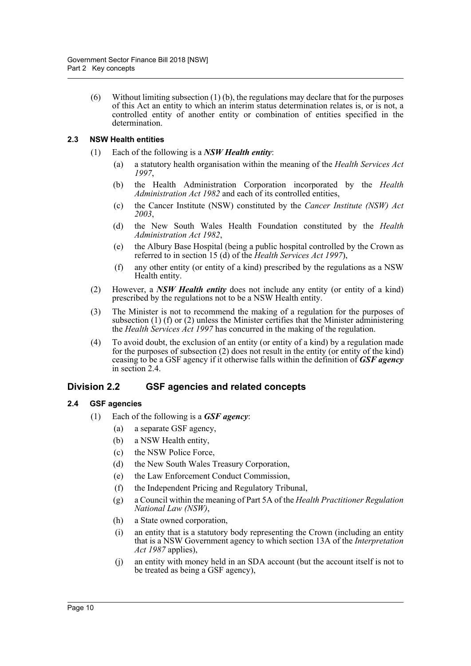(6) Without limiting subsection (1) (b), the regulations may declare that for the purposes of this Act an entity to which an interim status determination relates is, or is not, a controlled entity of another entity or combination of entities specified in the determination.

# <span id="page-15-0"></span>**2.3 NSW Health entities**

- (1) Each of the following is a *NSW Health entity*:
	- (a) a statutory health organisation within the meaning of the *Health Services Act 1997*,
	- (b) the Health Administration Corporation incorporated by the *Health Administration Act 1982* and each of its controlled entities,
	- (c) the Cancer Institute (NSW) constituted by the *Cancer Institute (NSW) Act 2003*,
	- (d) the New South Wales Health Foundation constituted by the *Health Administration Act 1982*,
	- (e) the Albury Base Hospital (being a public hospital controlled by the Crown as referred to in section 15 (d) of the *Health Services Act 1997*),
	- (f) any other entity (or entity of a kind) prescribed by the regulations as a NSW Health entity.
- (2) However, a *NSW Health entity* does not include any entity (or entity of a kind) prescribed by the regulations not to be a NSW Health entity.
- (3) The Minister is not to recommend the making of a regulation for the purposes of subsection (1) (f) or (2) unless the Minister certifies that the Minister administering the *Health Services Act 1997* has concurred in the making of the regulation.
- (4) To avoid doubt, the exclusion of an entity (or entity of a kind) by a regulation made for the purposes of subsection (2) does not result in the entity (or entity of the kind) ceasing to be a GSF agency if it otherwise falls within the definition of *GSF agency* in section 2.4.

# <span id="page-15-1"></span>**Division 2.2 GSF agencies and related concepts**

# <span id="page-15-2"></span>**2.4 GSF agencies**

- (1) Each of the following is a *GSF agency*:
	- (a) a separate GSF agency,
	- (b) a NSW Health entity,
	- (c) the NSW Police Force,
	- (d) the New South Wales Treasury Corporation,
	- (e) the Law Enforcement Conduct Commission,
	- (f) the Independent Pricing and Regulatory Tribunal,
	- (g) a Council within the meaning of Part 5A of the *Health Practitioner Regulation National Law (NSW)*,
	- (h) a State owned corporation,
	- (i) an entity that is a statutory body representing the Crown (including an entity that is a NSW Government agency to which section 13A of the *Interpretation Act 1987* applies),
	- (j) an entity with money held in an SDA account (but the account itself is not to be treated as being a GSF agency),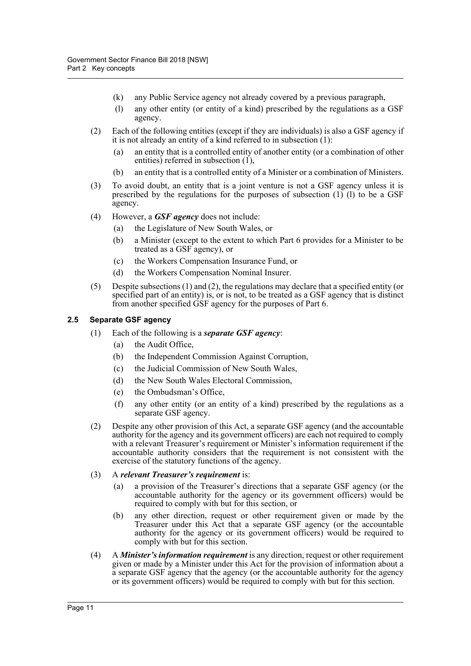- (k) any Public Service agency not already covered by a previous paragraph,
- (l) any other entity (or entity of a kind) prescribed by the regulations as a GSF agency.
- (2) Each of the following entities (except if they are individuals) is also a GSF agency if it is not already an entity of a kind referred to in subsection (1):
	- (a) an entity that is a controlled entity of another entity (or a combination of other entities) referred in subsection  $(1)$ ,
	- (b) an entity that is a controlled entity of a Minister or a combination of Ministers.
- (3) To avoid doubt, an entity that is a joint venture is not a GSF agency unless it is prescribed by the regulations for the purposes of subsection  $(1)$   $(1)$  to be a GSF agency.
- (4) However, a *GSF agency* does not include:
	- (a) the Legislature of New South Wales, or
	- (b) a Minister (except to the extent to which Part 6 provides for a Minister to be treated as a GSF agency), or
	- (c) the Workers Compensation Insurance Fund, or
	- (d) the Workers Compensation Nominal Insurer.
- (5) Despite subsections (1) and (2), the regulations may declare that a specified entity (or specified part of an entity) is, or is not, to be treated as a GSF agency that is distinct from another specified GSF agency for the purposes of Part 6.

# <span id="page-16-0"></span>**2.5 Separate GSF agency**

- (1) Each of the following is a *separate GSF agency*:
	- (a) the Audit Office,
	- (b) the Independent Commission Against Corruption,
	- (c) the Judicial Commission of New South Wales,
	- (d) the New South Wales Electoral Commission,
	- (e) the Ombudsman's Office,
	- (f) any other entity (or an entity of a kind) prescribed by the regulations as a separate GSF agency.
- (2) Despite any other provision of this Act, a separate GSF agency (and the accountable authority for the agency and its government officers) are each not required to comply with a relevant Treasurer's requirement or Minister's information requirement if the accountable authority considers that the requirement is not consistent with the exercise of the statutory functions of the agency.

### (3) A *relevant Treasurer's requirement* is:

- (a) a provision of the Treasurer's directions that a separate GSF agency (or the accountable authority for the agency or its government officers) would be required to comply with but for this section, or
- (b) any other direction, request or other requirement given or made by the Treasurer under this Act that a separate GSF agency (or the accountable authority for the agency or its government officers) would be required to comply with but for this section.
- (4) A *Minister's information requirement* is any direction, request or other requirement given or made by a Minister under this Act for the provision of information about a a separate GSF agency that the agency (or the accountable authority for the agency or its government officers) would be required to comply with but for this section.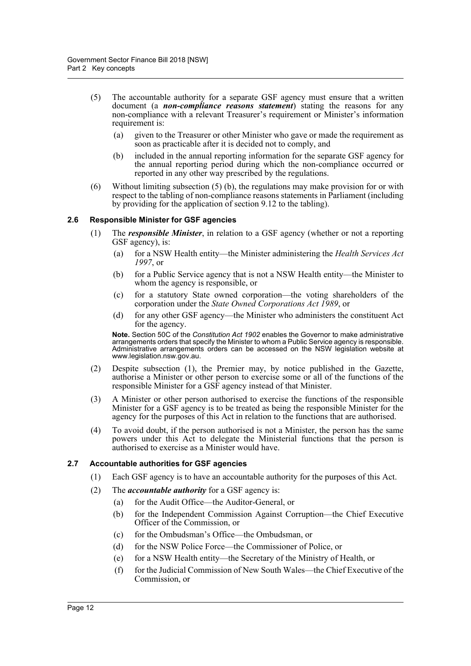- (5) The accountable authority for a separate GSF agency must ensure that a written document (a *non-compliance reasons statement*) stating the reasons for any non-compliance with a relevant Treasurer's requirement or Minister's information requirement is:
	- (a) given to the Treasurer or other Minister who gave or made the requirement as soon as practicable after it is decided not to comply, and
	- (b) included in the annual reporting information for the separate GSF agency for the annual reporting period during which the non-compliance occurred or reported in any other way prescribed by the regulations.
- (6) Without limiting subsection (5) (b), the regulations may make provision for or with respect to the tabling of non-compliance reasons statements in Parliament (including by providing for the application of section 9.12 to the tabling).

# <span id="page-17-0"></span>**2.6 Responsible Minister for GSF agencies**

- (1) The *responsible Minister*, in relation to a GSF agency (whether or not a reporting GSF agency), is:
	- (a) for a NSW Health entity—the Minister administering the *Health Services Act 1997*, or
	- (b) for a Public Service agency that is not a NSW Health entity—the Minister to whom the agency is responsible, or
	- (c) for a statutory State owned corporation—the voting shareholders of the corporation under the *State Owned Corporations Act 1989*, or
	- (d) for any other GSF agency—the Minister who administers the constituent Act for the agency.

**Note.** Section 50C of the *Constitution Act 1902* enables the Governor to make administrative arrangements orders that specify the Minister to whom a Public Service agency is responsible. Administrative arrangements orders can be accessed on the NSW legislation website at www.legislation.nsw.gov.au.

- (2) Despite subsection (1), the Premier may, by notice published in the Gazette, authorise a Minister or other person to exercise some or all of the functions of the responsible Minister for a GSF agency instead of that Minister.
- (3) A Minister or other person authorised to exercise the functions of the responsible Minister for a GSF agency is to be treated as being the responsible Minister for the agency for the purposes of this Act in relation to the functions that are authorised.
- (4) To avoid doubt, if the person authorised is not a Minister, the person has the same powers under this Act to delegate the Ministerial functions that the person is authorised to exercise as a Minister would have.

### <span id="page-17-1"></span>**2.7 Accountable authorities for GSF agencies**

- (1) Each GSF agency is to have an accountable authority for the purposes of this Act.
- (2) The *accountable authority* for a GSF agency is:
	- (a) for the Audit Office—the Auditor-General, or
	- (b) for the Independent Commission Against Corruption—the Chief Executive Officer of the Commission, or
	- (c) for the Ombudsman's Office—the Ombudsman, or
	- (d) for the NSW Police Force—the Commissioner of Police, or
	- (e) for a NSW Health entity—the Secretary of the Ministry of Health, or
	- (f) for the Judicial Commission of New South Wales—the Chief Executive of the Commission, or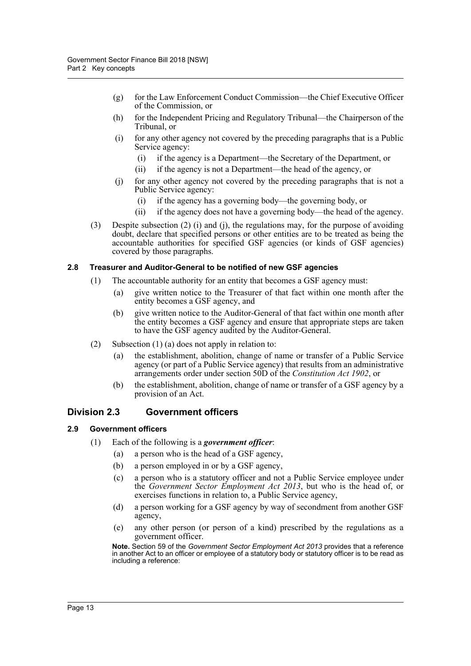- (g) for the Law Enforcement Conduct Commission—the Chief Executive Officer of the Commission, or
- (h) for the Independent Pricing and Regulatory Tribunal—the Chairperson of the Tribunal, or
- (i) for any other agency not covered by the preceding paragraphs that is a Public Service agency:
	- (i) if the agency is a Department—the Secretary of the Department, or
	- (ii) if the agency is not a Department—the head of the agency, or
- (j) for any other agency not covered by the preceding paragraphs that is not a Public Service agency:
	- (i) if the agency has a governing body—the governing body, or
	- (ii) if the agency does not have a governing body—the head of the agency.
- (3) Despite subsection (2) (i) and (j), the regulations may, for the purpose of avoiding doubt, declare that specified persons or other entities are to be treated as being the accountable authorities for specified GSF agencies (or kinds of GSF agencies) covered by those paragraphs.

# <span id="page-18-0"></span>**2.8 Treasurer and Auditor-General to be notified of new GSF agencies**

- (1) The accountable authority for an entity that becomes a GSF agency must:
	- (a) give written notice to the Treasurer of that fact within one month after the entity becomes a GSF agency, and
	- (b) give written notice to the Auditor-General of that fact within one month after the entity becomes a GSF agency and ensure that appropriate steps are taken to have the GSF agency audited by the Auditor-General.
- (2) Subsection (1) (a) does not apply in relation to:
	- (a) the establishment, abolition, change of name or transfer of a Public Service agency (or part of a Public Service agency) that results from an administrative arrangements order under section 50D of the *Constitution Act 1902*, or
	- (b) the establishment, abolition, change of name or transfer of a GSF agency by a provision of an Act.

# <span id="page-18-1"></span>**Division 2.3 Government officers**

# <span id="page-18-2"></span>**2.9 Government officers**

- (1) Each of the following is a *government officer*:
	- (a) a person who is the head of a GSF agency,
	- (b) a person employed in or by a GSF agency,
	- (c) a person who is a statutory officer and not a Public Service employee under the *Government Sector Employment Act 2013*, but who is the head of, or exercises functions in relation to, a Public Service agency,
	- (d) a person working for a GSF agency by way of secondment from another GSF agency,
	- (e) any other person (or person of a kind) prescribed by the regulations as a government officer.

**Note.** Section 59 of the *Government Sector Employment Act 2013* provides that a reference in another Act to an officer or employee of a statutory body or statutory officer is to be read as including a reference: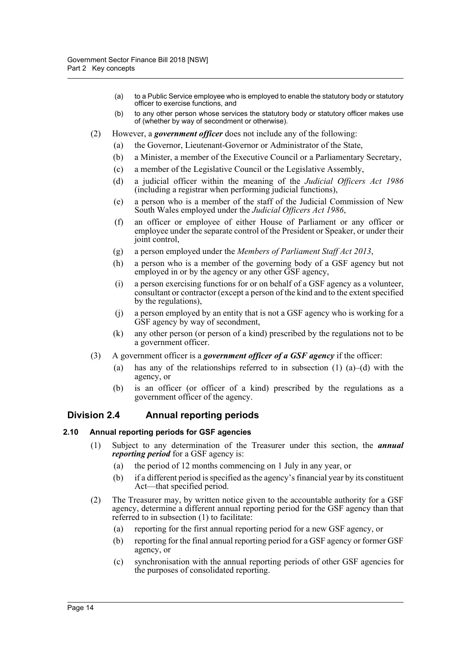- (a) to a Public Service employee who is employed to enable the statutory body or statutory officer to exercise functions, and
- (b) to any other person whose services the statutory body or statutory officer makes use of (whether by way of secondment or otherwise).
- (2) However, a *government officer* does not include any of the following:
	- (a) the Governor, Lieutenant-Governor or Administrator of the State,
	- (b) a Minister, a member of the Executive Council or a Parliamentary Secretary,
	- (c) a member of the Legislative Council or the Legislative Assembly,
	- (d) a judicial officer within the meaning of the *Judicial Officers Act 1986* (including a registrar when performing judicial functions),
	- (e) a person who is a member of the staff of the Judicial Commission of New South Wales employed under the *Judicial Officers Act 1986*,
	- (f) an officer or employee of either House of Parliament or any officer or employee under the separate control of the President or Speaker, or under their joint control,
	- (g) a person employed under the *Members of Parliament Staff Act 2013*,
	- (h) a person who is a member of the governing body of a GSF agency but not employed in or by the agency or any other GSF agency,
	- (i) a person exercising functions for or on behalf of a GSF agency as a volunteer, consultant or contractor (except a person of the kind and to the extent specified by the regulations),
	- (j) a person employed by an entity that is not a GSF agency who is working for a GSF agency by way of secondment,
	- (k) any other person (or person of a kind) prescribed by the regulations not to be a government officer.
- (3) A government officer is a *government officer of a GSF agency* if the officer:
	- (a) has any of the relationships referred to in subsection  $(1)$   $(a)$ – $(d)$  with the agency, or
	- (b) is an officer (or officer of a kind) prescribed by the regulations as a government officer of the agency.

# <span id="page-19-0"></span>**Division 2.4 Annual reporting periods**

### <span id="page-19-1"></span>**2.10 Annual reporting periods for GSF agencies**

- (1) Subject to any determination of the Treasurer under this section, the *annual reporting period* for a GSF agency is:
	- (a) the period of 12 months commencing on 1 July in any year, or
	- (b) if a different period is specified as the agency's financial year by its constituent Act—that specified period.
- (2) The Treasurer may, by written notice given to the accountable authority for a GSF agency, determine a different annual reporting period for the GSF agency than that referred to in subsection (1) to facilitate:
	- (a) reporting for the first annual reporting period for a new GSF agency, or
	- (b) reporting for the final annual reporting period for a GSF agency or former GSF agency, or
	- (c) synchronisation with the annual reporting periods of other GSF agencies for the purposes of consolidated reporting.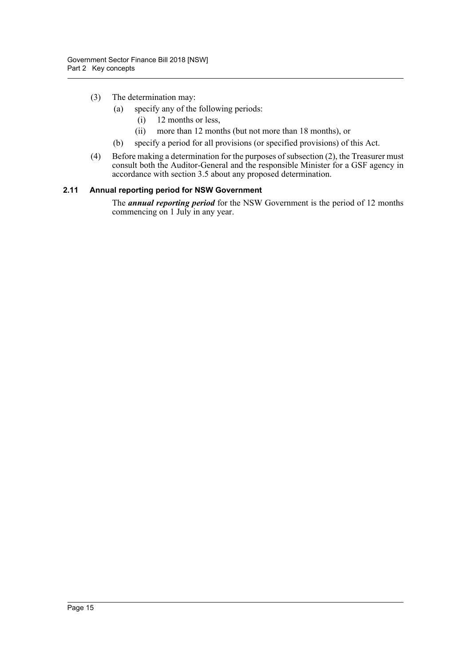- (3) The determination may:
	- (a) specify any of the following periods:
		- (i) 12 months or less,
		- (ii) more than 12 months (but not more than 18 months), or
	- (b) specify a period for all provisions (or specified provisions) of this Act.
- (4) Before making a determination for the purposes of subsection (2), the Treasurer must consult both the Auditor-General and the responsible Minister for a GSF agency in accordance with section 3.5 about any proposed determination.

# <span id="page-20-0"></span>**2.11 Annual reporting period for NSW Government**

The *annual reporting period* for the NSW Government is the period of 12 months commencing on 1 July in any year.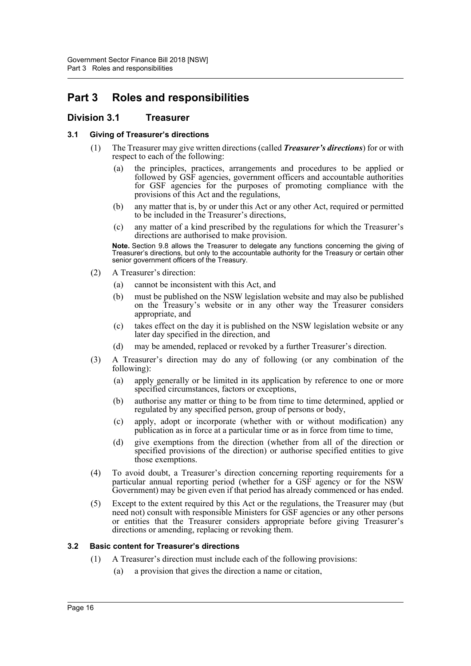# <span id="page-21-0"></span>**Part 3 Roles and responsibilities**

# <span id="page-21-1"></span>**Division 3.1 Treasurer**

# <span id="page-21-2"></span>**3.1 Giving of Treasurer's directions**

- (1) The Treasurer may give written directions (called *Treasurer's directions*) for or with respect to each of the following:
	- (a) the principles, practices, arrangements and procedures to be applied or followed by GSF agencies, government officers and accountable authorities for GSF agencies for the purposes of promoting compliance with the provisions of this Act and the regulations,
	- (b) any matter that is, by or under this Act or any other Act, required or permitted to be included in the Treasurer's directions,
	- (c) any matter of a kind prescribed by the regulations for which the Treasurer's directions are authorised to make provision.

**Note.** Section 9.8 allows the Treasurer to delegate any functions concerning the giving of Treasurer's directions, but only to the accountable authority for the Treasury or certain other senior government officers of the Treasury.

- (2) A Treasurer's direction:
	- (a) cannot be inconsistent with this Act, and
	- (b) must be published on the NSW legislation website and may also be published on the Treasury's website or in any other way the Treasurer considers appropriate, and
	- (c) takes effect on the day it is published on the NSW legislation website or any later day specified in the direction, and
	- (d) may be amended, replaced or revoked by a further Treasurer's direction.
- (3) A Treasurer's direction may do any of following (or any combination of the following):
	- (a) apply generally or be limited in its application by reference to one or more specified circumstances, factors or exceptions,
	- (b) authorise any matter or thing to be from time to time determined, applied or regulated by any specified person, group of persons or body,
	- (c) apply, adopt or incorporate (whether with or without modification) any publication as in force at a particular time or as in force from time to time,
	- (d) give exemptions from the direction (whether from all of the direction or specified provisions of the direction) or authorise specified entities to give those exemptions.
- (4) To avoid doubt, a Treasurer's direction concerning reporting requirements for a particular annual reporting period (whether for a GSF agency or for the NSW Government) may be given even if that period has already commenced or has ended.
- (5) Except to the extent required by this Act or the regulations, the Treasurer may (but need not) consult with responsible Ministers for GSF agencies or any other persons or entities that the Treasurer considers appropriate before giving Treasurer's directions or amending, replacing or revoking them.

# <span id="page-21-3"></span>**3.2 Basic content for Treasurer's directions**

- (1) A Treasurer's direction must include each of the following provisions:
	- (a) a provision that gives the direction a name or citation,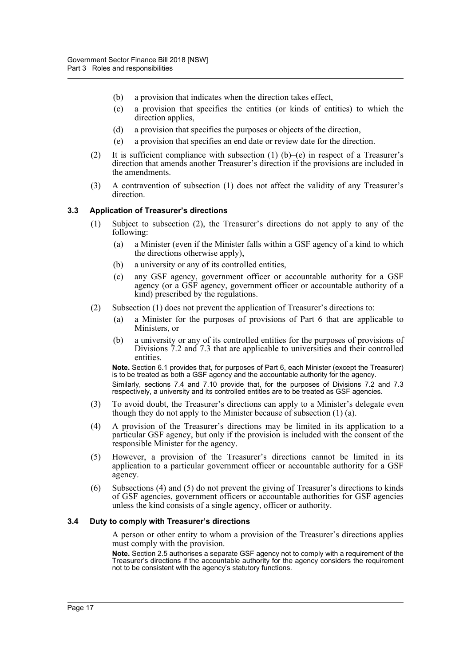- (b) a provision that indicates when the direction takes effect,
- (c) a provision that specifies the entities (or kinds of entities) to which the direction applies.
- (d) a provision that specifies the purposes or objects of the direction,
- (e) a provision that specifies an end date or review date for the direction.
- (2) It is sufficient compliance with subsection (1) (b)–(e) in respect of a Treasurer's direction that amends another Treasurer's direction if the provisions are included in the amendments.
- (3) A contravention of subsection (1) does not affect the validity of any Treasurer's direction.

#### <span id="page-22-0"></span>**3.3 Application of Treasurer's directions**

- (1) Subject to subsection (2), the Treasurer's directions do not apply to any of the following:
	- (a) a Minister (even if the Minister falls within a GSF agency of a kind to which the directions otherwise apply),
	- (b) a university or any of its controlled entities,
	- (c) any GSF agency, government officer or accountable authority for a GSF agency (or a GSF agency, government officer or accountable authority of a kind) prescribed by the regulations.
- (2) Subsection (1) does not prevent the application of Treasurer's directions to:
	- (a) a Minister for the purposes of provisions of Part 6 that are applicable to Ministers, or
	- (b) a university or any of its controlled entities for the purposes of provisions of Divisions 7.2 and 7.3 that are applicable to universities and their controlled entities.

**Note.** Section 6.1 provides that, for purposes of Part 6, each Minister (except the Treasurer) is to be treated as both a GSF agency and the accountable authority for the agency.

Similarly, sections 7.4 and 7.10 provide that, for the purposes of Divisions 7.2 and 7.3 respectively, a university and its controlled entitles are to be treated as GSF agencies.

- (3) To avoid doubt, the Treasurer's directions can apply to a Minister's delegate even though they do not apply to the Minister because of subsection (1) (a).
- (4) A provision of the Treasurer's directions may be limited in its application to a particular GSF agency, but only if the provision is included with the consent of the responsible Minister for the agency.
- (5) However, a provision of the Treasurer's directions cannot be limited in its application to a particular government officer or accountable authority for a GSF agency.
- (6) Subsections (4) and (5) do not prevent the giving of Treasurer's directions to kinds of GSF agencies, government officers or accountable authorities for GSF agencies unless the kind consists of a single agency, officer or authority.

#### <span id="page-22-1"></span>**3.4 Duty to comply with Treasurer's directions**

A person or other entity to whom a provision of the Treasurer's directions applies must comply with the provision.

**Note.** Section 2.5 authorises a separate GSF agency not to comply with a requirement of the Treasurer's directions if the accountable authority for the agency considers the requirement not to be consistent with the agency's statutory functions.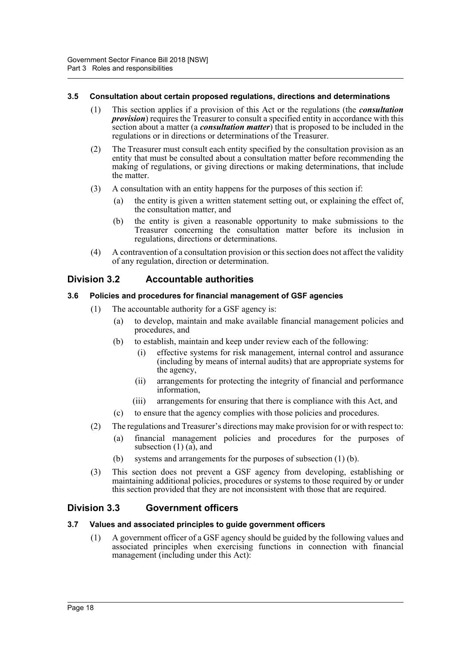### <span id="page-23-0"></span>**3.5 Consultation about certain proposed regulations, directions and determinations**

- (1) This section applies if a provision of this Act or the regulations (the *consultation provision*) requires the Treasurer to consult a specified entity in accordance with this section about a matter (a *consultation matter*) that is proposed to be included in the regulations or in directions or determinations of the Treasurer.
- (2) The Treasurer must consult each entity specified by the consultation provision as an entity that must be consulted about a consultation matter before recommending the making of regulations, or giving directions or making determinations, that include the matter.
- (3) A consultation with an entity happens for the purposes of this section if:
	- (a) the entity is given a written statement setting out, or explaining the effect of, the consultation matter, and
	- (b) the entity is given a reasonable opportunity to make submissions to the Treasurer concerning the consultation matter before its inclusion in regulations, directions or determinations.
- (4) A contravention of a consultation provision or this section does not affect the validity of any regulation, direction or determination.

# <span id="page-23-1"></span>**Division 3.2 Accountable authorities**

### <span id="page-23-2"></span>**3.6 Policies and procedures for financial management of GSF agencies**

- (1) The accountable authority for a GSF agency is:
	- (a) to develop, maintain and make available financial management policies and procedures, and
	- (b) to establish, maintain and keep under review each of the following:
		- (i) effective systems for risk management, internal control and assurance (including by means of internal audits) that are appropriate systems for the agency,
		- (ii) arrangements for protecting the integrity of financial and performance information,
		- (iii) arrangements for ensuring that there is compliance with this Act, and
	- (c) to ensure that the agency complies with those policies and procedures.
- (2) The regulations and Treasurer's directions may make provision for or with respect to:
	- (a) financial management policies and procedures for the purposes of subsection  $(1)$   $(a)$ , and
	- (b) systems and arrangements for the purposes of subsection (1) (b).
- (3) This section does not prevent a GSF agency from developing, establishing or maintaining additional policies, procedures or systems to those required by or under this section provided that they are not inconsistent with those that are required.

# <span id="page-23-3"></span>**Division 3.3 Government officers**

## <span id="page-23-4"></span>**3.7 Values and associated principles to guide government officers**

(1) A government officer of a GSF agency should be guided by the following values and associated principles when exercising functions in connection with financial management (including under this Act):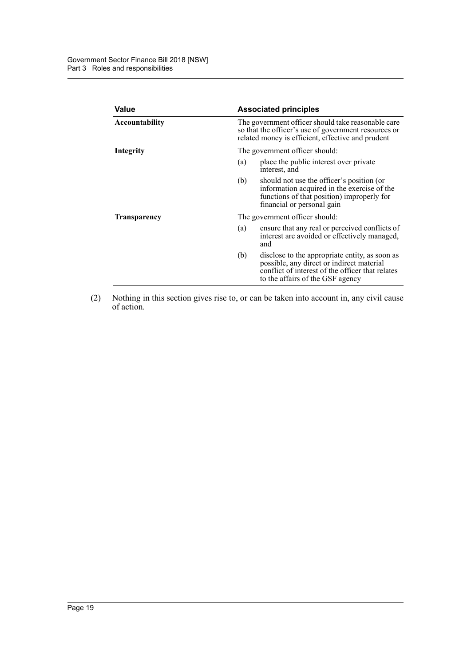| Value               |                                                                                                                                                                 | <b>Associated principles</b>                                                                                                                                                        |  |  |
|---------------------|-----------------------------------------------------------------------------------------------------------------------------------------------------------------|-------------------------------------------------------------------------------------------------------------------------------------------------------------------------------------|--|--|
| Accountability      | The government officer should take reasonable care<br>so that the officer's use of government resources or<br>related money is efficient, effective and prudent |                                                                                                                                                                                     |  |  |
| Integrity           | The government officer should:                                                                                                                                  |                                                                                                                                                                                     |  |  |
|                     | (a)                                                                                                                                                             | place the public interest over private<br>interest, and                                                                                                                             |  |  |
|                     | (b)                                                                                                                                                             | should not use the officer's position (or<br>information acquired in the exercise of the<br>functions of that position) improperly for<br>financial or personal gain                |  |  |
| <b>Transparency</b> | The government officer should:                                                                                                                                  |                                                                                                                                                                                     |  |  |
|                     | (a)                                                                                                                                                             | ensure that any real or perceived conflicts of<br>interest are avoided or effectively managed,<br>and                                                                               |  |  |
|                     | (b)                                                                                                                                                             | disclose to the appropriate entity, as soon as<br>possible, any direct or indirect material<br>conflict of interest of the officer that relates<br>to the affairs of the GSF agency |  |  |

(2) Nothing in this section gives rise to, or can be taken into account in, any civil cause of action.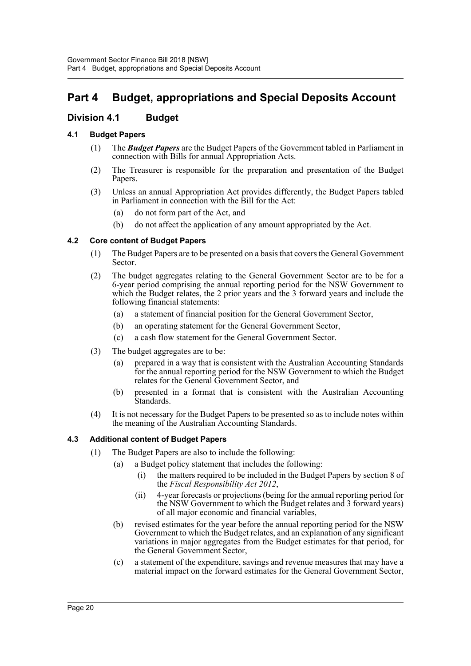# <span id="page-25-0"></span>**Part 4 Budget, appropriations and Special Deposits Account**

# <span id="page-25-1"></span>**Division 4.1 Budget**

# <span id="page-25-2"></span>**4.1 Budget Papers**

- (1) The *Budget Papers* are the Budget Papers of the Government tabled in Parliament in connection with Bills for annual Appropriation Acts.
- (2) The Treasurer is responsible for the preparation and presentation of the Budget Papers.
- (3) Unless an annual Appropriation Act provides differently, the Budget Papers tabled in Parliament in connection with the Bill for the Act:
	- (a) do not form part of the Act, and
	- (b) do not affect the application of any amount appropriated by the Act.

# <span id="page-25-3"></span>**4.2 Core content of Budget Papers**

- (1) The Budget Papers are to be presented on a basis that covers the General Government Sector.
- (2) The budget aggregates relating to the General Government Sector are to be for a 6-year period comprising the annual reporting period for the NSW Government to which the Budget relates, the 2 prior years and the 3 forward years and include the following financial statements:
	- (a) a statement of financial position for the General Government Sector,
	- (b) an operating statement for the General Government Sector,
	- (c) a cash flow statement for the General Government Sector.
- (3) The budget aggregates are to be:
	- (a) prepared in a way that is consistent with the Australian Accounting Standards for the annual reporting period for the NSW Government to which the Budget relates for the General Government Sector, and
	- (b) presented in a format that is consistent with the Australian Accounting Standards.
- (4) It is not necessary for the Budget Papers to be presented so as to include notes within the meaning of the Australian Accounting Standards.

# <span id="page-25-4"></span>**4.3 Additional content of Budget Papers**

- (1) The Budget Papers are also to include the following:
	- (a) a Budget policy statement that includes the following:
		- (i) the matters required to be included in the Budget Papers by section 8 of the *Fiscal Responsibility Act 2012*,
		- (ii) 4-year forecasts or projections (being for the annual reporting period for the NSW Government to which the Budget relates and 3 forward years) of all major economic and financial variables,
	- (b) revised estimates for the year before the annual reporting period for the NSW Government to which the Budget relates, and an explanation of any significant variations in major aggregates from the Budget estimates for that period, for the General Government Sector,
	- (c) a statement of the expenditure, savings and revenue measures that may have a material impact on the forward estimates for the General Government Sector,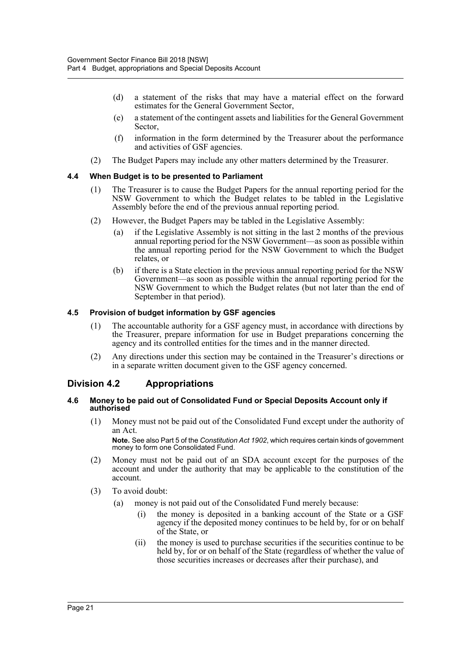- (d) a statement of the risks that may have a material effect on the forward estimates for the General Government Sector,
- (e) a statement of the contingent assets and liabilities for the General Government Sector,
- (f) information in the form determined by the Treasurer about the performance and activities of GSF agencies.
- (2) The Budget Papers may include any other matters determined by the Treasurer.

### <span id="page-26-0"></span>**4.4 When Budget is to be presented to Parliament**

- (1) The Treasurer is to cause the Budget Papers for the annual reporting period for the NSW Government to which the Budget relates to be tabled in the Legislative Assembly before the end of the previous annual reporting period.
- (2) However, the Budget Papers may be tabled in the Legislative Assembly:
	- (a) if the Legislative Assembly is not sitting in the last 2 months of the previous annual reporting period for the NSW Government—as soon as possible within the annual reporting period for the NSW Government to which the Budget relates, or
	- (b) if there is a State election in the previous annual reporting period for the NSW Government—as soon as possible within the annual reporting period for the NSW Government to which the Budget relates (but not later than the end of September in that period).

#### <span id="page-26-1"></span>**4.5 Provision of budget information by GSF agencies**

- (1) The accountable authority for a GSF agency must, in accordance with directions by the Treasurer, prepare information for use in Budget preparations concerning the agency and its controlled entities for the times and in the manner directed.
- (2) Any directions under this section may be contained in the Treasurer's directions or in a separate written document given to the GSF agency concerned.

# <span id="page-26-2"></span>**Division 4.2 Appropriations**

#### <span id="page-26-3"></span>**4.6 Money to be paid out of Consolidated Fund or Special Deposits Account only if authorised**

(1) Money must not be paid out of the Consolidated Fund except under the authority of an Act.

**Note.** See also Part 5 of the *Constitution Act 1902*, which requires certain kinds of government money to form one Consolidated Fund.

- (2) Money must not be paid out of an SDA account except for the purposes of the account and under the authority that may be applicable to the constitution of the account.
- (3) To avoid doubt:
	- (a) money is not paid out of the Consolidated Fund merely because:
		- (i) the money is deposited in a banking account of the State or a GSF agency if the deposited money continues to be held by, for or on behalf of the State, or
		- (ii) the money is used to purchase securities if the securities continue to be held by, for or on behalf of the State (regardless of whether the value of those securities increases or decreases after their purchase), and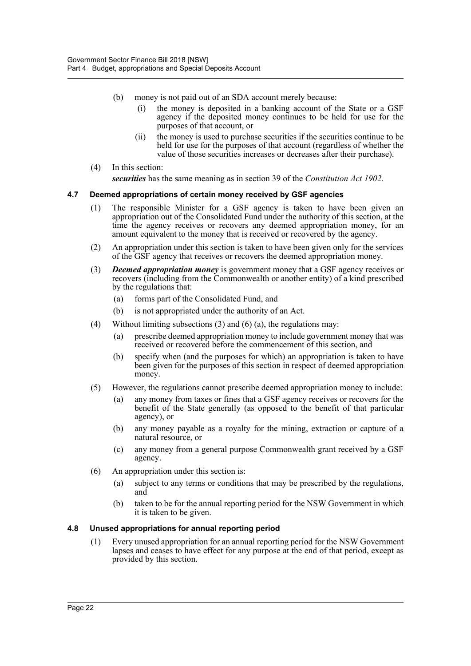- (b) money is not paid out of an SDA account merely because:
	- (i) the money is deposited in a banking account of the State or a GSF agency if the deposited money continues to be held for use for the purposes of that account, or
	- (ii) the money is used to purchase securities if the securities continue to be held for use for the purposes of that account (regardless of whether the value of those securities increases or decreases after their purchase).
- (4) In this section:

*securities* has the same meaning as in section 39 of the *Constitution Act 1902*.

### <span id="page-27-0"></span>**4.7 Deemed appropriations of certain money received by GSF agencies**

- (1) The responsible Minister for a GSF agency is taken to have been given an appropriation out of the Consolidated Fund under the authority of this section, at the time the agency receives or recovers any deemed appropriation money, for an amount equivalent to the money that is received or recovered by the agency.
- (2) An appropriation under this section is taken to have been given only for the services of the GSF agency that receives or recovers the deemed appropriation money.
- (3) *Deemed appropriation money* is government money that a GSF agency receives or recovers (including from the Commonwealth or another entity) of a kind prescribed by the regulations that:
	- (a) forms part of the Consolidated Fund, and
	- (b) is not appropriated under the authority of an Act.
- (4) Without limiting subsections  $(3)$  and  $(6)$   $(a)$ , the regulations may:
	- (a) prescribe deemed appropriation money to include government money that was received or recovered before the commencement of this section, and
	- (b) specify when (and the purposes for which) an appropriation is taken to have been given for the purposes of this section in respect of deemed appropriation money.
- (5) However, the regulations cannot prescribe deemed appropriation money to include:
	- (a) any money from taxes or fines that a GSF agency receives or recovers for the benefit of the State generally (as opposed to the benefit of that particular agency), or
	- (b) any money payable as a royalty for the mining, extraction or capture of a natural resource, or
	- (c) any money from a general purpose Commonwealth grant received by a GSF agency.
- (6) An appropriation under this section is:
	- (a) subject to any terms or conditions that may be prescribed by the regulations, and
	- (b) taken to be for the annual reporting period for the NSW Government in which it is taken to be given.

#### <span id="page-27-1"></span>**4.8 Unused appropriations for annual reporting period**

(1) Every unused appropriation for an annual reporting period for the NSW Government lapses and ceases to have effect for any purpose at the end of that period, except as provided by this section.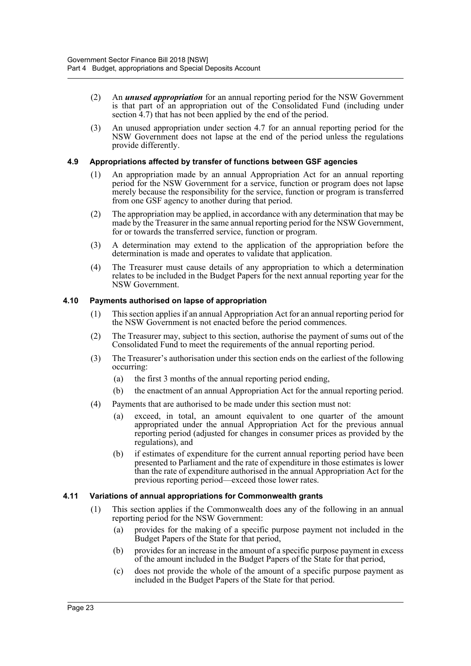- (2) An *unused appropriation* for an annual reporting period for the NSW Government is that part of an appropriation out of the Consolidated Fund (including under section 4.7) that has not been applied by the end of the period.
- (3) An unused appropriation under section 4.7 for an annual reporting period for the NSW Government does not lapse at the end of the period unless the regulations provide differently.

## <span id="page-28-0"></span>**4.9 Appropriations affected by transfer of functions between GSF agencies**

- (1) An appropriation made by an annual Appropriation Act for an annual reporting period for the NSW Government for a service, function or program does not lapse merely because the responsibility for the service, function or program is transferred from one GSF agency to another during that period.
- (2) The appropriation may be applied, in accordance with any determination that may be made by the Treasurer in the same annual reporting period for the NSW Government, for or towards the transferred service, function or program.
- (3) A determination may extend to the application of the appropriation before the determination is made and operates to validate that application.
- (4) The Treasurer must cause details of any appropriation to which a determination relates to be included in the Budget Papers for the next annual reporting year for the NSW Government.

# <span id="page-28-1"></span>**4.10 Payments authorised on lapse of appropriation**

- (1) This section applies if an annual Appropriation Act for an annual reporting period for the NSW Government is not enacted before the period commences.
- (2) The Treasurer may, subject to this section, authorise the payment of sums out of the Consolidated Fund to meet the requirements of the annual reporting period.
- (3) The Treasurer's authorisation under this section ends on the earliest of the following occurring:
	- (a) the first 3 months of the annual reporting period ending,
	- (b) the enactment of an annual Appropriation Act for the annual reporting period.
- (4) Payments that are authorised to be made under this section must not:
	- (a) exceed, in total, an amount equivalent to one quarter of the amount appropriated under the annual Appropriation Act for the previous annual reporting period (adjusted for changes in consumer prices as provided by the regulations), and
	- (b) if estimates of expenditure for the current annual reporting period have been presented to Parliament and the rate of expenditure in those estimates is lower than the rate of expenditure authorised in the annual Appropriation Act for the previous reporting period—exceed those lower rates.

### <span id="page-28-2"></span>**4.11 Variations of annual appropriations for Commonwealth grants**

- (1) This section applies if the Commonwealth does any of the following in an annual reporting period for the NSW Government:
	- (a) provides for the making of a specific purpose payment not included in the Budget Papers of the State for that period,
	- (b) provides for an increase in the amount of a specific purpose payment in excess of the amount included in the Budget Papers of the State for that period,
	- (c) does not provide the whole of the amount of a specific purpose payment as included in the Budget Papers of the State for that period.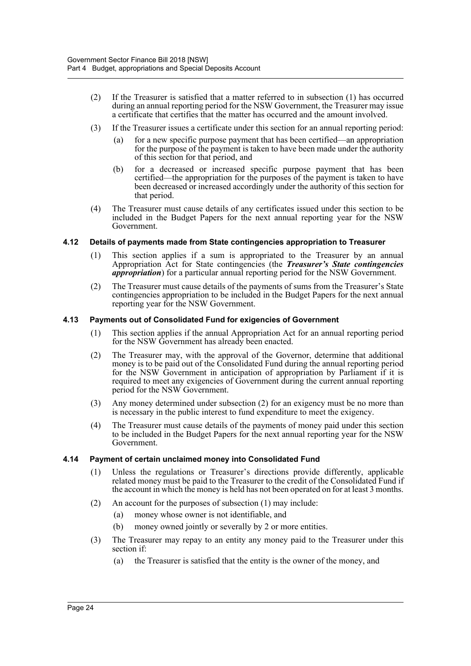- (2) If the Treasurer is satisfied that a matter referred to in subsection (1) has occurred during an annual reporting period for the NSW Government, the Treasurer may issue a certificate that certifies that the matter has occurred and the amount involved.
- (3) If the Treasurer issues a certificate under this section for an annual reporting period:
	- (a) for a new specific purpose payment that has been certified—an appropriation for the purpose of the payment is taken to have been made under the authority of this section for that period, and
	- (b) for a decreased or increased specific purpose payment that has been certified—the appropriation for the purposes of the payment is taken to have been decreased or increased accordingly under the authority of this section for that period.
- (4) The Treasurer must cause details of any certificates issued under this section to be included in the Budget Papers for the next annual reporting year for the NSW Government.

#### <span id="page-29-0"></span>**4.12 Details of payments made from State contingencies appropriation to Treasurer**

- (1) This section applies if a sum is appropriated to the Treasurer by an annual Appropriation Act for State contingencies (the *Treasurer's State contingencies appropriation*) for a particular annual reporting period for the NSW Government.
- (2) The Treasurer must cause details of the payments of sums from the Treasurer's State contingencies appropriation to be included in the Budget Papers for the next annual reporting year for the NSW Government.

#### <span id="page-29-1"></span>**4.13 Payments out of Consolidated Fund for exigencies of Government**

- (1) This section applies if the annual Appropriation Act for an annual reporting period for the NSW Government has already been enacted.
- (2) The Treasurer may, with the approval of the Governor, determine that additional money is to be paid out of the Consolidated Fund during the annual reporting period for the NSW Government in anticipation of appropriation by Parliament if it is required to meet any exigencies of Government during the current annual reporting period for the NSW Government.
- (3) Any money determined under subsection (2) for an exigency must be no more than is necessary in the public interest to fund expenditure to meet the exigency.
- (4) The Treasurer must cause details of the payments of money paid under this section to be included in the Budget Papers for the next annual reporting year for the NSW Government.

#### <span id="page-29-2"></span>**4.14 Payment of certain unclaimed money into Consolidated Fund**

- (1) Unless the regulations or Treasurer's directions provide differently, applicable related money must be paid to the Treasurer to the credit of the Consolidated Fund if the account in which the money is held has not been operated on for at least 3 months.
- (2) An account for the purposes of subsection (1) may include:
	- (a) money whose owner is not identifiable, and
	- (b) money owned jointly or severally by 2 or more entities.
- (3) The Treasurer may repay to an entity any money paid to the Treasurer under this section if:
	- (a) the Treasurer is satisfied that the entity is the owner of the money, and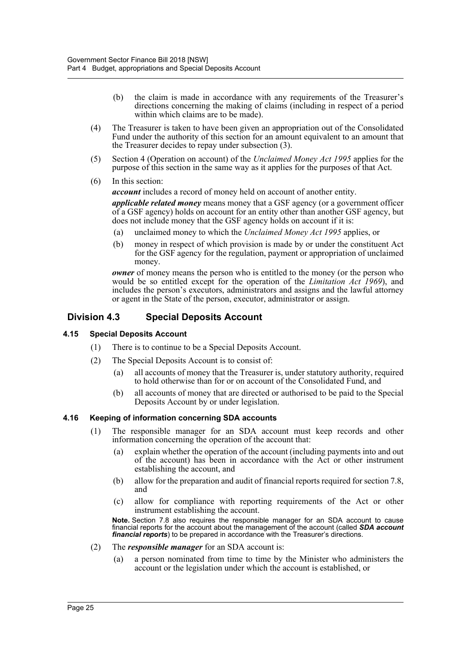- (b) the claim is made in accordance with any requirements of the Treasurer's directions concerning the making of claims (including in respect of a period within which claims are to be made).
- (4) The Treasurer is taken to have been given an appropriation out of the Consolidated Fund under the authority of this section for an amount equivalent to an amount that the Treasurer decides to repay under subsection (3).
- (5) Section 4 (Operation on account) of the *Unclaimed Money Act 1995* applies for the purpose of this section in the same way as it applies for the purposes of that Act.
- (6) In this section:

*account* includes a record of money held on account of another entity.

*applicable related money* means money that a GSF agency (or a government officer of a GSF agency) holds on account for an entity other than another GSF agency, but does not include money that the GSF agency holds on account if it is:

- (a) unclaimed money to which the *Unclaimed Money Act 1995* applies, or
- (b) money in respect of which provision is made by or under the constituent Act for the GSF agency for the regulation, payment or appropriation of unclaimed money.

*owner* of money means the person who is entitled to the money (or the person who would be so entitled except for the operation of the *Limitation Act 1969*), and includes the person's executors, administrators and assigns and the lawful attorney or agent in the State of the person, executor, administrator or assign.

# <span id="page-30-0"></span>**Division 4.3 Special Deposits Account**

# <span id="page-30-1"></span>**4.15 Special Deposits Account**

- (1) There is to continue to be a Special Deposits Account.
- (2) The Special Deposits Account is to consist of:
	- (a) all accounts of money that the Treasurer is, under statutory authority, required to hold otherwise than for or on account of the Consolidated Fund, and
	- (b) all accounts of money that are directed or authorised to be paid to the Special Deposits Account by or under legislation.

### <span id="page-30-2"></span>**4.16 Keeping of information concerning SDA accounts**

- (1) The responsible manager for an SDA account must keep records and other information concerning the operation of the account that:
	- (a) explain whether the operation of the account (including payments into and out of the account) has been in accordance with the Act or other instrument establishing the account, and
	- (b) allow for the preparation and audit of financial reports required for section 7.8, and
	- (c) allow for compliance with reporting requirements of the Act or other instrument establishing the account.

**Note.** Section 7.8 also requires the responsible manager for an SDA account to cause financial reports for the account about the management of the account (called *SDA account financial reports*) to be prepared in accordance with the Treasurer's directions.

- (2) The *responsible manager* for an SDA account is:
	- (a) a person nominated from time to time by the Minister who administers the account or the legislation under which the account is established, or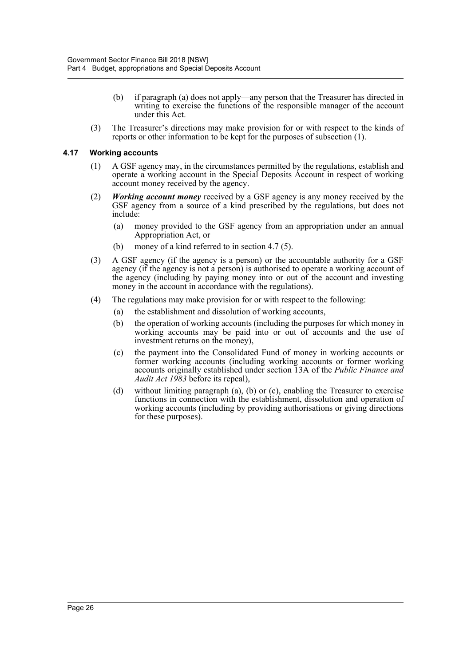- (b) if paragraph (a) does not apply—any person that the Treasurer has directed in writing to exercise the functions of the responsible manager of the account under this Act.
- (3) The Treasurer's directions may make provision for or with respect to the kinds of reports or other information to be kept for the purposes of subsection (1).

#### <span id="page-31-0"></span>**4.17 Working accounts**

- (1) A GSF agency may, in the circumstances permitted by the regulations, establish and operate a working account in the Special Deposits Account in respect of working account money received by the agency.
- (2) *Working account money* received by a GSF agency is any money received by the GSF agency from a source of a kind prescribed by the regulations, but does not include:
	- (a) money provided to the GSF agency from an appropriation under an annual Appropriation Act, or
	- (b) money of a kind referred to in section 4.7 (5).
- (3) A GSF agency (if the agency is a person) or the accountable authority for a GSF agency (if the agency is not a person) is authorised to operate a working account of the agency (including by paying money into or out of the account and investing money in the account in accordance with the regulations).
- (4) The regulations may make provision for or with respect to the following:
	- (a) the establishment and dissolution of working accounts,
	- (b) the operation of working accounts (including the purposes for which money in working accounts may be paid into or out of accounts and the use of investment returns on the money),
	- (c) the payment into the Consolidated Fund of money in working accounts or former working accounts (including working accounts or former working accounts originally established under section 13A of the *Public Finance and Audit Act 1983* before its repeal),
	- (d) without limiting paragraph (a), (b) or (c), enabling the Treasurer to exercise functions in connection with the establishment, dissolution and operation of working accounts (including by providing authorisations or giving directions for these purposes).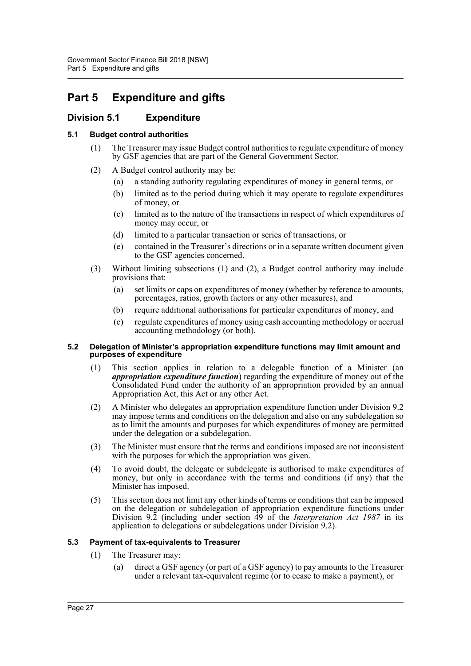# <span id="page-32-0"></span>**Part 5 Expenditure and gifts**

# <span id="page-32-1"></span>**Division 5.1 Expenditure**

# <span id="page-32-2"></span>**5.1 Budget control authorities**

- (1) The Treasurer may issue Budget control authorities to regulate expenditure of money by GSF agencies that are part of the General Government Sector.
- (2) A Budget control authority may be:
	- (a) a standing authority regulating expenditures of money in general terms, or
	- (b) limited as to the period during which it may operate to regulate expenditures of money, or
	- (c) limited as to the nature of the transactions in respect of which expenditures of money may occur, or
	- (d) limited to a particular transaction or series of transactions, or
	- (e) contained in the Treasurer's directions or in a separate written document given to the GSF agencies concerned.
- (3) Without limiting subsections (1) and (2), a Budget control authority may include provisions that:
	- (a) set limits or caps on expenditures of money (whether by reference to amounts, percentages, ratios, growth factors or any other measures), and
	- (b) require additional authorisations for particular expenditures of money, and
	- (c) regulate expenditures of money using cash accounting methodology or accrual accounting methodology (or both).

#### <span id="page-32-3"></span>**5.2 Delegation of Minister's appropriation expenditure functions may limit amount and purposes of expenditure**

- (1) This section applies in relation to a delegable function of a Minister (an *appropriation expenditure function*) regarding the expenditure of money out of the Consolidated Fund under the authority of an appropriation provided by an annual Appropriation Act, this Act or any other Act.
- (2) A Minister who delegates an appropriation expenditure function under Division 9.2 may impose terms and conditions on the delegation and also on any subdelegation so as to limit the amounts and purposes for which expenditures of money are permitted under the delegation or a subdelegation.
- (3) The Minister must ensure that the terms and conditions imposed are not inconsistent with the purposes for which the appropriation was given.
- (4) To avoid doubt, the delegate or subdelegate is authorised to make expenditures of money, but only in accordance with the terms and conditions (if any) that the Minister has imposed.
- (5) This section does not limit any other kinds of terms or conditions that can be imposed on the delegation or subdelegation of appropriation expenditure functions under Division 9.2 (including under section 49 of the *Interpretation Act 1987* in its application to delegations or subdelegations under Division 9.2).

# <span id="page-32-4"></span>**5.3 Payment of tax-equivalents to Treasurer**

- (1) The Treasurer may:
	- (a) direct a GSF agency (or part of a GSF agency) to pay amounts to the Treasurer under a relevant tax-equivalent regime (or to cease to make a payment), or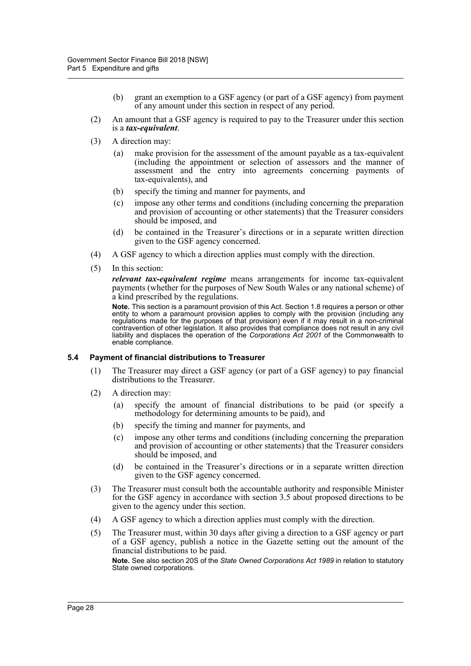- (b) grant an exemption to a GSF agency (or part of a GSF agency) from payment of any amount under this section in respect of any period.
- (2) An amount that a GSF agency is required to pay to the Treasurer under this section is a *tax-equivalent*.
- (3) A direction may:
	- (a) make provision for the assessment of the amount payable as a tax-equivalent (including the appointment or selection of assessors and the manner of assessment and the entry into agreements concerning payments of tax-equivalents), and
	- (b) specify the timing and manner for payments, and
	- (c) impose any other terms and conditions (including concerning the preparation and provision of accounting or other statements) that the Treasurer considers should be imposed, and
	- (d) be contained in the Treasurer's directions or in a separate written direction given to the GSF agency concerned.
- (4) A GSF agency to which a direction applies must comply with the direction.
- (5) In this section:

*relevant tax-equivalent regime* means arrangements for income tax-equivalent payments (whether for the purposes of New South Wales or any national scheme) of a kind prescribed by the regulations.

**Note.** This section is a paramount provision of this Act. Section 1.8 requires a person or other entity to whom a paramount provision applies to comply with the provision (including any regulations made for the purposes of that provision) even if it may result in a non-criminal contravention of other legislation. It also provides that compliance does not result in any civil liability and displaces the operation of the *Corporations Act 2001* of the Commonwealth to enable compliance.

### <span id="page-33-0"></span>**5.4 Payment of financial distributions to Treasurer**

- (1) The Treasurer may direct a GSF agency (or part of a GSF agency) to pay financial distributions to the Treasurer.
- (2) A direction may:
	- (a) specify the amount of financial distributions to be paid (or specify a methodology for determining amounts to be paid), and
	- (b) specify the timing and manner for payments, and
	- (c) impose any other terms and conditions (including concerning the preparation and provision of accounting or other statements) that the Treasurer considers should be imposed, and
	- (d) be contained in the Treasurer's directions or in a separate written direction given to the GSF agency concerned.
- (3) The Treasurer must consult both the accountable authority and responsible Minister for the GSF agency in accordance with section 3.5 about proposed directions to be given to the agency under this section.
- (4) A GSF agency to which a direction applies must comply with the direction.
- (5) The Treasurer must, within 30 days after giving a direction to a GSF agency or part of a GSF agency, publish a notice in the Gazette setting out the amount of the financial distributions to be paid.

**Note.** See also section 20S of the *State Owned Corporations Act 1989* in relation to statutory State owned corporations.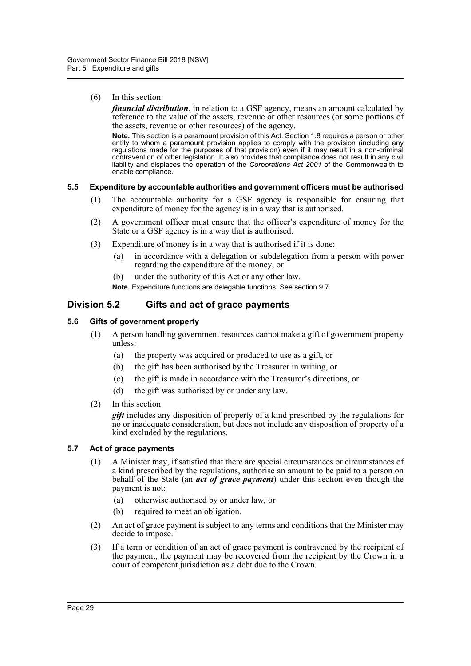#### (6) In this section:

*financial distribution*, in relation to a GSF agency, means an amount calculated by reference to the value of the assets, revenue or other resources (or some portions of the assets, revenue or other resources) of the agency.

**Note.** This section is a paramount provision of this Act. Section 1.8 requires a person or other entity to whom a paramount provision applies to comply with the provision (including any regulations made for the purposes of that provision) even if it may result in a non-criminal contravention of other legislation. It also provides that compliance does not result in any civil liability and displaces the operation of the *Corporations Act 2001* of the Commonwealth to enable compliance.

#### <span id="page-34-0"></span>**5.5 Expenditure by accountable authorities and government officers must be authorised**

- (1) The accountable authority for a GSF agency is responsible for ensuring that expenditure of money for the agency is in a way that is authorised.
- (2) A government officer must ensure that the officer's expenditure of money for the State or a GSF agency is in a way that is authorised.
- (3) Expenditure of money is in a way that is authorised if it is done:
	- (a) in accordance with a delegation or subdelegation from a person with power regarding the expenditure of the money, or
	- (b) under the authority of this Act or any other law.
	- **Note.** Expenditure functions are delegable functions. See section 9.7.

# <span id="page-34-1"></span>**Division 5.2 Gifts and act of grace payments**

#### <span id="page-34-2"></span>**5.6 Gifts of government property**

- (1) A person handling government resources cannot make a gift of government property unless:
	- (a) the property was acquired or produced to use as a gift, or
	- (b) the gift has been authorised by the Treasurer in writing, or
	- (c) the gift is made in accordance with the Treasurer's directions, or
	- (d) the gift was authorised by or under any law.
- (2) In this section:

*gift* includes any disposition of property of a kind prescribed by the regulations for no or inadequate consideration, but does not include any disposition of property of a kind excluded by the regulations.

#### <span id="page-34-3"></span>**5.7 Act of grace payments**

- (1) A Minister may, if satisfied that there are special circumstances or circumstances of a kind prescribed by the regulations, authorise an amount to be paid to a person on behalf of the State (an *act of grace payment*) under this section even though the payment is not:
	- (a) otherwise authorised by or under law, or
	- (b) required to meet an obligation.
- (2) An act of grace payment is subject to any terms and conditions that the Minister may decide to impose.
- (3) If a term or condition of an act of grace payment is contravened by the recipient of the payment, the payment may be recovered from the recipient by the Crown in a court of competent jurisdiction as a debt due to the Crown.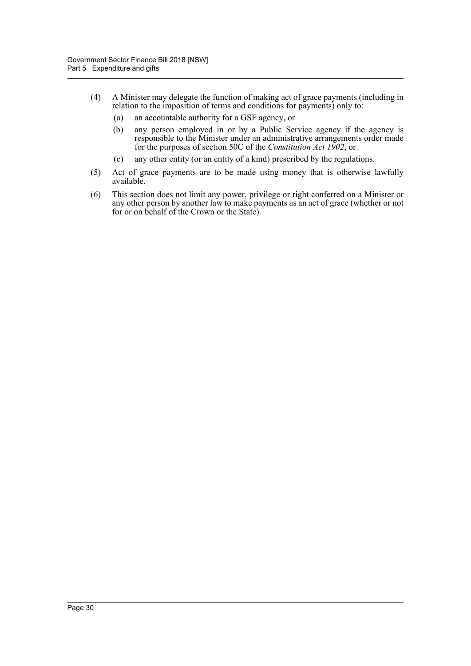- (4) A Minister may delegate the function of making act of grace payments (including in relation to the imposition of terms and conditions for payments) only to:
	- (a) an accountable authority for a GSF agency, or
	- (b) any person employed in or by a Public Service agency if the agency is responsible to the Minister under an administrative arrangements order made for the purposes of section 50C of the *Constitution Act 1902*, or
	- (c) any other entity (or an entity of a kind) prescribed by the regulations.
- (5) Act of grace payments are to be made using money that is otherwise lawfully available.
- (6) This section does not limit any power, privilege or right conferred on a Minister or any other person by another law to make payments as an act of grace (whether or not for or on behalf of the Crown or the State).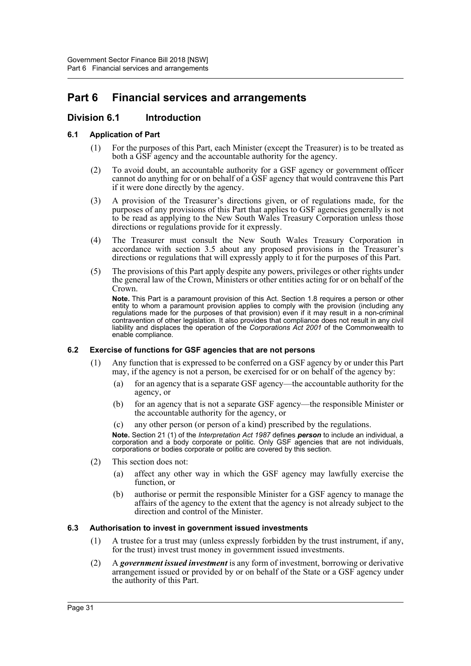# **Part 6 Financial services and arrangements**

# **Division 6.1 Introduction**

# **6.1 Application of Part**

- (1) For the purposes of this Part, each Minister (except the Treasurer) is to be treated as both a GSF agency and the accountable authority for the agency.
- (2) To avoid doubt, an accountable authority for a GSF agency or government officer cannot do anything for or on behalf of a GSF agency that would contravene this Part if it were done directly by the agency.
- (3) A provision of the Treasurer's directions given, or of regulations made, for the purposes of any provisions of this Part that applies to GSF agencies generally is not to be read as applying to the New South Wales Treasury Corporation unless those directions or regulations provide for it expressly.
- (4) The Treasurer must consult the New South Wales Treasury Corporation in accordance with section 3.5 about any proposed provisions in the Treasurer's directions or regulations that will expressly apply to it for the purposes of this Part.
- (5) The provisions of this Part apply despite any powers, privileges or other rights under the general law of the Crown, Ministers or other entities acting for or on behalf of the Crown.

**Note.** This Part is a paramount provision of this Act. Section 1.8 requires a person or other entity to whom a paramount provision applies to comply with the provision (including any regulations made for the purposes of that provision) even if it may result in a non-criminal contravention of other legislation. It also provides that compliance does not result in any civil liability and displaces the operation of the *Corporations Act 2001* of the Commonwealth to enable compliance.

## **6.2 Exercise of functions for GSF agencies that are not persons**

- (1) Any function that is expressed to be conferred on a GSF agency by or under this Part may, if the agency is not a person, be exercised for or on behalf of the agency by:
	- (a) for an agency that is a separate GSF agency—the accountable authority for the agency, or
	- (b) for an agency that is not a separate GSF agency—the responsible Minister or the accountable authority for the agency, or
	- (c) any other person (or person of a kind) prescribed by the regulations.

**Note.** Section 21 (1) of the *Interpretation Act 1987* defines *person* to include an individual, a corporation and a body corporate or politic. Only GSF agencies that are not individuals, corporations or bodies corporate or politic are covered by this section.

- (2) This section does not:
	- (a) affect any other way in which the GSF agency may lawfully exercise the function, or
	- (b) authorise or permit the responsible Minister for a GSF agency to manage the affairs of the agency to the extent that the agency is not already subject to the direction and control of the Minister.

## **6.3 Authorisation to invest in government issued investments**

- (1) A trustee for a trust may (unless expressly forbidden by the trust instrument, if any, for the trust) invest trust money in government issued investments.
- (2) A *government issued investment* is any form of investment, borrowing or derivative arrangement issued or provided by or on behalf of the State or a GSF agency under the authority of this Part.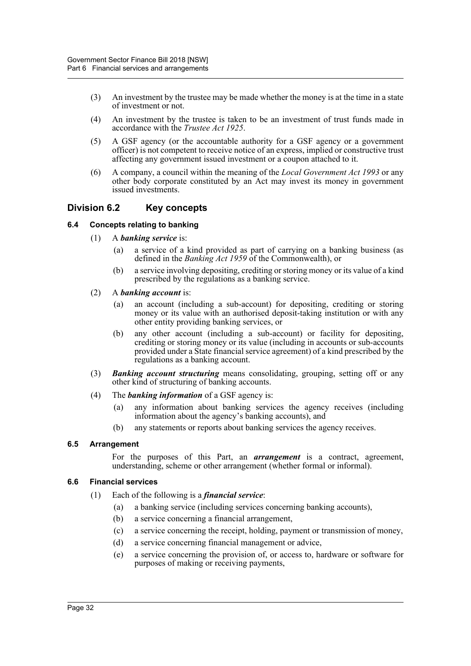- (3) An investment by the trustee may be made whether the money is at the time in a state of investment or not.
- (4) An investment by the trustee is taken to be an investment of trust funds made in accordance with the *Trustee Act 1925*.
- (5) A GSF agency (or the accountable authority for a GSF agency or a government officer) is not competent to receive notice of an express, implied or constructive trust affecting any government issued investment or a coupon attached to it.
- (6) A company, a council within the meaning of the *Local Government Act 1993* or any other body corporate constituted by an Act may invest its money in government issued investments.

# **Division 6.2 Key concepts**

# **6.4 Concepts relating to banking**

- (1) A *banking service* is:
	- (a) a service of a kind provided as part of carrying on a banking business (as defined in the *Banking Act 1959* of the Commonwealth), or
	- (b) a service involving depositing, crediting or storing money or its value of a kind prescribed by the regulations as a banking service.
- (2) A *banking account* is:
	- (a) an account (including a sub-account) for depositing, crediting or storing money or its value with an authorised deposit-taking institution or with any other entity providing banking services, or
	- (b) any other account (including a sub-account) or facility for depositing, crediting or storing money or its value (including in accounts or sub-accounts provided under a State financial service agreement) of a kind prescribed by the regulations as a banking account.
- (3) *Banking account structuring* means consolidating, grouping, setting off or any other kind of structuring of banking accounts.
- (4) The *banking information* of a GSF agency is:
	- (a) any information about banking services the agency receives (including information about the agency's banking accounts), and
	- (b) any statements or reports about banking services the agency receives.

## **6.5 Arrangement**

For the purposes of this Part, an *arrangement* is a contract, agreement, understanding, scheme or other arrangement (whether formal or informal).

## **6.6 Financial services**

- (1) Each of the following is a *financial service*:
	- (a) a banking service (including services concerning banking accounts),
	- (b) a service concerning a financial arrangement,
	- (c) a service concerning the receipt, holding, payment or transmission of money,
	- (d) a service concerning financial management or advice,
	- (e) a service concerning the provision of, or access to, hardware or software for purposes of making or receiving payments,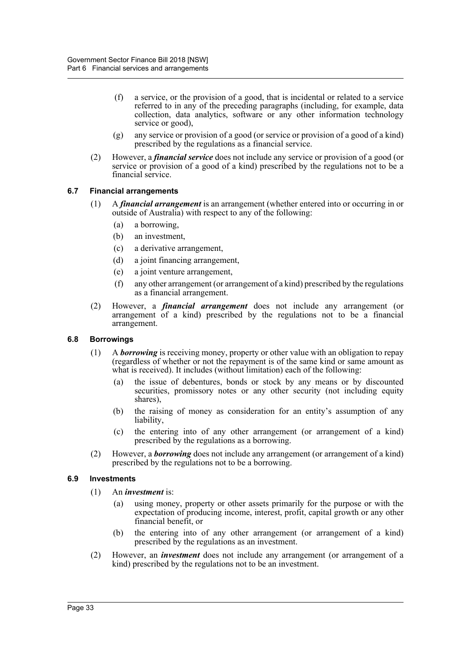- (f) a service, or the provision of a good, that is incidental or related to a service referred to in any of the preceding paragraphs (including, for example, data collection, data analytics, software or any other information technology service or good),
- (g) any service or provision of a good (or service or provision of a good of a kind) prescribed by the regulations as a financial service.
- (2) However, a *financial service* does not include any service or provision of a good (or service or provision of a good of a kind) prescribed by the regulations not to be a financial service.

# **6.7 Financial arrangements**

- (1) A *financial arrangement* is an arrangement (whether entered into or occurring in or outside of Australia) with respect to any of the following:
	- (a) a borrowing,
	- (b) an investment,
	- (c) a derivative arrangement,
	- (d) a joint financing arrangement,
	- (e) a joint venture arrangement,
	- (f) any other arrangement (or arrangement of a kind) prescribed by the regulations as a financial arrangement.
- (2) However, a *financial arrangement* does not include any arrangement (or arrangement of a kind) prescribed by the regulations not to be a financial arrangement.

## **6.8 Borrowings**

- (1) A *borrowing* is receiving money, property or other value with an obligation to repay (regardless of whether or not the repayment is of the same kind or same amount as what is received). It includes (without limitation) each of the following:
	- (a) the issue of debentures, bonds or stock by any means or by discounted securities, promissory notes or any other security (not including equity shares),
	- (b) the raising of money as consideration for an entity's assumption of any liability,
	- (c) the entering into of any other arrangement (or arrangement of a kind) prescribed by the regulations as a borrowing.
- (2) However, a *borrowing* does not include any arrangement (or arrangement of a kind) prescribed by the regulations not to be a borrowing.

## **6.9 Investments**

- (1) An *investment* is:
	- (a) using money, property or other assets primarily for the purpose or with the expectation of producing income, interest, profit, capital growth or any other financial benefit, or
	- (b) the entering into of any other arrangement (or arrangement of a kind) prescribed by the regulations as an investment.
- (2) However, an *investment* does not include any arrangement (or arrangement of a kind) prescribed by the regulations not to be an investment.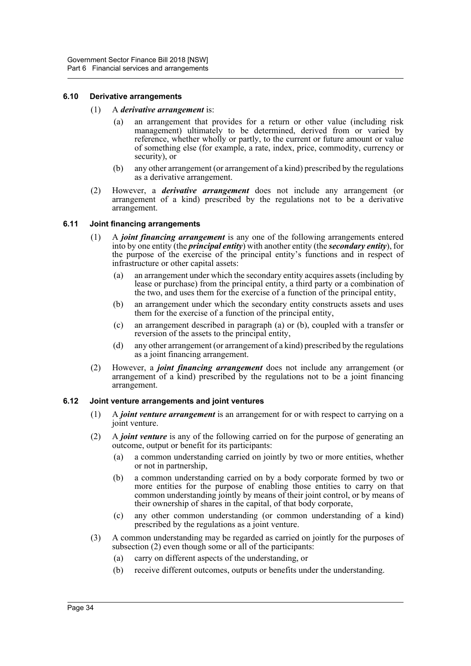#### **6.10 Derivative arrangements**

- (1) A *derivative arrangement* is:
	- (a) an arrangement that provides for a return or other value (including risk management) ultimately to be determined, derived from or varied by reference, whether wholly or partly, to the current or future amount or value of something else (for example, a rate, index, price, commodity, currency or security), or
	- (b) any other arrangement (or arrangement of a kind) prescribed by the regulations as a derivative arrangement.
- (2) However, a *derivative arrangement* does not include any arrangement (or arrangement of a kind) prescribed by the regulations not to be a derivative arrangement.

#### **6.11 Joint financing arrangements**

- (1) A *joint financing arrangement* is any one of the following arrangements entered into by one entity (the *principal entity*) with another entity (the *secondary entity*), for the purpose of the exercise of the principal entity's functions and in respect of infrastructure or other capital assets:
	- (a) an arrangement under which the secondary entity acquires assets (including by lease or purchase) from the principal entity, a third party or a combination of the two, and uses them for the exercise of a function of the principal entity,
	- (b) an arrangement under which the secondary entity constructs assets and uses them for the exercise of a function of the principal entity,
	- (c) an arrangement described in paragraph (a) or (b), coupled with a transfer or reversion of the assets to the principal entity,
	- (d) any other arrangement (or arrangement of a kind) prescribed by the regulations as a joint financing arrangement.
- (2) However, a *joint financing arrangement* does not include any arrangement (or arrangement of a kind) prescribed by the regulations not to be a joint financing arrangement.

## **6.12 Joint venture arrangements and joint ventures**

- (1) A *joint venture arrangement* is an arrangement for or with respect to carrying on a joint venture.
- (2) A *joint venture* is any of the following carried on for the purpose of generating an outcome, output or benefit for its participants:
	- (a) a common understanding carried on jointly by two or more entities, whether or not in partnership,
	- (b) a common understanding carried on by a body corporate formed by two or more entities for the purpose of enabling those entities to carry on that common understanding jointly by means of their joint control, or by means of their ownership of shares in the capital, of that body corporate,
	- (c) any other common understanding (or common understanding of a kind) prescribed by the regulations as a joint venture.
- (3) A common understanding may be regarded as carried on jointly for the purposes of subsection (2) even though some or all of the participants:
	- (a) carry on different aspects of the understanding, or
	- (b) receive different outcomes, outputs or benefits under the understanding.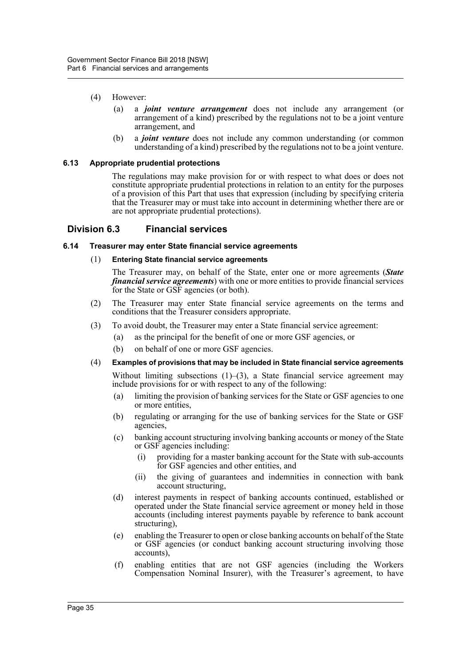- (4) However:
	- (a) a *joint venture arrangement* does not include any arrangement (or arrangement of a kind) prescribed by the regulations not to be a joint venture arrangement, and
	- (b) a *joint venture* does not include any common understanding (or common understanding of a kind) prescribed by the regulations not to be a joint venture.

#### **6.13 Appropriate prudential protections**

The regulations may make provision for or with respect to what does or does not constitute appropriate prudential protections in relation to an entity for the purposes of a provision of this Part that uses that expression (including by specifying criteria that the Treasurer may or must take into account in determining whether there are or are not appropriate prudential protections).

## **Division 6.3 Financial services**

#### **6.14 Treasurer may enter State financial service agreements**

#### (1) **Entering State financial service agreements**

The Treasurer may, on behalf of the State, enter one or more agreements (*State financial service agreements*) with one or more entities to provide financial services for the State or GSF agencies (or both).

- (2) The Treasurer may enter State financial service agreements on the terms and conditions that the Treasurer considers appropriate.
- (3) To avoid doubt, the Treasurer may enter a State financial service agreement:
	- (a) as the principal for the benefit of one or more GSF agencies, or
	- (b) on behalf of one or more GSF agencies.

#### (4) **Examples of provisions that may be included in State financial service agreements**

Without limiting subsections  $(1)$ – $(3)$ , a State financial service agreement may include provisions for or with respect to any of the following:

- (a) limiting the provision of banking services for the State or GSF agencies to one or more entities,
- (b) regulating or arranging for the use of banking services for the State or GSF agencies,
- (c) banking account structuring involving banking accounts or money of the State or GSF agencies including:
	- (i) providing for a master banking account for the State with sub-accounts for GSF agencies and other entities, and
	- (ii) the giving of guarantees and indemnities in connection with bank account structuring,
- (d) interest payments in respect of banking accounts continued, established or operated under the State financial service agreement or money held in those accounts (including interest payments payable by reference to bank account structuring),
- (e) enabling the Treasurer to open or close banking accounts on behalf of the State or GSF agencies (or conduct banking account structuring involving those accounts),
- (f) enabling entities that are not GSF agencies (including the Workers Compensation Nominal Insurer), with the Treasurer's agreement, to have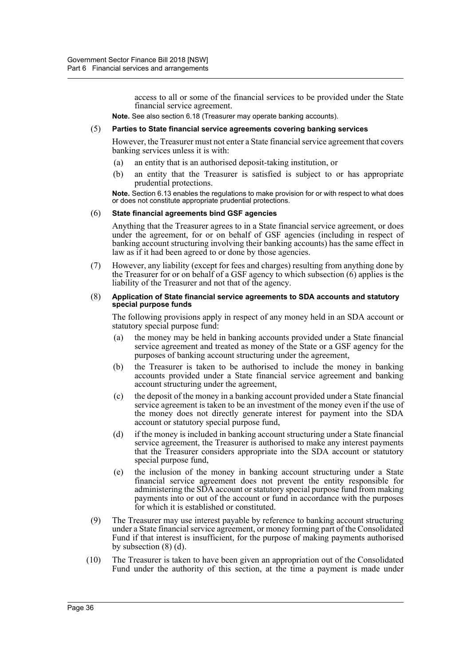access to all or some of the financial services to be provided under the State financial service agreement.

**Note.** See also section 6.18 (Treasurer may operate banking accounts).

#### (5) **Parties to State financial service agreements covering banking services**

However, the Treasurer must not enter a State financial service agreement that covers banking services unless it is with:

- (a) an entity that is an authorised deposit-taking institution, or
- (b) an entity that the Treasurer is satisfied is subject to or has appropriate prudential protections.

**Note.** Section 6.13 enables the regulations to make provision for or with respect to what does or does not constitute appropriate prudential protections.

#### (6) **State financial agreements bind GSF agencies**

Anything that the Treasurer agrees to in a State financial service agreement, or does under the agreement, for or on behalf of GSF agencies (including in respect of banking account structuring involving their banking accounts) has the same effect in law as if it had been agreed to or done by those agencies.

(7) However, any liability (except for fees and charges) resulting from anything done by the Treasurer for or on behalf of a GSF agency to which subsection (6) applies is the liability of the Treasurer and not that of the agency.

#### (8) **Application of State financial service agreements to SDA accounts and statutory special purpose funds**

The following provisions apply in respect of any money held in an SDA account or statutory special purpose fund:

- (a) the money may be held in banking accounts provided under a State financial service agreement and treated as money of the State or a GSF agency for the purposes of banking account structuring under the agreement,
- (b) the Treasurer is taken to be authorised to include the money in banking accounts provided under a State financial service agreement and banking account structuring under the agreement,
- (c) the deposit of the money in a banking account provided under a State financial service agreement is taken to be an investment of the money even if the use of the money does not directly generate interest for payment into the SDA account or statutory special purpose fund,
- (d) if the money is included in banking account structuring under a State financial service agreement, the Treasurer is authorised to make any interest payments that the Treasurer considers appropriate into the SDA account or statutory special purpose fund,
- (e) the inclusion of the money in banking account structuring under a State financial service agreement does not prevent the entity responsible for administering the SDA account or statutory special purpose fund from making payments into or out of the account or fund in accordance with the purposes for which it is established or constituted.
- (9) The Treasurer may use interest payable by reference to banking account structuring under a State financial service agreement, or money forming part of the Consolidated Fund if that interest is insufficient, for the purpose of making payments authorised by subsection (8) (d).
- (10) The Treasurer is taken to have been given an appropriation out of the Consolidated Fund under the authority of this section, at the time a payment is made under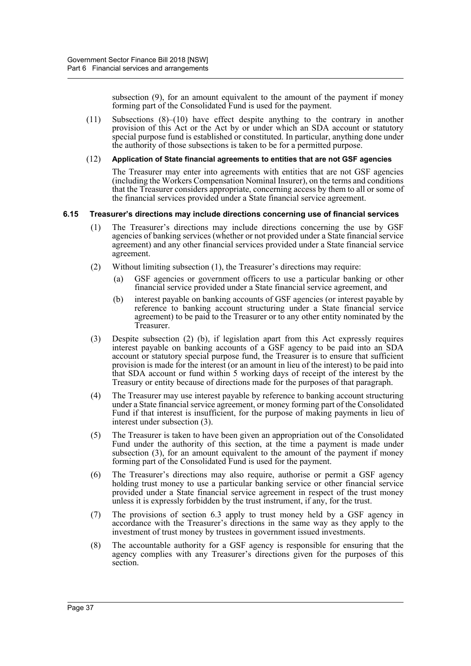subsection (9), for an amount equivalent to the amount of the payment if money forming part of the Consolidated Fund is used for the payment.

(11) Subsections (8)–(10) have effect despite anything to the contrary in another provision of this Act or the Act by or under which an SDA account or statutory special purpose fund is established or constituted. In particular, anything done under the authority of those subsections is taken to be for a permitted purpose.

#### (12) **Application of State financial agreements to entities that are not GSF agencies**

The Treasurer may enter into agreements with entities that are not GSF agencies (including the Workers Compensation Nominal Insurer), on the terms and conditions that the Treasurer considers appropriate, concerning access by them to all or some of the financial services provided under a State financial service agreement.

## **6.15 Treasurer's directions may include directions concerning use of financial services**

- (1) The Treasurer's directions may include directions concerning the use by GSF agencies of banking services (whether or not provided under a State financial service agreement) and any other financial services provided under a State financial service agreement.
- (2) Without limiting subsection (1), the Treasurer's directions may require:
	- (a) GSF agencies or government officers to use a particular banking or other financial service provided under a State financial service agreement, and
	- (b) interest payable on banking accounts of GSF agencies (or interest payable by reference to banking account structuring under a State financial service agreement) to be paid to the Treasurer or to any other entity nominated by the Treasurer.
- (3) Despite subsection (2) (b), if legislation apart from this Act expressly requires interest payable on banking accounts of a GSF agency to be paid into an SDA account or statutory special purpose fund, the Treasurer is to ensure that sufficient provision is made for the interest (or an amount in lieu of the interest) to be paid into that SDA account or fund within 5 working days of receipt of the interest by the Treasury or entity because of directions made for the purposes of that paragraph.
- (4) The Treasurer may use interest payable by reference to banking account structuring under a State financial service agreement, or money forming part of the Consolidated Fund if that interest is insufficient, for the purpose of making payments in lieu of interest under subsection (3).
- (5) The Treasurer is taken to have been given an appropriation out of the Consolidated Fund under the authority of this section, at the time a payment is made under subsection (3), for an amount equivalent to the amount of the payment if money forming part of the Consolidated Fund is used for the payment.
- (6) The Treasurer's directions may also require, authorise or permit a GSF agency holding trust money to use a particular banking service or other financial service provided under a State financial service agreement in respect of the trust money unless it is expressly forbidden by the trust instrument, if any, for the trust.
- (7) The provisions of section 6.3 apply to trust money held by a GSF agency in accordance with the Treasurer's directions in the same way as they apply to the investment of trust money by trustees in government issued investments.
- (8) The accountable authority for a GSF agency is responsible for ensuring that the agency complies with any Treasurer's directions given for the purposes of this section.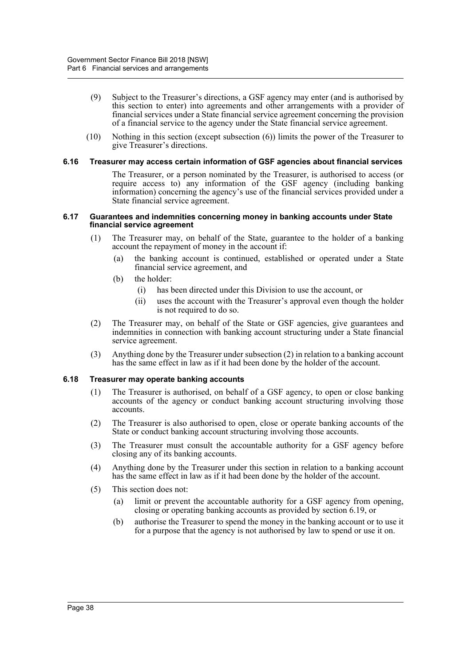- (9) Subject to the Treasurer's directions, a GSF agency may enter (and is authorised by this section to enter) into agreements and other arrangements with a provider of financial services under a State financial service agreement concerning the provision of a financial service to the agency under the State financial service agreement.
- (10) Nothing in this section (except subsection (6)) limits the power of the Treasurer to give Treasurer's directions.

#### **6.16 Treasurer may access certain information of GSF agencies about financial services**

The Treasurer, or a person nominated by the Treasurer, is authorised to access (or require access to) any information of the GSF agency (including banking information) concerning the agency's use of the financial services provided under a State financial service agreement.

#### **6.17 Guarantees and indemnities concerning money in banking accounts under State financial service agreement**

- (1) The Treasurer may, on behalf of the State, guarantee to the holder of a banking account the repayment of money in the account if:
	- (a) the banking account is continued, established or operated under a State financial service agreement, and
	- (b) the holder:
		- (i) has been directed under this Division to use the account, or
		- (ii) uses the account with the Treasurer's approval even though the holder is not required to do so.
- (2) The Treasurer may, on behalf of the State or GSF agencies, give guarantees and indemnities in connection with banking account structuring under a State financial service agreement.
- (3) Anything done by the Treasurer under subsection (2) in relation to a banking account has the same effect in law as if it had been done by the holder of the account.

## **6.18 Treasurer may operate banking accounts**

- (1) The Treasurer is authorised, on behalf of a GSF agency, to open or close banking accounts of the agency or conduct banking account structuring involving those accounts.
- (2) The Treasurer is also authorised to open, close or operate banking accounts of the State or conduct banking account structuring involving those accounts.
- (3) The Treasurer must consult the accountable authority for a GSF agency before closing any of its banking accounts.
- (4) Anything done by the Treasurer under this section in relation to a banking account has the same effect in law as if it had been done by the holder of the account.
- (5) This section does not:
	- (a) limit or prevent the accountable authority for a GSF agency from opening, closing or operating banking accounts as provided by section 6.19, or
	- (b) authorise the Treasurer to spend the money in the banking account or to use it for a purpose that the agency is not authorised by law to spend or use it on.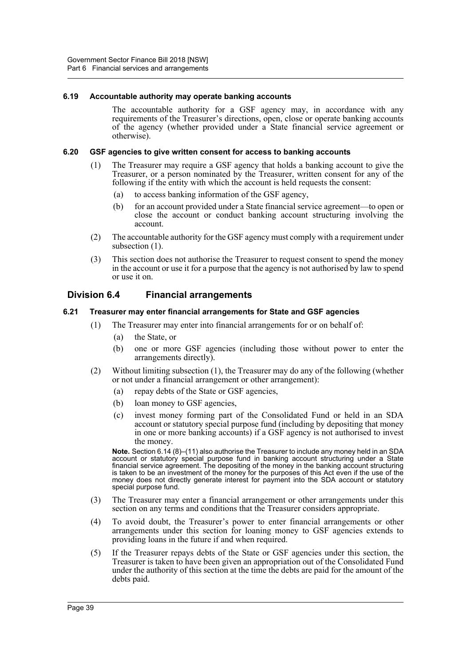#### **6.19 Accountable authority may operate banking accounts**

The accountable authority for a GSF agency may, in accordance with any requirements of the Treasurer's directions, open, close or operate banking accounts of the agency (whether provided under a State financial service agreement or otherwise).

#### **6.20 GSF agencies to give written consent for access to banking accounts**

- (1) The Treasurer may require a GSF agency that holds a banking account to give the Treasurer, or a person nominated by the Treasurer, written consent for any of the following if the entity with which the account is held requests the consent:
	- (a) to access banking information of the GSF agency,
	- (b) for an account provided under a State financial service agreement—to open or close the account or conduct banking account structuring involving the account.
- (2) The accountable authority for the GSF agency must comply with a requirement under subsection (1).
- (3) This section does not authorise the Treasurer to request consent to spend the money in the account or use it for a purpose that the agency is not authorised by law to spend or use it on.

# **Division 6.4 Financial arrangements**

#### **6.21 Treasurer may enter financial arrangements for State and GSF agencies**

- (1) The Treasurer may enter into financial arrangements for or on behalf of:
	- (a) the State, or
	- (b) one or more GSF agencies (including those without power to enter the arrangements directly).
- (2) Without limiting subsection (1), the Treasurer may do any of the following (whether or not under a financial arrangement or other arrangement):
	- (a) repay debts of the State or GSF agencies,
	- (b) loan money to GSF agencies,
	- (c) invest money forming part of the Consolidated Fund or held in an SDA account or statutory special purpose fund (including by depositing that money in one or more banking accounts) if a GSF agency is not authorised to invest the money.

**Note.** Section 6.14 (8)–(11) also authorise the Treasurer to include any money held in an SDA account or statutory special purpose fund in banking account structuring under a State financial service agreement. The depositing of the money in the banking account structuring is taken to be an investment of the money for the purposes of this Act even if the use of the money does not directly generate interest for payment into the SDA account or statutory special purpose fund.

- (3) The Treasurer may enter a financial arrangement or other arrangements under this section on any terms and conditions that the Treasurer considers appropriate.
- (4) To avoid doubt, the Treasurer's power to enter financial arrangements or other arrangements under this section for loaning money to GSF agencies extends to providing loans in the future if and when required.
- (5) If the Treasurer repays debts of the State or GSF agencies under this section, the Treasurer is taken to have been given an appropriation out of the Consolidated Fund under the authority of this section at the time the debts are paid for the amount of the debts paid.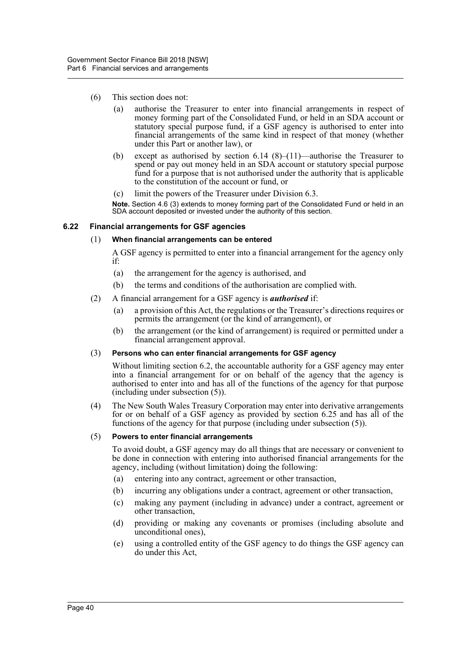- (6) This section does not:
	- (a) authorise the Treasurer to enter into financial arrangements in respect of money forming part of the Consolidated Fund, or held in an SDA account or statutory special purpose fund, if a GSF agency is authorised to enter into financial arrangements of the same kind in respect of that money (whether under this Part or another law), or
	- (b) except as authorised by section 6.14 (8)–(11)—authorise the Treasurer to spend or pay out money held in an SDA account or statutory special purpose fund for a purpose that is not authorised under the authority that is applicable to the constitution of the account or fund, or
	- (c) limit the powers of the Treasurer under Division 6.3.

**Note.** Section 4.6 (3) extends to money forming part of the Consolidated Fund or held in an SDA account deposited or invested under the authority of this section.

#### **6.22 Financial arrangements for GSF agencies**

#### (1) **When financial arrangements can be entered**

A GSF agency is permitted to enter into a financial arrangement for the agency only if:

- (a) the arrangement for the agency is authorised, and
- (b) the terms and conditions of the authorisation are complied with.
- (2) A financial arrangement for a GSF agency is *authorised* if:
	- (a) a provision of this Act, the regulations or the Treasurer's directions requires or permits the arrangement (or the kind of arrangement), or
	- (b) the arrangement (or the kind of arrangement) is required or permitted under a financial arrangement approval.

## (3) **Persons who can enter financial arrangements for GSF agency**

Without limiting section 6.2, the accountable authority for a GSF agency may enter into a financial arrangement for or on behalf of the agency that the agency is authorised to enter into and has all of the functions of the agency for that purpose (including under subsection (5)).

(4) The New South Wales Treasury Corporation may enter into derivative arrangements for or on behalf of a GSF agency as provided by section 6.25 and has all of the functions of the agency for that purpose (including under subsection (5)).

## (5) **Powers to enter financial arrangements**

To avoid doubt, a GSF agency may do all things that are necessary or convenient to be done in connection with entering into authorised financial arrangements for the agency, including (without limitation) doing the following:

- (a) entering into any contract, agreement or other transaction,
- (b) incurring any obligations under a contract, agreement or other transaction,
- (c) making any payment (including in advance) under a contract, agreement or other transaction,
- (d) providing or making any covenants or promises (including absolute and unconditional ones),
- (e) using a controlled entity of the GSF agency to do things the GSF agency can do under this Act,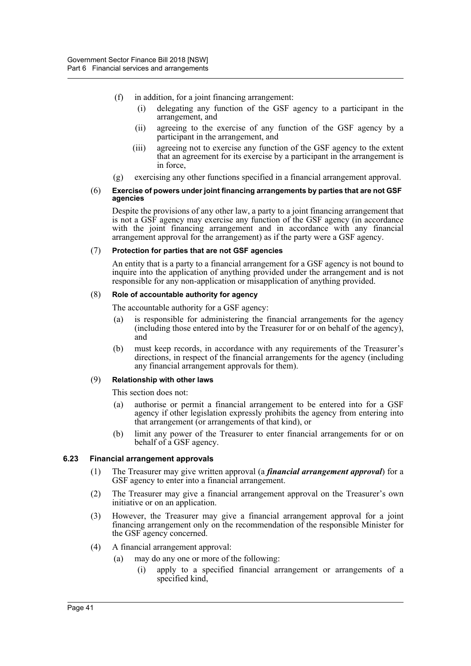- (f) in addition, for a joint financing arrangement:
	- (i) delegating any function of the GSF agency to a participant in the arrangement, and
	- (ii) agreeing to the exercise of any function of the GSF agency by a participant in the arrangement, and
	- (iii) agreeing not to exercise any function of the GSF agency to the extent that an agreement for its exercise by a participant in the arrangement is in force,
- (g) exercising any other functions specified in a financial arrangement approval.

#### (6) **Exercise of powers under joint financing arrangements by parties that are not GSF agencies**

Despite the provisions of any other law, a party to a joint financing arrangement that is not a GSF agency may exercise any function of the GSF agency (in accordance with the joint financing arrangement and in accordance with any financial arrangement approval for the arrangement) as if the party were a GSF agency.

#### (7) **Protection for parties that are not GSF agencies**

An entity that is a party to a financial arrangement for a GSF agency is not bound to inquire into the application of anything provided under the arrangement and is not responsible for any non-application or misapplication of anything provided.

#### (8) **Role of accountable authority for agency**

The accountable authority for a GSF agency:

- (a) is responsible for administering the financial arrangements for the agency (including those entered into by the Treasurer for or on behalf of the agency), and
- (b) must keep records, in accordance with any requirements of the Treasurer's directions, in respect of the financial arrangements for the agency (including any financial arrangement approvals for them).

## (9) **Relationship with other laws**

This section does not:

- (a) authorise or permit a financial arrangement to be entered into for a GSF agency if other legislation expressly prohibits the agency from entering into that arrangement (or arrangements of that kind), or
- (b) limit any power of the Treasurer to enter financial arrangements for or on behalf of a GSF agency.

## **6.23 Financial arrangement approvals**

- (1) The Treasurer may give written approval (a *financial arrangement approval*) for a GSF agency to enter into a financial arrangement.
- (2) The Treasurer may give a financial arrangement approval on the Treasurer's own initiative or on an application.
- (3) However, the Treasurer may give a financial arrangement approval for a joint financing arrangement only on the recommendation of the responsible Minister for the GSF agency concerned.
- (4) A financial arrangement approval:
	- (a) may do any one or more of the following:
		- (i) apply to a specified financial arrangement or arrangements of a specified kind,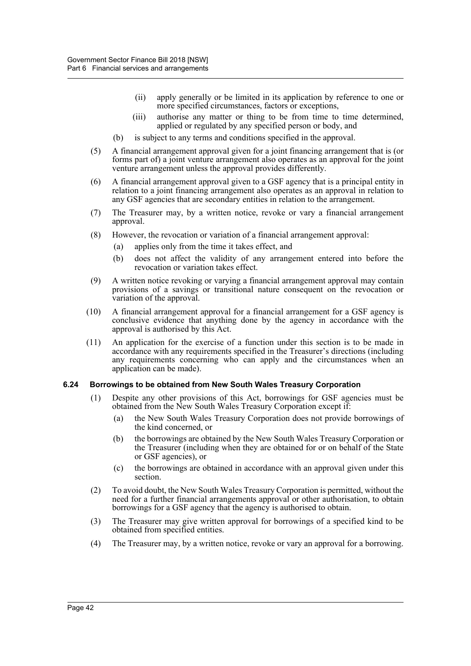- (ii) apply generally or be limited in its application by reference to one or more specified circumstances, factors or exceptions,
- (iii) authorise any matter or thing to be from time to time determined, applied or regulated by any specified person or body, and
- (b) is subject to any terms and conditions specified in the approval.
- (5) A financial arrangement approval given for a joint financing arrangement that is (or forms part of) a joint venture arrangement also operates as an approval for the joint venture arrangement unless the approval provides differently.
- (6) A financial arrangement approval given to a GSF agency that is a principal entity in relation to a joint financing arrangement also operates as an approval in relation to any GSF agencies that are secondary entities in relation to the arrangement.
- (7) The Treasurer may, by a written notice, revoke or vary a financial arrangement approval.
- (8) However, the revocation or variation of a financial arrangement approval:
	- (a) applies only from the time it takes effect, and
	- (b) does not affect the validity of any arrangement entered into before the revocation or variation takes effect.
- (9) A written notice revoking or varying a financial arrangement approval may contain provisions of a savings or transitional nature consequent on the revocation or variation of the approval.
- (10) A financial arrangement approval for a financial arrangement for a GSF agency is conclusive evidence that anything done by the agency in accordance with the approval is authorised by this Act.
- (11) An application for the exercise of a function under this section is to be made in accordance with any requirements specified in the Treasurer's directions (including any requirements concerning who can apply and the circumstances when an application can be made).

#### **6.24 Borrowings to be obtained from New South Wales Treasury Corporation**

- (1) Despite any other provisions of this Act, borrowings for GSF agencies must be obtained from the New South Wales Treasury Corporation except if:
	- (a) the New South Wales Treasury Corporation does not provide borrowings of the kind concerned, or
	- (b) the borrowings are obtained by the New South Wales Treasury Corporation or the Treasurer (including when they are obtained for or on behalf of the State or GSF agencies), or
	- (c) the borrowings are obtained in accordance with an approval given under this section.
- (2) To avoid doubt, the New South Wales Treasury Corporation is permitted, without the need for a further financial arrangements approval or other authorisation, to obtain borrowings for a GSF agency that the agency is authorised to obtain.
- (3) The Treasurer may give written approval for borrowings of a specified kind to be obtained from specified entities.
- (4) The Treasurer may, by a written notice, revoke or vary an approval for a borrowing.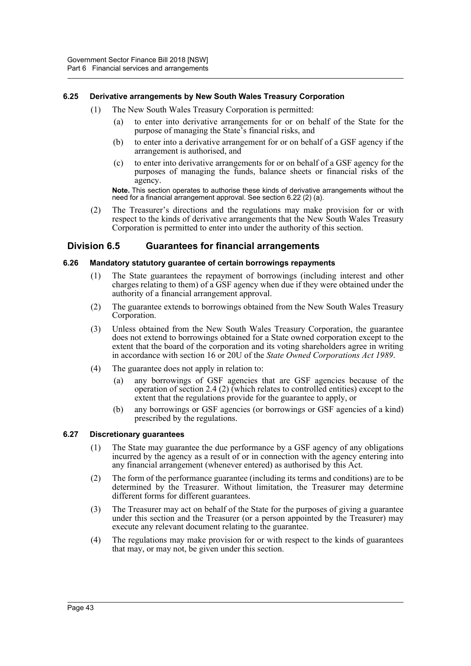# **6.25 Derivative arrangements by New South Wales Treasury Corporation**

- (1) The New South Wales Treasury Corporation is permitted:
	- (a) to enter into derivative arrangements for or on behalf of the State for the purpose of managing the State's financial risks, and
	- (b) to enter into a derivative arrangement for or on behalf of a GSF agency if the arrangement is authorised, and
	- (c) to enter into derivative arrangements for or on behalf of a GSF agency for the purposes of managing the funds, balance sheets or financial risks of the agency.

**Note.** This section operates to authorise these kinds of derivative arrangements without the need for a financial arrangement approval. See section 6.22 (2) (a).

(2) The Treasurer's directions and the regulations may make provision for or with respect to the kinds of derivative arrangements that the New South Wales Treasury Corporation is permitted to enter into under the authority of this section.

# **Division 6.5 Guarantees for financial arrangements**

## **6.26 Mandatory statutory guarantee of certain borrowings repayments**

- (1) The State guarantees the repayment of borrowings (including interest and other charges relating to them) of a GSF agency when due if they were obtained under the authority of a financial arrangement approval.
- (2) The guarantee extends to borrowings obtained from the New South Wales Treasury Corporation.
- (3) Unless obtained from the New South Wales Treasury Corporation, the guarantee does not extend to borrowings obtained for a State owned corporation except to the extent that the board of the corporation and its voting shareholders agree in writing in accordance with section 16 or 20U of the *State Owned Corporations Act 1989*.
- (4) The guarantee does not apply in relation to:
	- (a) any borrowings of GSF agencies that are GSF agencies because of the operation of section 2.4 (2) (which relates to controlled entities) except to the extent that the regulations provide for the guarantee to apply, or
	- (b) any borrowings or GSF agencies (or borrowings or GSF agencies of a kind) prescribed by the regulations.

## **6.27 Discretionary guarantees**

- (1) The State may guarantee the due performance by a GSF agency of any obligations incurred by the agency as a result of or in connection with the agency entering into any financial arrangement (whenever entered) as authorised by this Act.
- (2) The form of the performance guarantee (including its terms and conditions) are to be determined by the Treasurer. Without limitation, the Treasurer may determine different forms for different guarantees.
- (3) The Treasurer may act on behalf of the State for the purposes of giving a guarantee under this section and the Treasurer (or a person appointed by the Treasurer) may execute any relevant document relating to the guarantee.
- (4) The regulations may make provision for or with respect to the kinds of guarantees that may, or may not, be given under this section.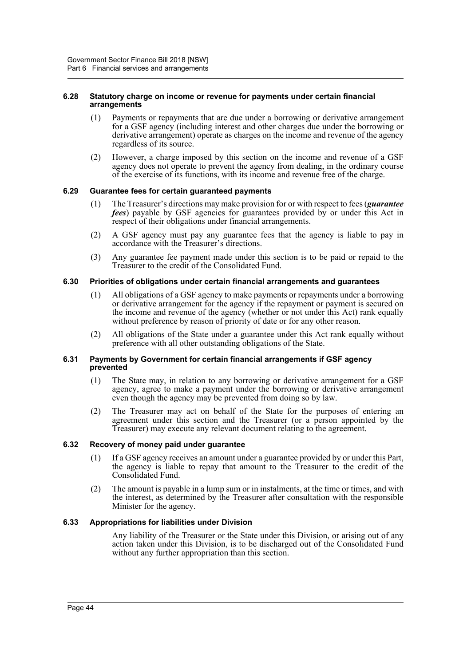#### **6.28 Statutory charge on income or revenue for payments under certain financial arrangements**

- (1) Payments or repayments that are due under a borrowing or derivative arrangement for a GSF agency (including interest and other charges due under the borrowing or derivative arrangement) operate as charges on the income and revenue of the agency regardless of its source.
- (2) However, a charge imposed by this section on the income and revenue of a GSF agency does not operate to prevent the agency from dealing, in the ordinary course of the exercise of its functions, with its income and revenue free of the charge.

## **6.29 Guarantee fees for certain guaranteed payments**

- (1) The Treasurer's directions may make provision for or with respect to fees (*guarantee fees*) payable by GSF agencies for guarantees provided by or under this Act in respect of their obligations under financial arrangements.
- (2) A GSF agency must pay any guarantee fees that the agency is liable to pay in accordance with the Treasurer's directions.
- (3) Any guarantee fee payment made under this section is to be paid or repaid to the Treasurer to the credit of the Consolidated Fund.

#### **6.30 Priorities of obligations under certain financial arrangements and guarantees**

- (1) All obligations of a GSF agency to make payments or repayments under a borrowing or derivative arrangement for the agency if the repayment or payment is secured on the income and revenue of the agency (whether or not under this Act) rank equally without preference by reason of priority of date or for any other reason.
- (2) All obligations of the State under a guarantee under this Act rank equally without preference with all other outstanding obligations of the State.

#### **6.31 Payments by Government for certain financial arrangements if GSF agency prevented**

- (1) The State may, in relation to any borrowing or derivative arrangement for a GSF agency, agree to make a payment under the borrowing or derivative arrangement even though the agency may be prevented from doing so by law.
- (2) The Treasurer may act on behalf of the State for the purposes of entering an agreement under this section and the Treasurer (or a person appointed by the Treasurer) may execute any relevant document relating to the agreement.

#### **6.32 Recovery of money paid under guarantee**

- (1) If a GSF agency receives an amount under a guarantee provided by or under this Part, the agency is liable to repay that amount to the Treasurer to the credit of the Consolidated Fund.
- (2) The amount is payable in a lump sum or in instalments, at the time or times, and with the interest, as determined by the Treasurer after consultation with the responsible Minister for the agency.

# **6.33 Appropriations for liabilities under Division**

Any liability of the Treasurer or the State under this Division, or arising out of any action taken under this Division, is to be discharged out of the Consolidated Fund without any further appropriation than this section.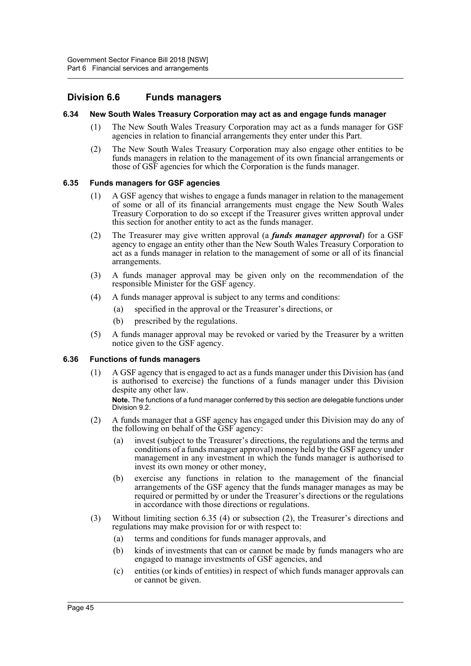# **Division 6.6 Funds managers**

#### **6.34 New South Wales Treasury Corporation may act as and engage funds manager**

- (1) The New South Wales Treasury Corporation may act as a funds manager for GSF agencies in relation to financial arrangements they enter under this Part.
- (2) The New South Wales Treasury Corporation may also engage other entities to be funds managers in relation to the management of its own financial arrangements or those of GSF agencies for which the Corporation is the funds manager.

# **6.35 Funds managers for GSF agencies**

- (1) A GSF agency that wishes to engage a funds manager in relation to the management of some or all of its financial arrangements must engage the New South Wales Treasury Corporation to do so except if the Treasurer gives written approval under this section for another entity to act as the funds manager.
- (2) The Treasurer may give written approval (a *funds manager approval*) for a GSF agency to engage an entity other than the New South Wales Treasury Corporation to act as a funds manager in relation to the management of some or all of its financial arrangements.
- (3) A funds manager approval may be given only on the recommendation of the responsible Minister for the GSF agency.
- (4) A funds manager approval is subject to any terms and conditions:
	- (a) specified in the approval or the Treasurer's directions, or
	- (b) prescribed by the regulations.
- (5) A funds manager approval may be revoked or varied by the Treasurer by a written notice given to the GSF agency.

## **6.36 Functions of funds managers**

(1) A GSF agency that is engaged to act as a funds manager under this Division has (and is authorised to exercise) the functions of a funds manager under this Division despite any other law.

**Note.** The functions of a fund manager conferred by this section are delegable functions under Division 9.2.

- (2) A funds manager that a GSF agency has engaged under this Division may do any of the following on behalf of the GSF agency:
	- (a) invest (subject to the Treasurer's directions, the regulations and the terms and conditions of a funds manager approval) money held by the GSF agency under management in any investment in which the funds manager is authorised to invest its own money or other money,
	- (b) exercise any functions in relation to the management of the financial arrangements of the GSF agency that the funds manager manages as may be required or permitted by or under the Treasurer's directions or the regulations in accordance with those directions or regulations.
- (3) Without limiting section 6.35 (4) or subsection (2), the Treasurer's directions and regulations may make provision for or with respect to:
	- (a) terms and conditions for funds manager approvals, and
	- (b) kinds of investments that can or cannot be made by funds managers who are engaged to manage investments of GSF agencies, and
	- (c) entities (or kinds of entities) in respect of which funds manager approvals can or cannot be given.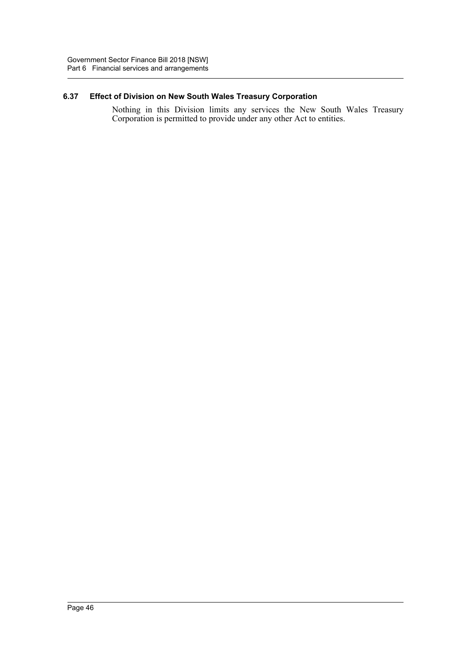# **6.37 Effect of Division on New South Wales Treasury Corporation**

Nothing in this Division limits any services the New South Wales Treasury Corporation is permitted to provide under any other Act to entities.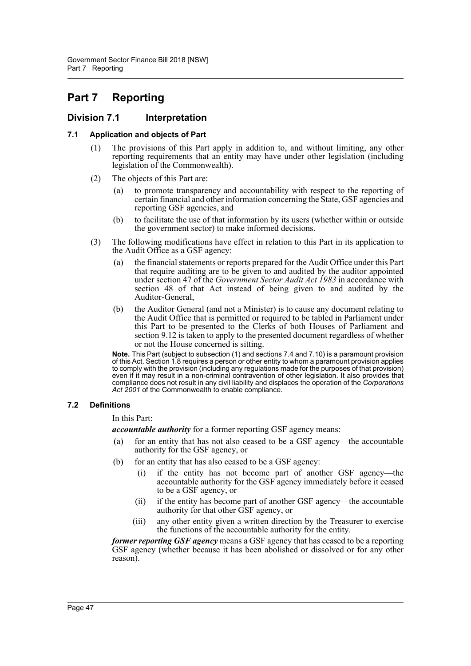# **Part 7 Reporting**

# **Division 7.1 Interpretation**

# **7.1 Application and objects of Part**

- (1) The provisions of this Part apply in addition to, and without limiting, any other reporting requirements that an entity may have under other legislation (including legislation of the Commonwealth).
- (2) The objects of this Part are:
	- (a) to promote transparency and accountability with respect to the reporting of certain financial and other information concerning the State, GSF agencies and reporting GSF agencies, and
	- (b) to facilitate the use of that information by its users (whether within or outside the government sector) to make informed decisions.
- (3) The following modifications have effect in relation to this Part in its application to the Audit Office as a GSF agency:
	- (a) the financial statements or reports prepared for the Audit Office under this Part that require auditing are to be given to and audited by the auditor appointed under section 47 of the *Government Sector Audit Act 1983* in accordance with section 48 of that Act instead of being given to and audited by the Auditor-General,
	- (b) the Auditor General (and not a Minister) is to cause any document relating to the Audit Office that is permitted or required to be tabled in Parliament under this Part to be presented to the Clerks of both Houses of Parliament and section 9.12 is taken to apply to the presented document regardless of whether or not the House concerned is sitting.

**Note.** This Part (subject to subsection (1) and sections 7.4 and 7.10) is a paramount provision of this Act. Section 1.8 requires a person or other entity to whom a paramount provision applies to comply with the provision (including any regulations made for the purposes of that provision) even if it may result in a non-criminal contravention of other legislation. It also provides that compliance does not result in any civil liability and displaces the operation of the *Corporations* Act 2001 of the Commonwealth to enable compliance.

# **7.2 Definitions**

In this Part:

*accountable authority* for a former reporting GSF agency means:

- (a) for an entity that has not also ceased to be a GSF agency—the accountable authority for the GSF agency, or
- (b) for an entity that has also ceased to be a GSF agency:
	- (i) if the entity has not become part of another GSF agency—the accountable authority for the GSF agency immediately before it ceased to be a GSF agency, or
	- (ii) if the entity has become part of another GSF agency—the accountable authority for that other GSF agency, or
	- (iii) any other entity given a written direction by the Treasurer to exercise the functions of the accountable authority for the entity.

*former reporting GSF agency* means a GSF agency that has ceased to be a reporting GSF agency (whether because it has been abolished or dissolved or for any other reason).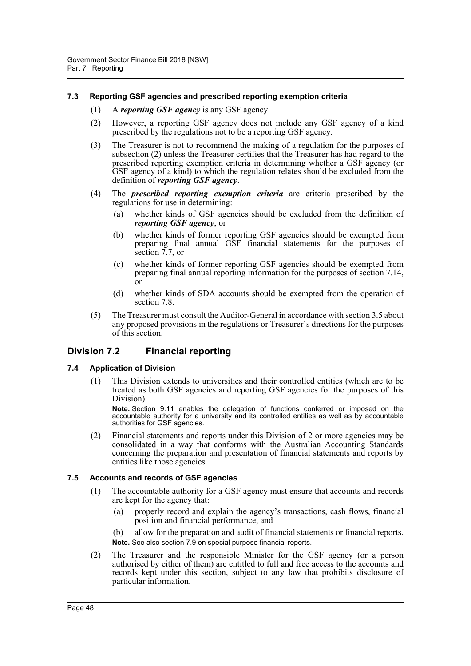## **7.3 Reporting GSF agencies and prescribed reporting exemption criteria**

- (1) A *reporting GSF agency* is any GSF agency.
- (2) However, a reporting GSF agency does not include any GSF agency of a kind prescribed by the regulations not to be a reporting GSF agency.
- (3) The Treasurer is not to recommend the making of a regulation for the purposes of subsection (2) unless the Treasurer certifies that the Treasurer has had regard to the prescribed reporting exemption criteria in determining whether a GSF agency (or GSF agency of a kind) to which the regulation relates should be excluded from the definition of *reporting GSF agency*.
- (4) The *prescribed reporting exemption criteria* are criteria prescribed by the regulations for use in determining:
	- (a) whether kinds of GSF agencies should be excluded from the definition of *reporting GSF agency*, or
	- (b) whether kinds of former reporting GSF agencies should be exempted from preparing final annual GSF financial statements for the purposes of section 7.7, or
	- (c) whether kinds of former reporting GSF agencies should be exempted from preparing final annual reporting information for the purposes of section 7.14,  $\overline{or}$
	- (d) whether kinds of SDA accounts should be exempted from the operation of section 7.8.
- (5) The Treasurer must consult the Auditor-General in accordance with section 3.5 about any proposed provisions in the regulations or Treasurer's directions for the purposes of this section.

# **Division 7.2 Financial reporting**

## **7.4 Application of Division**

(1) This Division extends to universities and their controlled entities (which are to be treated as both GSF agencies and reporting GSF agencies for the purposes of this Division).

**Note.** Section 9.11 enables the delegation of functions conferred or imposed on the accountable authority for a university and its controlled entities as well as by accountable authorities for GSF agencies.

(2) Financial statements and reports under this Division of 2 or more agencies may be consolidated in a way that conforms with the Australian Accounting Standards concerning the preparation and presentation of financial statements and reports by entities like those agencies.

## **7.5 Accounts and records of GSF agencies**

- (1) The accountable authority for a GSF agency must ensure that accounts and records are kept for the agency that:
	- (a) properly record and explain the agency's transactions, cash flows, financial position and financial performance, and
	- (b) allow for the preparation and audit of financial statements or financial reports. **Note.** See also section 7.9 on special purpose financial reports.
- (2) The Treasurer and the responsible Minister for the GSF agency (or a person authorised by either of them) are entitled to full and free access to the accounts and records kept under this section, subject to any law that prohibits disclosure of particular information.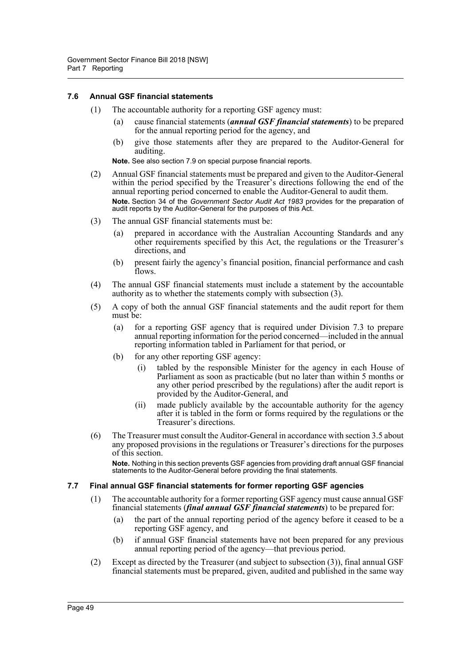# **7.6 Annual GSF financial statements**

- (1) The accountable authority for a reporting GSF agency must:
	- (a) cause financial statements (*annual GSF financial statements*) to be prepared for the annual reporting period for the agency, and
	- (b) give those statements after they are prepared to the Auditor-General for auditing.

**Note.** See also section 7.9 on special purpose financial reports.

- (2) Annual GSF financial statements must be prepared and given to the Auditor-General within the period specified by the Treasurer's directions following the end of the annual reporting period concerned to enable the Auditor-General to audit them. **Note.** Section 34 of the *Government Sector Audit Act 1983* provides for the preparation of audit reports by the Auditor-General for the purposes of this Act.
- (3) The annual GSF financial statements must be:
	- (a) prepared in accordance with the Australian Accounting Standards and any other requirements specified by this Act, the regulations or the Treasurer's directions, and
	- (b) present fairly the agency's financial position, financial performance and cash flows.
- (4) The annual GSF financial statements must include a statement by the accountable authority as to whether the statements comply with subsection (3).
- (5) A copy of both the annual GSF financial statements and the audit report for them must be:
	- (a) for a reporting GSF agency that is required under Division 7.3 to prepare annual reporting information for the period concerned—included in the annual reporting information tabled in Parliament for that period, or
	- (b) for any other reporting GSF agency:
		- (i) tabled by the responsible Minister for the agency in each House of Parliament as soon as practicable (but no later than within 5 months or any other period prescribed by the regulations) after the audit report is provided by the Auditor-General, and
		- (ii) made publicly available by the accountable authority for the agency after it is tabled in the form or forms required by the regulations or the Treasurer's directions.
- (6) The Treasurer must consult the Auditor-General in accordance with section 3.5 about any proposed provisions in the regulations or Treasurer's directions for the purposes of this section.

**Note.** Nothing in this section prevents GSF agencies from providing draft annual GSF financial statements to the Auditor-General before providing the final statements.

## **7.7 Final annual GSF financial statements for former reporting GSF agencies**

- (1) The accountable authority for a former reporting GSF agency must cause annual GSF financial statements (*final annual GSF financial statements*) to be prepared for:
	- (a) the part of the annual reporting period of the agency before it ceased to be a reporting GSF agency, and
	- (b) if annual GSF financial statements have not been prepared for any previous annual reporting period of the agency—that previous period.
- (2) Except as directed by the Treasurer (and subject to subsection (3)), final annual GSF financial statements must be prepared, given, audited and published in the same way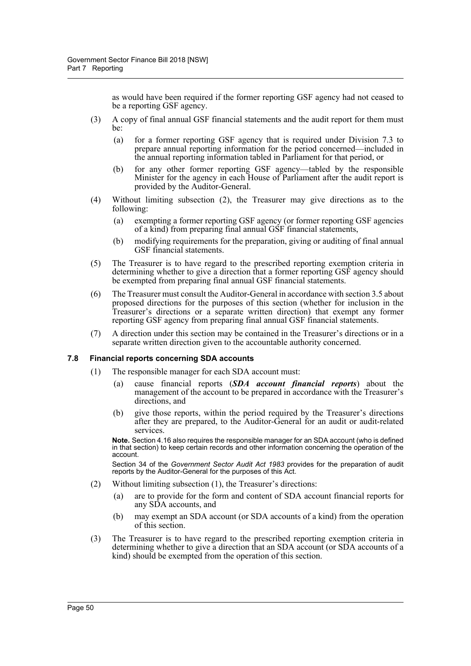as would have been required if the former reporting GSF agency had not ceased to be a reporting GSF agency.

- (3) A copy of final annual GSF financial statements and the audit report for them must be:
	- (a) for a former reporting GSF agency that is required under Division 7.3 to prepare annual reporting information for the period concerned—included in the annual reporting information tabled in Parliament for that period, or
	- (b) for any other former reporting GSF agency—tabled by the responsible Minister for the agency in each House of Parliament after the audit report is provided by the Auditor-General.
- (4) Without limiting subsection (2), the Treasurer may give directions as to the following:
	- (a) exempting a former reporting GSF agency (or former reporting GSF agencies of a kind) from preparing final annual GSF financial statements,
	- (b) modifying requirements for the preparation, giving or auditing of final annual GSF financial statements.
- (5) The Treasurer is to have regard to the prescribed reporting exemption criteria in determining whether to give a direction that a former reporting GSF agency should be exempted from preparing final annual GSF financial statements.
- (6) The Treasurer must consult the Auditor-General in accordance with section 3.5 about proposed directions for the purposes of this section (whether for inclusion in the Treasurer's directions or a separate written direction) that exempt any former reporting GSF agency from preparing final annual GSF financial statements.
- (7) A direction under this section may be contained in the Treasurer's directions or in a separate written direction given to the accountable authority concerned.

## **7.8 Financial reports concerning SDA accounts**

- (1) The responsible manager for each SDA account must:
	- (a) cause financial reports (*SDA account financial reports*) about the management of the account to be prepared in accordance with the Treasurer's directions, and
	- (b) give those reports, within the period required by the Treasurer's directions after they are prepared, to the Auditor-General for an audit or audit-related services.

**Note.** Section 4.16 also requires the responsible manager for an SDA account (who is defined in that section) to keep certain records and other information concerning the operation of the account.

Section 34 of the *Government Sector Audit Act 1983* provides for the preparation of audit reports by the Auditor-General for the purposes of this Act.

- (2) Without limiting subsection (1), the Treasurer's directions:
	- (a) are to provide for the form and content of SDA account financial reports for any SDA accounts, and
	- (b) may exempt an SDA account (or SDA accounts of a kind) from the operation of this section.
- (3) The Treasurer is to have regard to the prescribed reporting exemption criteria in determining whether to give a direction that an SDA account (or SDA accounts of a kind) should be exempted from the operation of this section.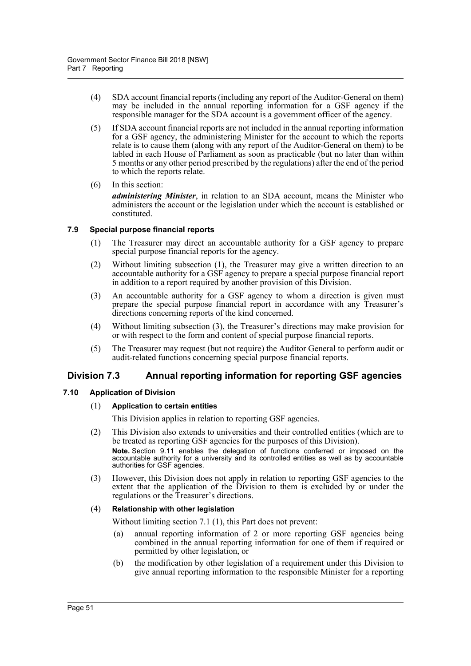- (4) SDA account financial reports (including any report of the Auditor-General on them) may be included in the annual reporting information for a GSF agency if the responsible manager for the SDA account is a government officer of the agency.
- (5) If SDA account financial reports are not included in the annual reporting information for a GSF agency, the administering Minister for the account to which the reports relate is to cause them (along with any report of the Auditor-General on them) to be tabled in each House of Parliament as soon as practicable (but no later than within 5 months or any other period prescribed by the regulations) after the end of the period to which the reports relate.
- (6) In this section: *administering Minister*, in relation to an SDA account, means the Minister who administers the account or the legislation under which the account is established or constituted.

# **7.9 Special purpose financial reports**

- (1) The Treasurer may direct an accountable authority for a GSF agency to prepare special purpose financial reports for the agency.
- (2) Without limiting subsection (1), the Treasurer may give a written direction to an accountable authority for a GSF agency to prepare a special purpose financial report in addition to a report required by another provision of this Division.
- (3) An accountable authority for a GSF agency to whom a direction is given must prepare the special purpose financial report in accordance with any Treasurer's directions concerning reports of the kind concerned.
- (4) Without limiting subsection (3), the Treasurer's directions may make provision for or with respect to the form and content of special purpose financial reports.
- (5) The Treasurer may request (but not require) the Auditor General to perform audit or audit-related functions concerning special purpose financial reports.

# **Division 7.3 Annual reporting information for reporting GSF agencies**

## **7.10 Application of Division**

## (1) **Application to certain entities**

This Division applies in relation to reporting GSF agencies.

(2) This Division also extends to universities and their controlled entities (which are to be treated as reporting GSF agencies for the purposes of this Division).

**Note.** Section 9.11 enables the delegation of functions conferred or imposed on the accountable authority for a university and its controlled entities as well as by accountable authorities for GSF agencies.

(3) However, this Division does not apply in relation to reporting GSF agencies to the extent that the application of the Division to them is excluded by or under the regulations or the Treasurer's directions.

## (4) **Relationship with other legislation**

Without limiting section 7.1 (1), this Part does not prevent:

- (a) annual reporting information of 2 or more reporting GSF agencies being combined in the annual reporting information for one of them if required or permitted by other legislation, or
- (b) the modification by other legislation of a requirement under this Division to give annual reporting information to the responsible Minister for a reporting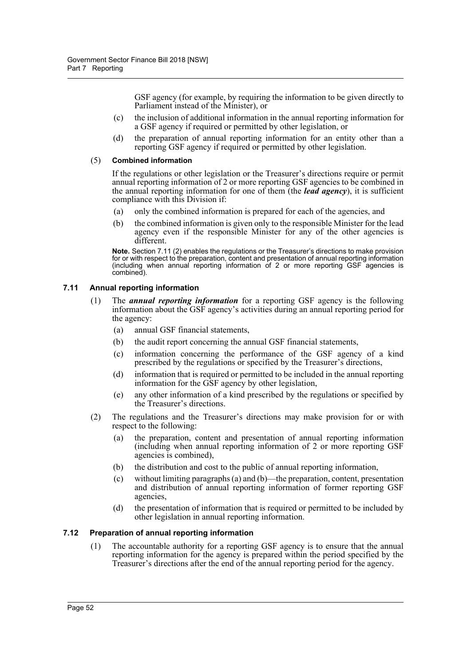GSF agency (for example, by requiring the information to be given directly to Parliament instead of the Minister), or

- (c) the inclusion of additional information in the annual reporting information for a GSF agency if required or permitted by other legislation, or
- (d) the preparation of annual reporting information for an entity other than a reporting GSF agency if required or permitted by other legislation.

#### (5) **Combined information**

If the regulations or other legislation or the Treasurer's directions require or permit annual reporting information of 2 or more reporting GSF agencies to be combined in the annual reporting information for one of them (the *lead agency*), it is sufficient compliance with this Division if:

- (a) only the combined information is prepared for each of the agencies, and
- (b) the combined information is given only to the responsible Minister for the lead agency even if the responsible Minister for any of the other agencies is different.

**Note.** Section 7.11 (2) enables the regulations or the Treasurer's directions to make provision for or with respect to the preparation, content and presentation of annual reporting information (including when annual reporting information of 2 or more reporting GSF agencies is combined).

## **7.11 Annual reporting information**

- (1) The *annual reporting information* for a reporting GSF agency is the following information about the GSF agency's activities during an annual reporting period for the agency:
	- (a) annual GSF financial statements,
	- (b) the audit report concerning the annual GSF financial statements,
	- (c) information concerning the performance of the GSF agency of a kind prescribed by the regulations or specified by the Treasurer's directions,
	- (d) information that is required or permitted to be included in the annual reporting information for the GSF agency by other legislation,
	- (e) any other information of a kind prescribed by the regulations or specified by the Treasurer's directions.
- (2) The regulations and the Treasurer's directions may make provision for or with respect to the following:
	- (a) the preparation, content and presentation of annual reporting information (including when annual reporting information of 2 or more reporting GSF agencies is combined),
	- (b) the distribution and cost to the public of annual reporting information,
	- (c) without limiting paragraphs (a) and (b)—the preparation, content, presentation and distribution of annual reporting information of former reporting GSF agencies,
	- (d) the presentation of information that is required or permitted to be included by other legislation in annual reporting information.

# **7.12 Preparation of annual reporting information**

(1) The accountable authority for a reporting GSF agency is to ensure that the annual reporting information for the agency is prepared within the period specified by the Treasurer's directions after the end of the annual reporting period for the agency.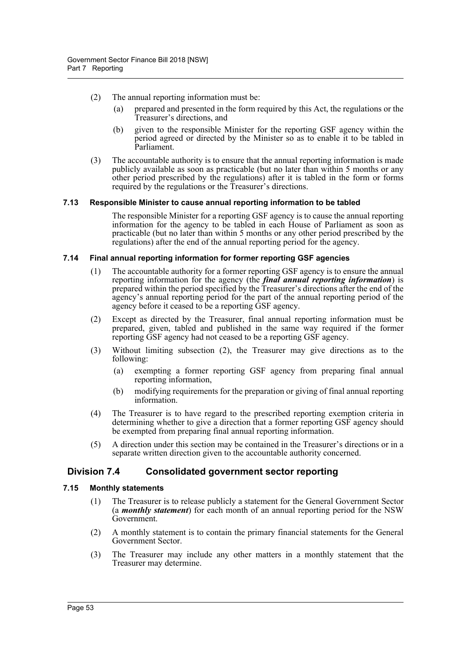- (2) The annual reporting information must be:
	- (a) prepared and presented in the form required by this Act, the regulations or the Treasurer's directions, and
	- (b) given to the responsible Minister for the reporting GSF agency within the period agreed or directed by the Minister so as to enable it to be tabled in Parliament.
- (3) The accountable authority is to ensure that the annual reporting information is made publicly available as soon as practicable (but no later than within 5 months or any other period prescribed by the regulations) after it is tabled in the form or forms required by the regulations or the Treasurer's directions.

## **7.13 Responsible Minister to cause annual reporting information to be tabled**

The responsible Minister for a reporting GSF agency is to cause the annual reporting information for the agency to be tabled in each House of Parliament as soon as practicable (but no later than within 5 months or any other period prescribed by the regulations) after the end of the annual reporting period for the agency.

# **7.14 Final annual reporting information for former reporting GSF agencies**

- (1) The accountable authority for a former reporting GSF agency is to ensure the annual reporting information for the agency (the *final annual reporting information*) is prepared within the period specified by the Treasurer's directions after the end of the agency's annual reporting period for the part of the annual reporting period of the agency before it ceased to be a reporting GSF agency.
- (2) Except as directed by the Treasurer, final annual reporting information must be prepared, given, tabled and published in the same way required if the former reporting GSF agency had not ceased to be a reporting GSF agency.
- (3) Without limiting subsection (2), the Treasurer may give directions as to the following:
	- (a) exempting a former reporting GSF agency from preparing final annual reporting information,
	- (b) modifying requirements for the preparation or giving of final annual reporting information.
- (4) The Treasurer is to have regard to the prescribed reporting exemption criteria in determining whether to give a direction that a former reporting GSF agency should be exempted from preparing final annual reporting information.
- (5) A direction under this section may be contained in the Treasurer's directions or in a separate written direction given to the accountable authority concerned.

# **Division 7.4 Consolidated government sector reporting**

# **7.15 Monthly statements**

- (1) The Treasurer is to release publicly a statement for the General Government Sector (a *monthly statement*) for each month of an annual reporting period for the NSW Government.
- (2) A monthly statement is to contain the primary financial statements for the General Government Sector.
- (3) The Treasurer may include any other matters in a monthly statement that the Treasurer may determine.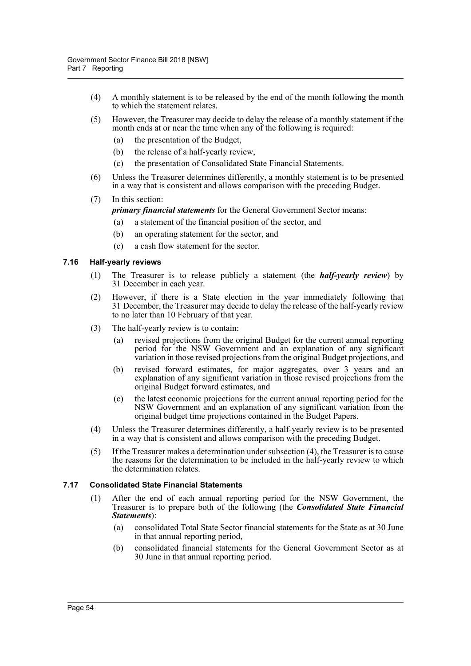- (4) A monthly statement is to be released by the end of the month following the month to which the statement relates.
- (5) However, the Treasurer may decide to delay the release of a monthly statement if the month ends at or near the time when any of the following is required:
	- (a) the presentation of the Budget,
	- (b) the release of a half-yearly review,
	- (c) the presentation of Consolidated State Financial Statements.
- (6) Unless the Treasurer determines differently, a monthly statement is to be presented in a way that is consistent and allows comparison with the preceding Budget.
- (7) In this section:

*primary financial statements* for the General Government Sector means:

- (a) a statement of the financial position of the sector, and
- (b) an operating statement for the sector, and
- (c) a cash flow statement for the sector.

## **7.16 Half-yearly reviews**

- (1) The Treasurer is to release publicly a statement (the *half-yearly review*) by 31 December in each year.
- (2) However, if there is a State election in the year immediately following that 31 December, the Treasurer may decide to delay the release of the half-yearly review to no later than 10 February of that year.
- (3) The half-yearly review is to contain:
	- (a) revised projections from the original Budget for the current annual reporting period for the NSW Government and an explanation of any significant variation in those revised projections from the original Budget projections, and
	- (b) revised forward estimates, for major aggregates, over 3 years and an explanation of any significant variation in those revised projections from the original Budget forward estimates, and
	- (c) the latest economic projections for the current annual reporting period for the NSW Government and an explanation of any significant variation from the original budget time projections contained in the Budget Papers.
- (4) Unless the Treasurer determines differently, a half-yearly review is to be presented in a way that is consistent and allows comparison with the preceding Budget.
- (5) If the Treasurer makes a determination under subsection (4), the Treasurer is to cause the reasons for the determination to be included in the half-yearly review to which the determination relates.

## **7.17 Consolidated State Financial Statements**

- (1) After the end of each annual reporting period for the NSW Government, the Treasurer is to prepare both of the following (the *Consolidated State Financial Statements*):
	- (a) consolidated Total State Sector financial statements for the State as at 30 June in that annual reporting period,
	- (b) consolidated financial statements for the General Government Sector as at 30 June in that annual reporting period.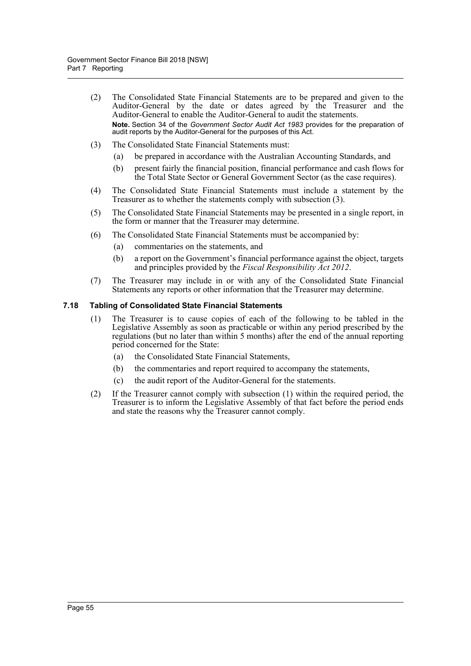- (2) The Consolidated State Financial Statements are to be prepared and given to the Auditor-General by the date or dates agreed by the Treasurer and the Auditor-General to enable the Auditor-General to audit the statements. **Note.** Section 34 of the *Government Sector Audit Act 1983* provides for the preparation of audit reports by the Auditor-General for the purposes of this Act.
- (3) The Consolidated State Financial Statements must:
	- (a) be prepared in accordance with the Australian Accounting Standards, and
	- (b) present fairly the financial position, financial performance and cash flows for the Total State Sector or General Government Sector (as the case requires).
- (4) The Consolidated State Financial Statements must include a statement by the Treasurer as to whether the statements comply with subsection (3).
- (5) The Consolidated State Financial Statements may be presented in a single report, in the form or manner that the Treasurer may determine.
- (6) The Consolidated State Financial Statements must be accompanied by:
	- (a) commentaries on the statements, and
	- (b) a report on the Government's financial performance against the object, targets and principles provided by the *Fiscal Responsibility Act 2012*.
- (7) The Treasurer may include in or with any of the Consolidated State Financial Statements any reports or other information that the Treasurer may determine.

#### **7.18 Tabling of Consolidated State Financial Statements**

- (1) The Treasurer is to cause copies of each of the following to be tabled in the Legislative Assembly as soon as practicable or within any period prescribed by the regulations (but no later than within 5 months) after the end of the annual reporting period concerned for the State:
	- (a) the Consolidated State Financial Statements,
	- (b) the commentaries and report required to accompany the statements,
	- (c) the audit report of the Auditor-General for the statements.
- (2) If the Treasurer cannot comply with subsection (1) within the required period, the Treasurer is to inform the Legislative Assembly of that fact before the period ends and state the reasons why the Treasurer cannot comply.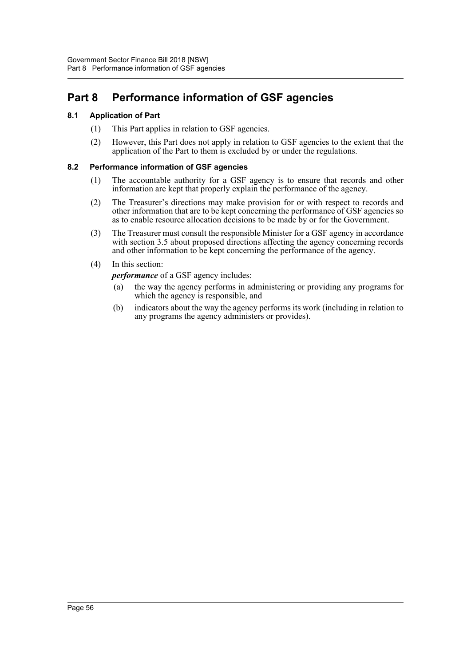# **Part 8 Performance information of GSF agencies**

# **8.1 Application of Part**

- (1) This Part applies in relation to GSF agencies.
- (2) However, this Part does not apply in relation to GSF agencies to the extent that the application of the Part to them is excluded by or under the regulations.

# **8.2 Performance information of GSF agencies**

- (1) The accountable authority for a GSF agency is to ensure that records and other information are kept that properly explain the performance of the agency.
- (2) The Treasurer's directions may make provision for or with respect to records and other information that are to be kept concerning the performance of GSF agencies so as to enable resource allocation decisions to be made by or for the Government.
- (3) The Treasurer must consult the responsible Minister for a GSF agency in accordance with section 3.5 about proposed directions affecting the agency concerning records and other information to be kept concerning the performance of the agency.
- (4) In this section:

*performance* of a GSF agency includes:

- (a) the way the agency performs in administering or providing any programs for which the agency is responsible, and
- (b) indicators about the way the agency performs its work (including in relation to any programs the agency administers or provides).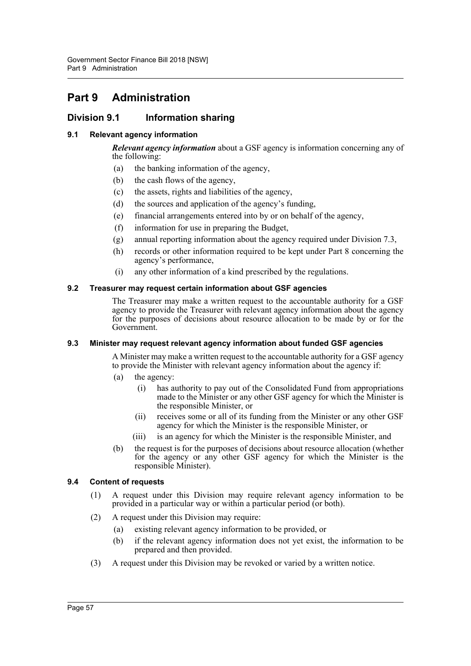# **Part 9 Administration**

# **Division 9.1 Information sharing**

# **9.1 Relevant agency information**

*Relevant agency information* about a GSF agency is information concerning any of the following:

- (a) the banking information of the agency,
- (b) the cash flows of the agency,
- (c) the assets, rights and liabilities of the agency,
- (d) the sources and application of the agency's funding,
- (e) financial arrangements entered into by or on behalf of the agency,
- (f) information for use in preparing the Budget,
- (g) annual reporting information about the agency required under Division 7.3,
- (h) records or other information required to be kept under Part 8 concerning the agency's performance,
- (i) any other information of a kind prescribed by the regulations.

## **9.2 Treasurer may request certain information about GSF agencies**

The Treasurer may make a written request to the accountable authority for a GSF agency to provide the Treasurer with relevant agency information about the agency for the purposes of decisions about resource allocation to be made by or for the Government.

## **9.3 Minister may request relevant agency information about funded GSF agencies**

A Minister may make a written request to the accountable authority for a GSF agency to provide the Minister with relevant agency information about the agency if:

- (a) the agency:
	- (i) has authority to pay out of the Consolidated Fund from appropriations made to the Minister or any other GSF agency for which the Minister is the responsible Minister, or
	- (ii) receives some or all of its funding from the Minister or any other GSF agency for which the Minister is the responsible Minister, or
	- (iii) is an agency for which the Minister is the responsible Minister, and
- (b) the request is for the purposes of decisions about resource allocation (whether for the agency or any other GSF agency for which the Minister is the responsible Minister).

## **9.4 Content of requests**

- (1) A request under this Division may require relevant agency information to be provided in a particular way or within a particular period (or both).
- (2) A request under this Division may require:
	- (a) existing relevant agency information to be provided, or
	- (b) if the relevant agency information does not yet exist, the information to be prepared and then provided.
- (3) A request under this Division may be revoked or varied by a written notice.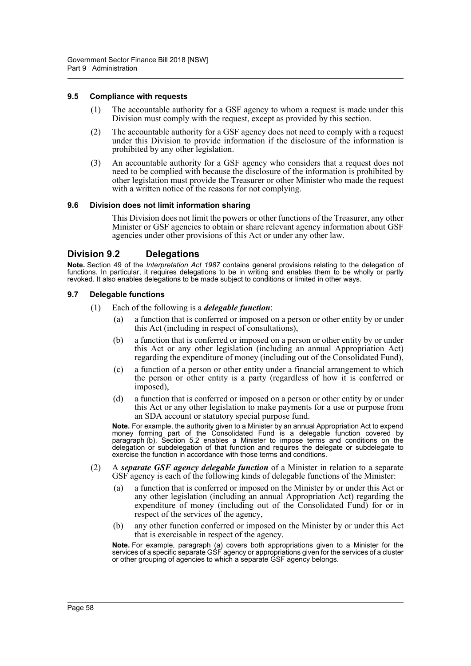#### **9.5 Compliance with requests**

- (1) The accountable authority for a GSF agency to whom a request is made under this Division must comply with the request, except as provided by this section.
- (2) The accountable authority for a GSF agency does not need to comply with a request under this Division to provide information if the disclosure of the information is prohibited by any other legislation.
- (3) An accountable authority for a GSF agency who considers that a request does not need to be complied with because the disclosure of the information is prohibited by other legislation must provide the Treasurer or other Minister who made the request with a written notice of the reasons for not complying.

#### **9.6 Division does not limit information sharing**

This Division does not limit the powers or other functions of the Treasurer, any other Minister or GSF agencies to obtain or share relevant agency information about GSF agencies under other provisions of this Act or under any other law.

# **Division 9.2 Delegations**

**Note.** Section 49 of the *Interpretation Act 1987* contains general provisions relating to the delegation of functions. In particular, it requires delegations to be in writing and enables them to be wholly or partly revoked. It also enables delegations to be made subject to conditions or limited in other ways.

#### **9.7 Delegable functions**

- (1) Each of the following is a *delegable function*:
	- (a) a function that is conferred or imposed on a person or other entity by or under this Act (including in respect of consultations),
	- (b) a function that is conferred or imposed on a person or other entity by or under this Act or any other legislation (including an annual Appropriation Act) regarding the expenditure of money (including out of the Consolidated Fund),
	- (c) a function of a person or other entity under a financial arrangement to which the person or other entity is a party (regardless of how it is conferred or imposed),
	- (d) a function that is conferred or imposed on a person or other entity by or under this Act or any other legislation to make payments for a use or purpose from an SDA account or statutory special purpose fund.

**Note.** For example, the authority given to a Minister by an annual Appropriation Act to expend money forming part of the Consolidated Fund is a delegable function covered by paragraph (b). Section 5.2 enables a Minister to impose terms and conditions on the delegation or subdelegation of that function and requires the delegate or subdelegate to exercise the function in accordance with those terms and conditions.

- (2) A *separate GSF agency delegable function* of a Minister in relation to a separate GSF agency is each of the following kinds of delegable functions of the Minister:
	- (a) a function that is conferred or imposed on the Minister by or under this Act or any other legislation (including an annual Appropriation Act) regarding the expenditure of money (including out of the Consolidated Fund) for or in respect of the services of the agency,
	- (b) any other function conferred or imposed on the Minister by or under this Act that is exercisable in respect of the agency.

**Note.** For example, paragraph (a) covers both appropriations given to a Minister for the services of a specific separate GSF agency or appropriations given for the services of a cluster or other grouping of agencies to which a separate GSF agency belongs.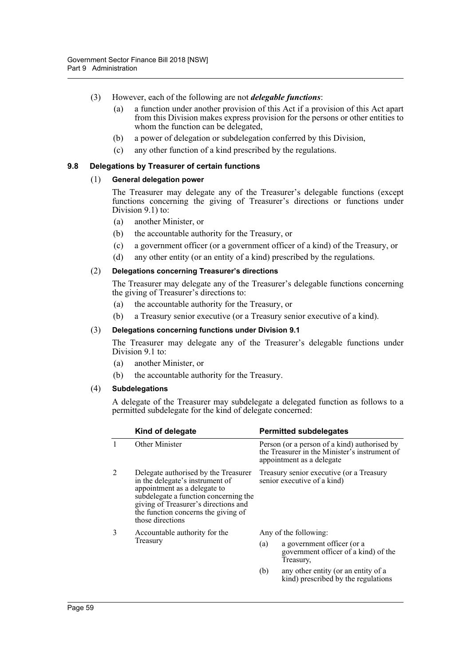- (3) However, each of the following are not *delegable functions*:
	- (a) a function under another provision of this Act if a provision of this Act apart from this Division makes express provision for the persons or other entities to whom the function can be delegated,
	- (b) a power of delegation or subdelegation conferred by this Division,
	- (c) any other function of a kind prescribed by the regulations.

## **9.8 Delegations by Treasurer of certain functions**

#### (1) **General delegation power**

The Treasurer may delegate any of the Treasurer's delegable functions (except functions concerning the giving of Treasurer's directions or functions under Division 9.1) to:

- (a) another Minister, or
- (b) the accountable authority for the Treasury, or
- (c) a government officer (or a government officer of a kind) of the Treasury, or
- (d) any other entity (or an entity of a kind) prescribed by the regulations.

#### (2) **Delegations concerning Treasurer's directions**

The Treasurer may delegate any of the Treasurer's delegable functions concerning the giving of Treasurer's directions to:

- (a) the accountable authority for the Treasury, or
- (b) a Treasury senior executive (or a Treasury senior executive of a kind).

#### (3) **Delegations concerning functions under Division 9.1**

The Treasurer may delegate any of the Treasurer's delegable functions under Division 9.1 to:

- (a) another Minister, or
- (b) the accountable authority for the Treasury.

#### (4) **Subdelegations**

A delegate of the Treasurer may subdelegate a delegated function as follows to a permitted subdelegate for the kind of delegate concerned:

|   | Kind of delegate                                                                                                                                                                                                                                    |                       | <b>Permitted subdelegates</b>                                                                                              |
|---|-----------------------------------------------------------------------------------------------------------------------------------------------------------------------------------------------------------------------------------------------------|-----------------------|----------------------------------------------------------------------------------------------------------------------------|
|   | Other Minister                                                                                                                                                                                                                                      |                       | Person (or a person of a kind) authorised by<br>the Treasurer in the Minister's instrument of<br>appointment as a delegate |
|   | Delegate authorised by the Treasurer<br>in the delegate's instrument of<br>appointment as a delegate to<br>subdelegate a function concerning the<br>giving of Treasurer's directions and<br>the function concerns the giving of<br>those directions |                       | Treasury senior executive (or a Treasury<br>senior executive of a kind)                                                    |
| 3 | Accountable authority for the<br>Treasury                                                                                                                                                                                                           | Any of the following: |                                                                                                                            |
|   |                                                                                                                                                                                                                                                     | (a)                   | a government officer (or a<br>government officer of a kind) of the<br>Treasury,                                            |
|   |                                                                                                                                                                                                                                                     | (b)                   | any other entity (or an entity of a<br>kind) prescribed by the regulations                                                 |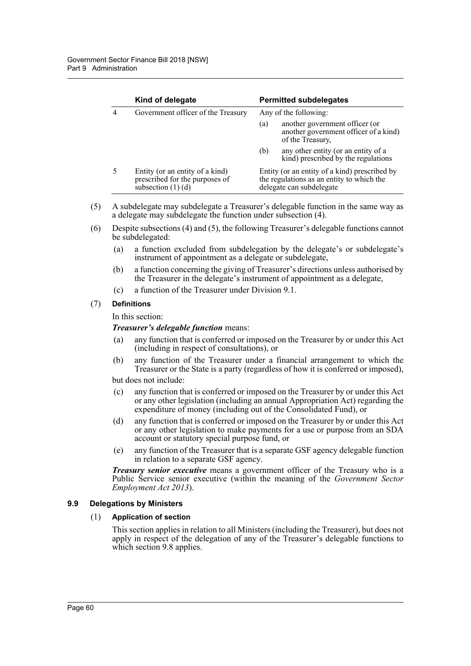| Kind of delegate                                                                            |                       | <b>Permitted subdelegates</b>                                                                                          |
|---------------------------------------------------------------------------------------------|-----------------------|------------------------------------------------------------------------------------------------------------------------|
| Government officer of the Treasury                                                          | Any of the following: |                                                                                                                        |
|                                                                                             | (a)                   | another government officer (or<br>another government officer of a kind)<br>of the Treasury,                            |
|                                                                                             | (b)                   | any other entity (or an entity of a<br>kind) prescribed by the regulations                                             |
| Entity (or an entity of a kind)<br>prescribed for the purposes of<br>subsection $(1)$ $(d)$ |                       | Entity (or an entity of a kind) prescribed by<br>the regulations as an entity to which the<br>delegate can subdelegate |

- (5) A subdelegate may subdelegate a Treasurer's delegable function in the same way as a delegate may subdelegate the function under subsection (4).
- (6) Despite subsections (4) and (5), the following Treasurer's delegable functions cannot be subdelegated:
	- (a) a function excluded from subdelegation by the delegate's or subdelegate's instrument of appointment as a delegate or subdelegate,
	- (b) a function concerning the giving of Treasurer's directions unless authorised by the Treasurer in the delegate's instrument of appointment as a delegate,
	- (c) a function of the Treasurer under Division 9.1.

#### (7) **Definitions**

In this section:

## *Treasurer's delegable function* means:

- (a) any function that is conferred or imposed on the Treasurer by or under this Act (including in respect of consultations), or
- (b) any function of the Treasurer under a financial arrangement to which the Treasurer or the State is a party (regardless of how it is conferred or imposed),

but does not include:

- (c) any function that is conferred or imposed on the Treasurer by or under this Act or any other legislation (including an annual Appropriation Act) regarding the expenditure of money (including out of the Consolidated Fund), or
- (d) any function that is conferred or imposed on the Treasurer by or under this Act or any other legislation to make payments for a use or purpose from an SDA account or statutory special purpose fund, or
- (e) any function of the Treasurer that is a separate GSF agency delegable function in relation to a separate GSF agency.

*Treasury senior executive* means a government officer of the Treasury who is a Public Service senior executive (within the meaning of the *Government Sector Employment Act 2013*).

## **9.9 Delegations by Ministers**

## (1) **Application of section**

This section applies in relation to all Ministers (including the Treasurer), but does not apply in respect of the delegation of any of the Treasurer's delegable functions to which section 9.8 applies.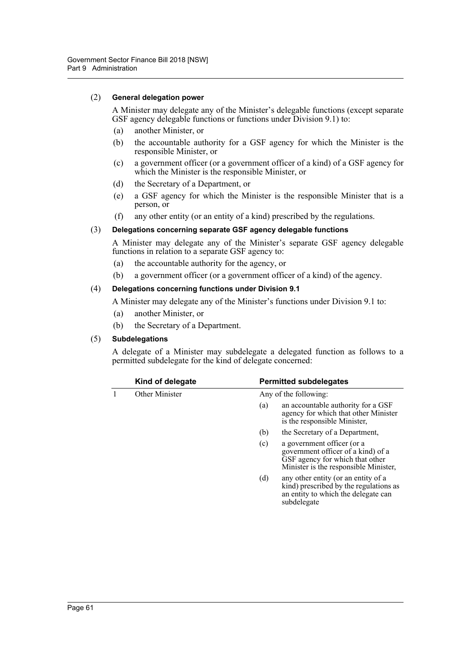## (2) **General delegation power**

A Minister may delegate any of the Minister's delegable functions (except separate GSF agency delegable functions or functions under Division 9.1) to:

- (a) another Minister, or
- (b) the accountable authority for a GSF agency for which the Minister is the responsible Minister, or
- (c) a government officer (or a government officer of a kind) of a GSF agency for which the Minister is the responsible Minister, or
- (d) the Secretary of a Department, or
- (e) a GSF agency for which the Minister is the responsible Minister that is a person, or
- (f) any other entity (or an entity of a kind) prescribed by the regulations.

## (3) **Delegations concerning separate GSF agency delegable functions**

A Minister may delegate any of the Minister's separate GSF agency delegable functions in relation to a separate GSF agency to:

- (a) the accountable authority for the agency, or
- (b) a government officer (or a government officer of a kind) of the agency.

#### (4) **Delegations concerning functions under Division 9.1**

A Minister may delegate any of the Minister's functions under Division 9.1 to:

- (a) another Minister, or
- (b) the Secretary of a Department.

## (5) **Subdelegations**

A delegate of a Minister may subdelegate a delegated function as follows to a permitted subdelegate for the kind of delegate concerned:

| Kind of delegate | <b>Permitted subdelegates</b>                                                                                                                       |  |
|------------------|-----------------------------------------------------------------------------------------------------------------------------------------------------|--|
| Other Minister   | Any of the following:                                                                                                                               |  |
|                  | an accountable authority for a GSF<br>(a)<br>agency for which that other Minister<br>is the responsible Minister,                                   |  |
|                  | (b)<br>the Secretary of a Department,                                                                                                               |  |
|                  | (c)<br>a government officer (or a<br>government officer of a kind) of a<br>GSF agency for which that other<br>Minister is the responsible Minister, |  |
|                  | any other entity (or an entity of a<br>(d)<br>kind) prescribed by the regulations as<br>an entity to which the delegate can<br>subdelegate          |  |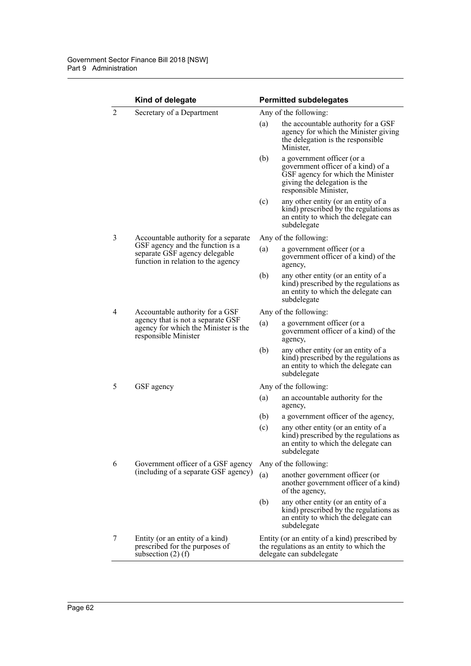|                | Kind of delegate                                                                                                                                |                       | <b>Permitted subdelegates</b>                                                                                                                                  |  |
|----------------|-------------------------------------------------------------------------------------------------------------------------------------------------|-----------------------|----------------------------------------------------------------------------------------------------------------------------------------------------------------|--|
| $\overline{2}$ | Secretary of a Department                                                                                                                       |                       | Any of the following:                                                                                                                                          |  |
|                |                                                                                                                                                 | (a)                   | the accountable authority for a GSF<br>agency for which the Minister giving<br>the delegation is the responsible<br>Minister,                                  |  |
|                |                                                                                                                                                 | (b)                   | a government officer (or a<br>government officer of a kind) of a<br>GSF agency for which the Minister<br>giving the delegation is the<br>responsible Minister, |  |
|                |                                                                                                                                                 | (c)                   | any other entity (or an entity of a<br>kind) prescribed by the regulations as<br>an entity to which the delegate can<br>subdelegate                            |  |
| 3              | Accountable authority for a separate<br>GSF agency and the function is a<br>separate GSF agency delegable<br>function in relation to the agency |                       | Any of the following:                                                                                                                                          |  |
|                |                                                                                                                                                 | (a)                   | a government officer (or a<br>government officer of a kind) of the<br>agency,                                                                                  |  |
|                |                                                                                                                                                 | (b)                   | any other entity (or an entity of a<br>kind) prescribed by the regulations as<br>an entity to which the delegate can<br>subdelegate                            |  |
| 4              | Accountable authority for a GSF<br>agency that is not a separate GSF<br>agency for which the Minister is the<br>responsible Minister            | Any of the following: |                                                                                                                                                                |  |
|                |                                                                                                                                                 | (a)                   | a government officer (or a<br>government officer of a kind) of the<br>agency,                                                                                  |  |
|                |                                                                                                                                                 | (b)                   | any other entity (or an entity of a<br>kind) prescribed by the regulations as<br>an entity to which the delegate can<br>subdelegate                            |  |
| 5              | GSF agency                                                                                                                                      | Any of the following: |                                                                                                                                                                |  |
|                |                                                                                                                                                 | (a)                   | an accountable authority for the<br>agency,                                                                                                                    |  |
|                |                                                                                                                                                 | (b)                   | a government officer of the agency,                                                                                                                            |  |
|                |                                                                                                                                                 | (c)                   | any other entity (or an entity of a<br>kind) prescribed by the regulations as<br>an entity to which the delegate can<br>subdelegate                            |  |
| 6              | Government officer of a GSF agency<br>(including of a separate GSF agency)                                                                      | Any of the following: |                                                                                                                                                                |  |
|                |                                                                                                                                                 | (a)                   | another government officer (or<br>another government officer of a kind)<br>of the agency,                                                                      |  |
|                |                                                                                                                                                 | (b)                   | any other entity (or an entity of a<br>kind) prescribed by the regulations as<br>an entity to which the delegate can<br>subdelegate                            |  |
| 7              | Entity (or an entity of a kind)<br>prescribed for the purposes of<br>subsection $(2)$ (f)                                                       |                       | Entity (or an entity of a kind) prescribed by<br>the regulations as an entity to which the<br>delegate can subdelegate                                         |  |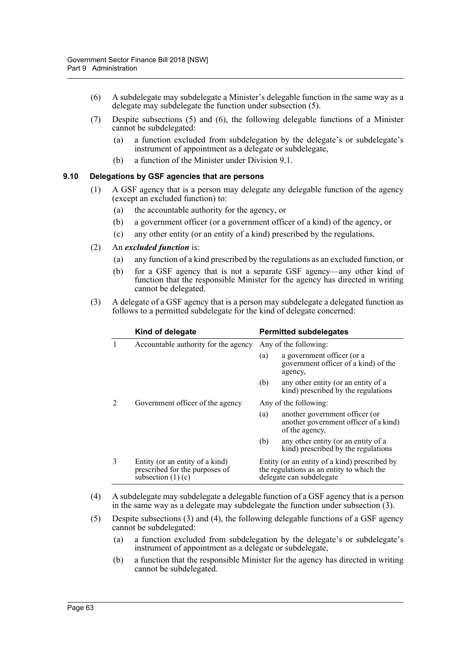- (6) A subdelegate may subdelegate a Minister's delegable function in the same way as a delegate may subdelegate the function under subsection (5).
- (7) Despite subsections (5) and (6), the following delegable functions of a Minister cannot be subdelegated:
	- (a) a function excluded from subdelegation by the delegate's or subdelegate's instrument of appointment as a delegate or subdelegate,
	- (b) a function of the Minister under Division 9.1.

## **9.10 Delegations by GSF agencies that are persons**

- (1) A GSF agency that is a person may delegate any delegable function of the agency (except an excluded function) to:
	- (a) the accountable authority for the agency, or
	- (b) a government officer (or a government officer of a kind) of the agency, or
	- (c) any other entity (or an entity of a kind) prescribed by the regulations.
- (2) An *excluded function* is:
	- (a) any function of a kind prescribed by the regulations as an excluded function, or
	- (b) for a GSF agency that is not a separate GSF agency—any other kind of function that the responsible Minister for the agency has directed in writing cannot be delegated.
- (3) A delegate of a GSF agency that is a person may subdelegate a delegated function as follows to a permitted subdelegate for the kind of delegate concerned:

|   | Kind of delegate                                                                          | <b>Permitted subdelegates</b>                                                                                          |  |
|---|-------------------------------------------------------------------------------------------|------------------------------------------------------------------------------------------------------------------------|--|
|   | Accountable authority for the agency                                                      | Any of the following:                                                                                                  |  |
|   |                                                                                           | a government officer (or a<br>(a)<br>government officer of a kind) of the<br>agency,                                   |  |
|   |                                                                                           | any other entity (or an entity of a<br>(b)<br>kind) prescribed by the regulations                                      |  |
| 2 | Government officer of the agency                                                          | Any of the following:                                                                                                  |  |
|   |                                                                                           | another government officer (or<br>(a)<br>another government officer of a kind)<br>of the agency,                       |  |
|   |                                                                                           | any other entity (or an entity of a<br>(b)<br>kind) prescribed by the regulations                                      |  |
| 3 | Entity (or an entity of a kind)<br>prescribed for the purposes of<br>subsection $(1)$ (c) | Entity (or an entity of a kind) prescribed by<br>the regulations as an entity to which the<br>delegate can subdelegate |  |

- (4) A subdelegate may subdelegate a delegable function of a GSF agency that is a person in the same way as a delegate may subdelegate the function under subsection (3).
- (5) Despite subsections (3) and (4), the following delegable functions of a GSF agency cannot be subdelegated:
	- (a) a function excluded from subdelegation by the delegate's or subdelegate's instrument of appointment as a delegate or subdelegate,
	- (b) a function that the responsible Minister for the agency has directed in writing cannot be subdelegated.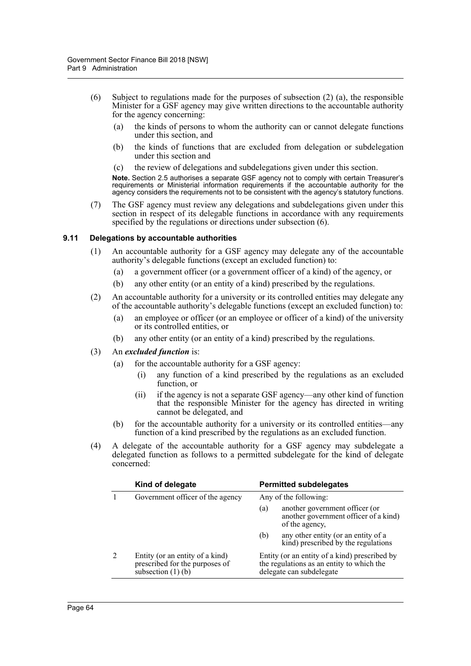- (6) Subject to regulations made for the purposes of subsection  $(2)$  (a), the responsible Minister for a GSF agency may give written directions to the accountable authority for the agency concerning:
	- (a) the kinds of persons to whom the authority can or cannot delegate functions under this section, and
	- (b) the kinds of functions that are excluded from delegation or subdelegation under this section and
	- (c) the review of delegations and subdelegations given under this section.

**Note.** Section 2.5 authorises a separate GSF agency not to comply with certain Treasurer's requirements or Ministerial information requirements if the accountable authority for the agency considers the requirements not to be consistent with the agency's statutory functions.

(7) The GSF agency must review any delegations and subdelegations given under this section in respect of its delegable functions in accordance with any requirements specified by the regulations or directions under subsection (6).

## **9.11 Delegations by accountable authorities**

- (1) An accountable authority for a GSF agency may delegate any of the accountable authority's delegable functions (except an excluded function) to:
	- (a) a government officer (or a government officer of a kind) of the agency, or
	- (b) any other entity (or an entity of a kind) prescribed by the regulations.
- (2) An accountable authority for a university or its controlled entities may delegate any of the accountable authority's delegable functions (except an excluded function) to:
	- (a) an employee or officer (or an employee or officer of a kind) of the university or its controlled entities, or
	- (b) any other entity (or an entity of a kind) prescribed by the regulations.
- (3) An *excluded function* is:
	- (a) for the accountable authority for a GSF agency:
		- (i) any function of a kind prescribed by the regulations as an excluded function, or
		- (ii) if the agency is not a separate GSF agency—any other kind of function that the responsible Minister for the agency has directed in writing cannot be delegated, and
	- (b) for the accountable authority for a university or its controlled entities—any function of a kind prescribed by the regulations as an excluded function.
- (4) A delegate of the accountable authority for a GSF agency may subdelegate a delegated function as follows to a permitted subdelegate for the kind of delegate concerned:

| Kind of delegate                                                                          | <b>Permitted subdelegates</b>                                                                                          |  |
|-------------------------------------------------------------------------------------------|------------------------------------------------------------------------------------------------------------------------|--|
| Government officer of the agency                                                          | Any of the following:                                                                                                  |  |
|                                                                                           | another government officer (or<br>(a)<br>another government officer of a kind)<br>of the agency,                       |  |
|                                                                                           | any other entity (or an entity of a<br>(b)<br>kind) prescribed by the regulations                                      |  |
| Entity (or an entity of a kind)<br>prescribed for the purposes of<br>subsection $(1)$ (b) | Entity (or an entity of a kind) prescribed by<br>the regulations as an entity to which the<br>delegate can subdelegate |  |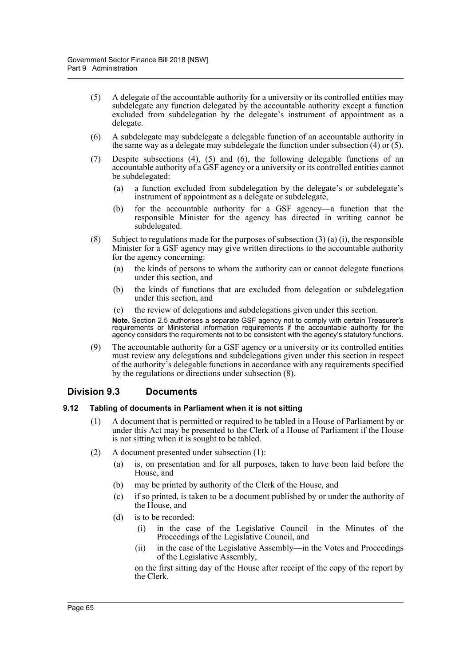- (5) A delegate of the accountable authority for a university or its controlled entities may subdelegate any function delegated by the accountable authority except a function excluded from subdelegation by the delegate's instrument of appointment as a delegate.
- (6) A subdelegate may subdelegate a delegable function of an accountable authority in the same way as a delegate may subdelegate the function under subsection  $(4)$  or  $(5)$ .
- (7) Despite subsections (4), (5) and (6), the following delegable functions of an accountable authority of a GSF agency or a university or its controlled entities cannot be subdelegated:
	- (a) a function excluded from subdelegation by the delegate's or subdelegate's instrument of appointment as a delegate or subdelegate,
	- (b) for the accountable authority for a GSF agency—a function that the responsible Minister for the agency has directed in writing cannot be subdelegated.
- (8) Subject to regulations made for the purposes of subsection  $(3)$  (a) (i), the responsible Minister for a GSF agency may give written directions to the accountable authority for the agency concerning:
	- (a) the kinds of persons to whom the authority can or cannot delegate functions under this section, and
	- (b) the kinds of functions that are excluded from delegation or subdelegation under this section, and
	- (c) the review of delegations and subdelegations given under this section.

**Note.** Section 2.5 authorises a separate GSF agency not to comply with certain Treasurer's requirements or Ministerial information requirements if the accountable authority for the agency considers the requirements not to be consistent with the agency's statutory functions.

(9) The accountable authority for a GSF agency or a university or its controlled entities must review any delegations and subdelegations given under this section in respect of the authority's delegable functions in accordance with any requirements specified by the regulations or directions under subsection (8).

# **Division 9.3 Documents**

## **9.12 Tabling of documents in Parliament when it is not sitting**

- (1) A document that is permitted or required to be tabled in a House of Parliament by or under this Act may be presented to the Clerk of a House of Parliament if the House is not sitting when it is sought to be tabled.
- (2) A document presented under subsection (1):
	- (a) is, on presentation and for all purposes, taken to have been laid before the House, and
	- (b) may be printed by authority of the Clerk of the House, and
	- (c) if so printed, is taken to be a document published by or under the authority of the House, and
	- (d) is to be recorded:
		- (i) in the case of the Legislative Council—in the Minutes of the Proceedings of the Legislative Council, and
		- (ii) in the case of the Legislative Assembly—in the Votes and Proceedings of the Legislative Assembly,

on the first sitting day of the House after receipt of the copy of the report by the Clerk.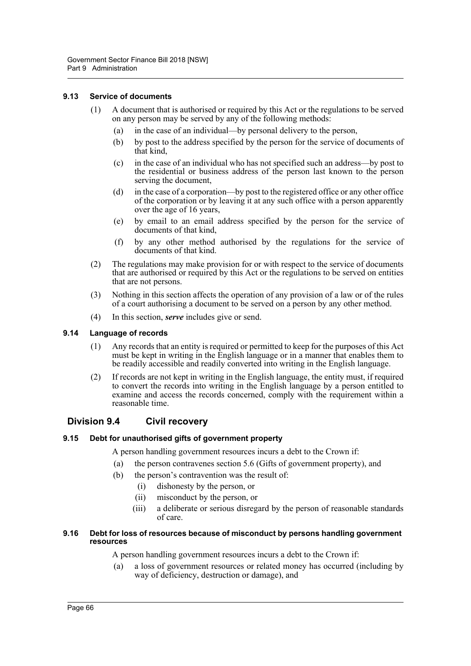#### **9.13 Service of documents**

- (1) A document that is authorised or required by this Act or the regulations to be served on any person may be served by any of the following methods:
	- (a) in the case of an individual—by personal delivery to the person,
	- (b) by post to the address specified by the person for the service of documents of that kind,
	- (c) in the case of an individual who has not specified such an address—by post to the residential or business address of the person last known to the person serving the document,
	- (d) in the case of a corporation—by post to the registered office or any other office of the corporation or by leaving it at any such office with a person apparently over the age of 16 years,
	- (e) by email to an email address specified by the person for the service of documents of that kind,
	- (f) by any other method authorised by the regulations for the service of documents of that kind.
- (2) The regulations may make provision for or with respect to the service of documents that are authorised or required by this Act or the regulations to be served on entities that are not persons.
- (3) Nothing in this section affects the operation of any provision of a law or of the rules of a court authorising a document to be served on a person by any other method.
- (4) In this section, *serve* includes give or send.

# **9.14 Language of records**

- (1) Any records that an entity is required or permitted to keep for the purposes of this Act must be kept in writing in the English language or in a manner that enables them to be readily accessible and readily converted into writing in the English language.
- (2) If records are not kept in writing in the English language, the entity must, if required to convert the records into writing in the English language by a person entitled to examine and access the records concerned, comply with the requirement within a reasonable time.

# **Division 9.4 Civil recovery**

## **9.15 Debt for unauthorised gifts of government property**

A person handling government resources incurs a debt to the Crown if:

- (a) the person contravenes section 5.6 (Gifts of government property), and
- (b) the person's contravention was the result of:
	- (i) dishonesty by the person, or
	- (ii) misconduct by the person, or
	- (iii) a deliberate or serious disregard by the person of reasonable standards of care.

#### **9.16 Debt for loss of resources because of misconduct by persons handling government resources**

A person handling government resources incurs a debt to the Crown if:

(a) a loss of government resources or related money has occurred (including by way of deficiency, destruction or damage), and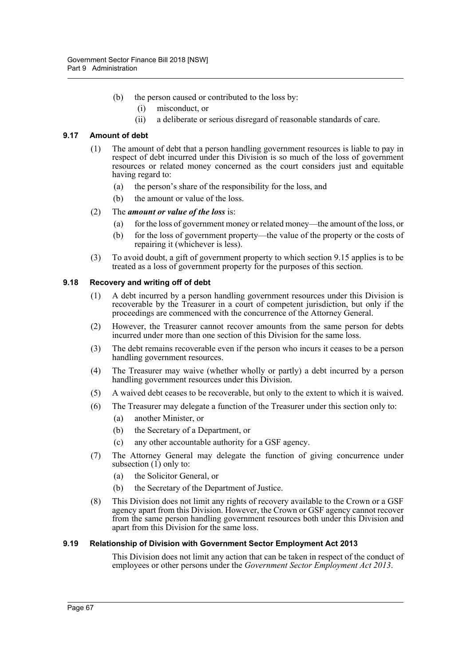- (b) the person caused or contributed to the loss by:
	- (i) misconduct, or
	- (ii) a deliberate or serious disregard of reasonable standards of care.

#### **9.17 Amount of debt**

- (1) The amount of debt that a person handling government resources is liable to pay in respect of debt incurred under this Division is so much of the loss of government resources or related money concerned as the court considers just and equitable having regard to:
	- (a) the person's share of the responsibility for the loss, and
	- (b) the amount or value of the loss.

#### (2) The *amount or value of the loss* is:

- (a) for the loss of government money or related money—the amount of the loss, or
- (b) for the loss of government property—the value of the property or the costs of repairing it (whichever is less).
- (3) To avoid doubt, a gift of government property to which section 9.15 applies is to be treated as a loss of government property for the purposes of this section.

#### **9.18 Recovery and writing off of debt**

- (1) A debt incurred by a person handling government resources under this Division is recoverable by the Treasurer in a court of competent jurisdiction, but only if the proceedings are commenced with the concurrence of the Attorney General.
- (2) However, the Treasurer cannot recover amounts from the same person for debts incurred under more than one section of this Division for the same loss.
- (3) The debt remains recoverable even if the person who incurs it ceases to be a person handling government resources.
- (4) The Treasurer may waive (whether wholly or partly) a debt incurred by a person handling government resources under this Division.
- (5) A waived debt ceases to be recoverable, but only to the extent to which it is waived.
- (6) The Treasurer may delegate a function of the Treasurer under this section only to:
	- (a) another Minister, or
	- (b) the Secretary of a Department, or
	- (c) any other accountable authority for a GSF agency.
- (7) The Attorney General may delegate the function of giving concurrence under subsection  $(1)$  only to:
	- (a) the Solicitor General, or
	- (b) the Secretary of the Department of Justice.
- (8) This Division does not limit any rights of recovery available to the Crown or a GSF agency apart from this Division. However, the Crown or GSF agency cannot recover from the same person handling government resources both under this Division and apart from this Division for the same loss.

#### **9.19 Relationship of Division with Government Sector Employment Act 2013**

This Division does not limit any action that can be taken in respect of the conduct of employees or other persons under the *Government Sector Employment Act 2013*.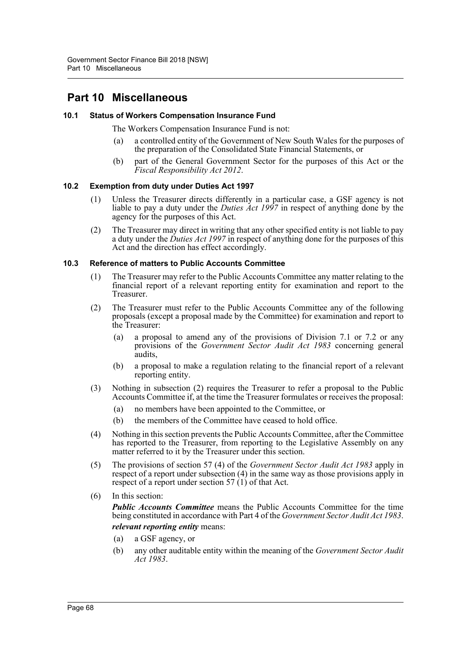## **Part 10 Miscellaneous**

#### **10.1 Status of Workers Compensation Insurance Fund**

The Workers Compensation Insurance Fund is not:

- (a) a controlled entity of the Government of New South Wales for the purposes of the preparation of the Consolidated State Financial Statements, or
- (b) part of the General Government Sector for the purposes of this Act or the *Fiscal Responsibility Act 2012*.

#### **10.2 Exemption from duty under Duties Act 1997**

- (1) Unless the Treasurer directs differently in a particular case, a GSF agency is not liable to pay a duty under the *Duties Act 1997* in respect of anything done by the agency for the purposes of this Act.
- (2) The Treasurer may direct in writing that any other specified entity is not liable to pay a duty under the *Duties Act 1997* in respect of anything done for the purposes of this Act and the direction has effect accordingly.

#### **10.3 Reference of matters to Public Accounts Committee**

- (1) The Treasurer may refer to the Public Accounts Committee any matter relating to the financial report of a relevant reporting entity for examination and report to the Treasurer.
- (2) The Treasurer must refer to the Public Accounts Committee any of the following proposals (except a proposal made by the Committee) for examination and report to the Treasurer:
	- (a) a proposal to amend any of the provisions of Division 7.1 or 7.2 or any provisions of the *Government Sector Audit Act 1983* concerning general audits,
	- (b) a proposal to make a regulation relating to the financial report of a relevant reporting entity.
- (3) Nothing in subsection (2) requires the Treasurer to refer a proposal to the Public Accounts Committee if, at the time the Treasurer formulates or receives the proposal:
	- (a) no members have been appointed to the Committee, or
	- (b) the members of the Committee have ceased to hold office.
- (4) Nothing in this section prevents the Public Accounts Committee, after the Committee has reported to the Treasurer, from reporting to the Legislative Assembly on any matter referred to it by the Treasurer under this section.
- (5) The provisions of section 57 (4) of the *Government Sector Audit Act 1983* apply in respect of a report under subsection (4) in the same way as those provisions apply in respect of a report under section 57 $(1)$  of that Act.
- (6) In this section:

*Public Accounts Committee* means the Public Accounts Committee for the time being constituted in accordance with Part 4 of the *Government Sector Audit Act 1983*. *relevant reporting entity* means:

# (a) a GSF agency, or

(b) any other auditable entity within the meaning of the *Government Sector Audit Act 1983*.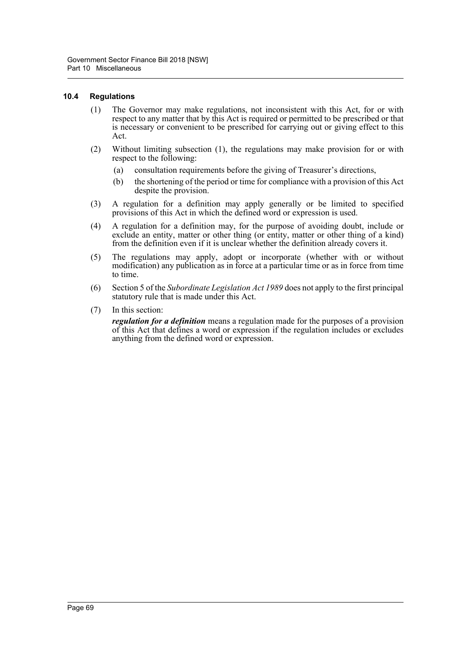#### **10.4 Regulations**

- (1) The Governor may make regulations, not inconsistent with this Act, for or with respect to any matter that by this Act is required or permitted to be prescribed or that is necessary or convenient to be prescribed for carrying out or giving effect to this Act.
- (2) Without limiting subsection (1), the regulations may make provision for or with respect to the following:
	- (a) consultation requirements before the giving of Treasurer's directions,
	- (b) the shortening of the period or time for compliance with a provision of this Act despite the provision.
- (3) A regulation for a definition may apply generally or be limited to specified provisions of this Act in which the defined word or expression is used.
- (4) A regulation for a definition may, for the purpose of avoiding doubt, include or exclude an entity, matter or other thing (or entity, matter or other thing of a kind) from the definition even if it is unclear whether the definition already covers it.
- (5) The regulations may apply, adopt or incorporate (whether with or without modification) any publication as in force at a particular time or as in force from time to time.
- (6) Section 5 of the *Subordinate Legislation Act 1989* does not apply to the first principal statutory rule that is made under this Act.
- (7) In this section:

*regulation for a definition* means a regulation made for the purposes of a provision of this Act that defines a word or expression if the regulation includes or excludes anything from the defined word or expression.